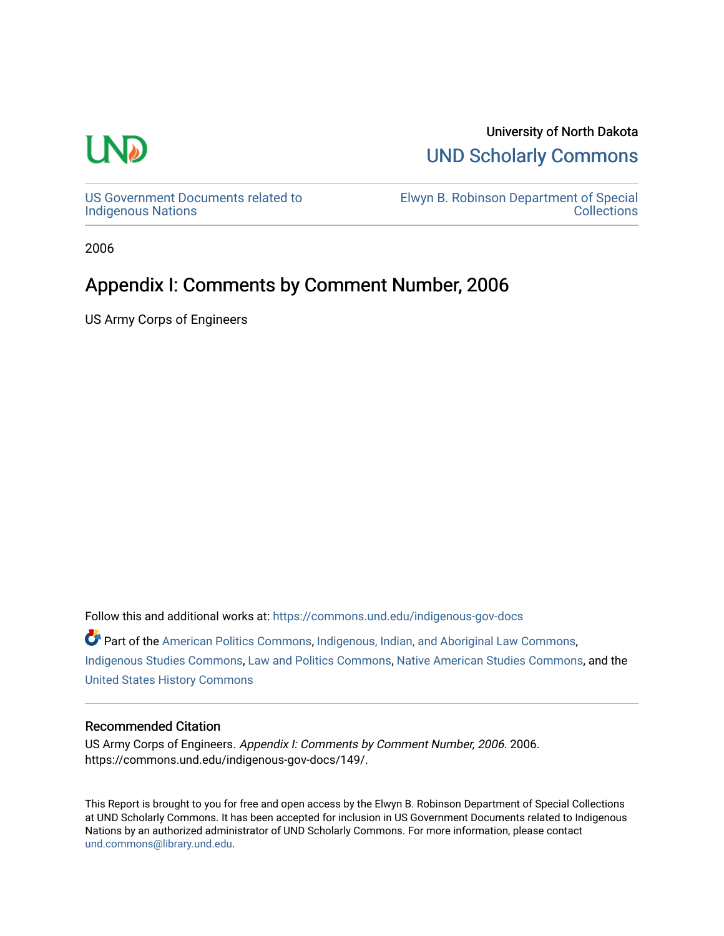## **LN**

## University of North Dakota [UND Scholarly Commons](https://commons.und.edu/)

[US Government Documents related to](https://commons.und.edu/indigenous-gov-docs)  [Indigenous Nations](https://commons.und.edu/indigenous-gov-docs) 

[Elwyn B. Robinson Department of Special](https://commons.und.edu/archives)  **Collections** 

2006

## Appendix I: Comments by Comment Number, 2006

US Army Corps of Engineers

Follow this and additional works at: [https://commons.und.edu/indigenous-gov-docs](https://commons.und.edu/indigenous-gov-docs?utm_source=commons.und.edu%2Findigenous-gov-docs%2F149&utm_medium=PDF&utm_campaign=PDFCoverPages) 

Part of the [American Politics Commons,](http://network.bepress.com/hgg/discipline/387?utm_source=commons.und.edu%2Findigenous-gov-docs%2F149&utm_medium=PDF&utm_campaign=PDFCoverPages) [Indigenous, Indian, and Aboriginal Law Commons](http://network.bepress.com/hgg/discipline/894?utm_source=commons.und.edu%2Findigenous-gov-docs%2F149&utm_medium=PDF&utm_campaign=PDFCoverPages), [Indigenous Studies Commons](http://network.bepress.com/hgg/discipline/571?utm_source=commons.und.edu%2Findigenous-gov-docs%2F149&utm_medium=PDF&utm_campaign=PDFCoverPages), [Law and Politics Commons](http://network.bepress.com/hgg/discipline/867?utm_source=commons.und.edu%2Findigenous-gov-docs%2F149&utm_medium=PDF&utm_campaign=PDFCoverPages), [Native American Studies Commons](http://network.bepress.com/hgg/discipline/1434?utm_source=commons.und.edu%2Findigenous-gov-docs%2F149&utm_medium=PDF&utm_campaign=PDFCoverPages), and the [United States History Commons](http://network.bepress.com/hgg/discipline/495?utm_source=commons.und.edu%2Findigenous-gov-docs%2F149&utm_medium=PDF&utm_campaign=PDFCoverPages)

## Recommended Citation

US Army Corps of Engineers. Appendix I: Comments by Comment Number, 2006. 2006. https://commons.und.edu/indigenous-gov-docs/149/.

This Report is brought to you for free and open access by the Elwyn B. Robinson Department of Special Collections at UND Scholarly Commons. It has been accepted for inclusion in US Government Documents related to Indigenous Nations by an authorized administrator of UND Scholarly Commons. For more information, please contact [und.commons@library.und.edu](mailto:und.commons@library.und.edu).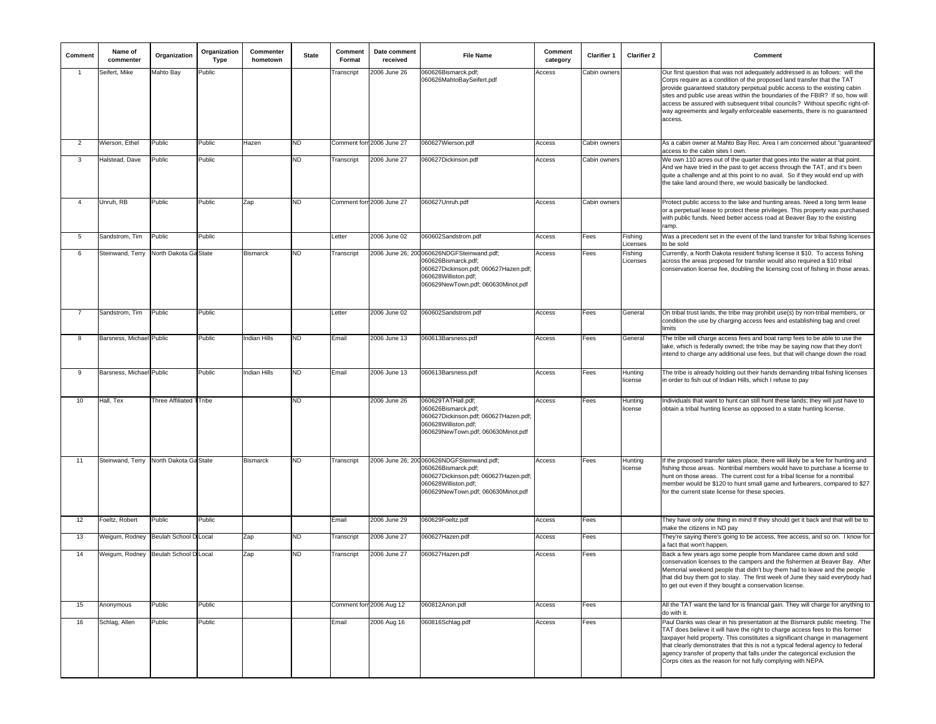| Comment        | Name of<br>commenter                   | Organization            | Organization<br><b>Type</b> | Commenter<br>hometown | <b>State</b> | Comment<br>Format | Date comment<br>received  | <b>File Name</b>                                                                                                                                                        | Comment<br>category | Clarifier 1  | <b>Clarifier 2</b>  | Comment                                                                                                                                                                                                                                                                                                                                                                                                                                                                                        |
|----------------|----------------------------------------|-------------------------|-----------------------------|-----------------------|--------------|-------------------|---------------------------|-------------------------------------------------------------------------------------------------------------------------------------------------------------------------|---------------------|--------------|---------------------|------------------------------------------------------------------------------------------------------------------------------------------------------------------------------------------------------------------------------------------------------------------------------------------------------------------------------------------------------------------------------------------------------------------------------------------------------------------------------------------------|
|                | Seifert, Mike                          | Mahto Bay               | Public                      |                       |              | Transcript        | 2006 June 26              | 060626Bismarck.pdf;<br>060626MahtoBaySeifert.pdf                                                                                                                        | Access              | Cabin owners |                     | Our first question that was not adequately addressed is as follows: will the<br>Corps require as a condition of the proposed land transfer that the TAT<br>provide guaranteed statutory perpetual public access to the existing cabin<br>sites and public use areas within the boundaries of the FBIR? If so, how will<br>access be assured with subsequent tribal councils? Without specific right-of-<br>way agreements and legally enforceable easements, there is no guaranteed<br>access. |
| $\overline{2}$ | Wierson, Ethel                         | Public                  | Public                      | Hazen                 | ND           |                   | Comment forr 2006 June 27 | 060627Wierson.pdf                                                                                                                                                       | Access              | Cabin owners |                     | As a cabin owner at Mahto Bay Rec. Area I am concerned about "guaranteed"<br>access to the cabin sites I own.                                                                                                                                                                                                                                                                                                                                                                                  |
| 3              | Halstead, Dave                         | Public                  | Public                      |                       | ND           | Transcript        | 2006 June 27              | 060627Dickinson.pdf                                                                                                                                                     | Access              | Cabin owners |                     | We own 110 acres out of the quarter that goes into the water at that point.<br>And we have tried in the past to get access through the TAT, and it's been<br>quite a challenge and at this point to no avail. So if they would end up with<br>the take land around there, we would basically be landlocked.                                                                                                                                                                                    |
| 4              | Unruh, RB                              | Public                  | Public                      | Zap                   | ND           |                   | Comment forn 2006 June 27 | 060627Unruh.pdf                                                                                                                                                         | Access              | Cabin owners |                     | Protect public access to the lake and hunting areas. Need a long term lease<br>or a perpetual lease to protect these privileges. This property was purchased<br>with public funds. Need better access road at Beaver Bay to the existing<br>ramp.                                                                                                                                                                                                                                              |
| 5              | Sandstrom, Tim                         | Public                  | Public                      |                       |              | Letter            | 2006 June 02              | 060602Sandstrom.pdf                                                                                                                                                     | Access              | Fees         | Fishing<br>Licenses | Was a precedent set in the event of the land transfer for tribal fishing licenses<br>to be sold                                                                                                                                                                                                                                                                                                                                                                                                |
| 6              | Steinwand, Terry                       | North Dakota Ga State   |                             | Bismarck              | ND           | Transcript        |                           | 2006 June 26; 200060626NDGFSteinwand.pdf;<br>060626Bismarck.pdf;<br>060627Dickinson.pdf; 060627Hazen.pdf;<br>060628Williston.pdf;<br>060629NewTown.pdf; 060630Minot.pdf | Access              | Fees         | Fishing<br>Licenses | Currently, a North Dakota resident fishing license it \$10. To access fishing<br>across the areas proposed for transfer would also required a \$10 tribal<br>conservation license fee, doubling the licensing cost of fishing in those areas.                                                                                                                                                                                                                                                  |
| 7              | Sandstrom, Tim                         | Public                  | Public                      |                       |              | Letter            | 2006 June 02              | 060602Sandstrom.pdf                                                                                                                                                     | Access              | Fees         | General             | On tribal trust lands, the tribe may prohibit use(s) by non-tribal members, or<br>condition the use by charging access fees and establishing bag and creel<br>limits                                                                                                                                                                                                                                                                                                                           |
| 8              | Barsness, Michael Public               |                         | Public                      | Indian Hills          | ND           | Email             | 2006 June 13              | 060613Barsness.pdf                                                                                                                                                      | Access              | Fees         | General             | The tribe will charge access fees and boat ramp fees to be able to use the<br>lake, which is federally owned; the tribe may be saying now that they don't<br>ntend to charge any additional use fees, but that will change down the road                                                                                                                                                                                                                                                       |
| 9              | Barsness, Michael Public               |                         | Public                      | ndian Hills           | ND           | Email             | 2006 June 13              | 060613Barsness.pdf                                                                                                                                                      | Access              | Fees         | Hunting<br>license  | The tribe is already holding out their hands demanding tribal fishing licenses<br>in order to fish out of Indian Hills, which I refuse to pay                                                                                                                                                                                                                                                                                                                                                  |
| 10             | Hall, Tex                              | Three Affiliated 1Tribe |                             |                       | ND.          |                   | 2006 June 26              | 060629TATHall.pdf;<br>060626Bismarck.pdf;<br>060627Dickinson.pdf; 060627Hazen.pdf;<br>060628Williston.pdf;<br>060629NewTown.pdf; 060630Minot.pdf                        | Access              | Fees         | Hunting<br>license  | Individuals that want to hunt can still hunt these lands; they will just have to<br>obtain a tribal hunting license as opposed to a state hunting license.                                                                                                                                                                                                                                                                                                                                     |
| 11             | Steinwand, Terry North Dakota Ga State |                         |                             | Bismarck              | ND           | Transcript        |                           | 2006 June 26; 200060626NDGFSteinwand.pdf;<br>060626Bismarck.pdf;<br>060627Dickinson.pdf; 060627Hazen.pdf;<br>060628Williston.pdf;<br>060629NewTown.pdf; 060630Minot.pdf | Access              | Fees         | Hunting<br>license  | If the proposed transfer takes place, there will likely be a fee for hunting and<br>fishing those areas. Nontribal members would have to purchase a license to<br>hunt on those areas. The current cost for a tribal license for a nontribal<br>member would be \$120 to hunt small game and furbearers, compared to \$27<br>for the current state license for these species.                                                                                                                  |
| 12             | Foeltz, Robert                         | Public                  | Public                      |                       |              | Email             | 2006 June 29              | 060629Foeltz.pdf                                                                                                                                                        | Access              | Fees         |                     | They have only one thing in mind If they should get it back and that will be to<br>make the citizens in ND pay                                                                                                                                                                                                                                                                                                                                                                                 |
| 13             | Weigum, Rodney                         | Beulah School D Local   |                             | Zap                   | ND           | Transcript        | 2006 June 27              | 060627Hazen.pdf                                                                                                                                                         | Access              | Fees         |                     | They're saying there's going to be access, free access, and so on. I know for<br>a fact that won't happen.                                                                                                                                                                                                                                                                                                                                                                                     |
| 14             | Weigum, Rodney Beulah School D Local   |                         |                             | Zap                   | ND.          | Transcript        | 2006 June 27              | 060627Hazen.pdf                                                                                                                                                         | Access              | Fees         |                     | Back a few years ago some people from Mandaree came down and sold<br>conservation licenses to the campers and the fishermen at Beaver Bay. After<br>Memorial weekend people that didn't buy them had to leave and the people<br>that did buy them got to stay. The first week of June they said everybody had<br>to get out even if they bought a conservation license.                                                                                                                        |
| 15             | Anonymous                              | Public                  | Public                      |                       |              |                   | Comment forr 2006 Aug 12  | 060812Anon.pdf                                                                                                                                                          | Access              | Fees         |                     | All the TAT want the land for is financial gain. They will charge for anything to<br>do with it.                                                                                                                                                                                                                                                                                                                                                                                               |
| 16             | Schlag, Allen                          | Public                  | Public                      |                       |              | Email             | 2006 Aug 16               | 060816Schlag.pdf                                                                                                                                                        | Access              | Fees         |                     | Paul Danks was clear in his presentation at the Bismarck public meeting. The<br>TAT does believe it will have the right to charge access fees to this former<br>taxpayer held property. This constitutes a significant change in management<br>that clearly demonstrates that this is not a typical federal agency to federal<br>agency transfer of property that falls under the categorical exclusion the<br>Corps cites as the reason for not fully complying with NEPA.                    |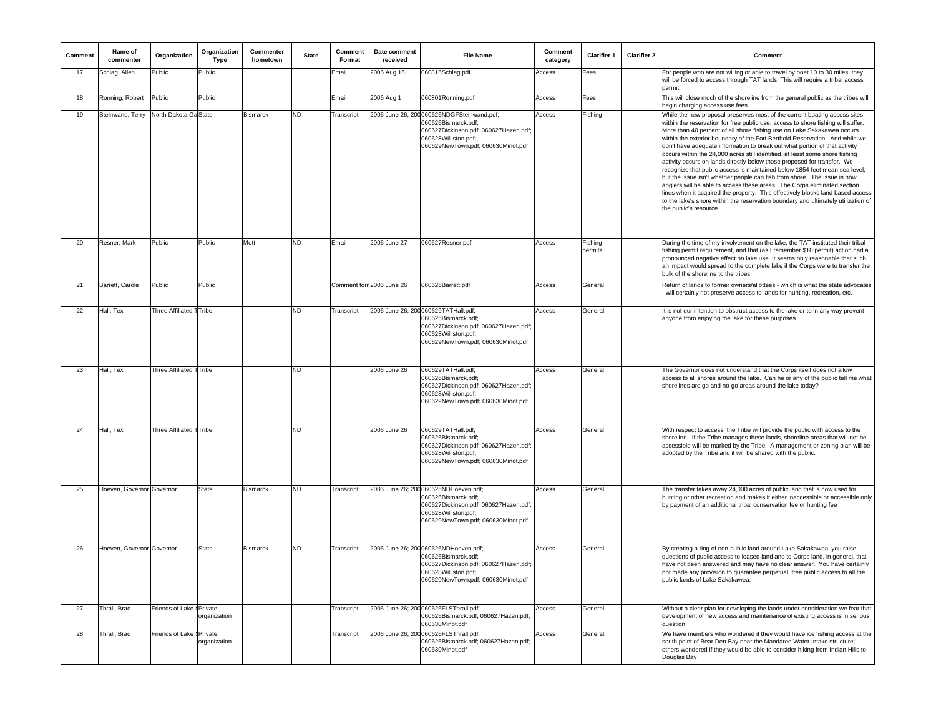| Comment | Name of<br>commenter      | Organization              | Organization<br>Type | Commenter<br>hometown | <b>State</b> | Comment<br>Format | Date comment<br>received  | <b>File Name</b>                                                                                                                                                        | Comment<br>category | <b>Clarifier 1</b> | <b>Clarifier 2</b> | Comment                                                                                                                                                                                                                                                                                                                                                                                                                                                                                                                                                                                                                                                                                                                                                                                                                                                                                                                                                                                               |
|---------|---------------------------|---------------------------|----------------------|-----------------------|--------------|-------------------|---------------------------|-------------------------------------------------------------------------------------------------------------------------------------------------------------------------|---------------------|--------------------|--------------------|-------------------------------------------------------------------------------------------------------------------------------------------------------------------------------------------------------------------------------------------------------------------------------------------------------------------------------------------------------------------------------------------------------------------------------------------------------------------------------------------------------------------------------------------------------------------------------------------------------------------------------------------------------------------------------------------------------------------------------------------------------------------------------------------------------------------------------------------------------------------------------------------------------------------------------------------------------------------------------------------------------|
| 17      | Schlag, Allen             | Public                    | Public               |                       |              | Email             | 2006 Aug 16               | 060816Schlag.pdf                                                                                                                                                        | Access              | Fees               |                    | For people who are not willing or able to travel by boat 10 to 30 miles, they<br>will be forced to access through TAT lands. This will require a tribal access<br>permit.                                                                                                                                                                                                                                                                                                                                                                                                                                                                                                                                                                                                                                                                                                                                                                                                                             |
| 18      | Ronning, Robert           | Public                    | Public               |                       |              | Email             | 2006 Aug 1                | 060801Ronning.pdf                                                                                                                                                       | Access              | Fees               |                    | This will close much of the shoreline from the general public as the tribes will<br>begin charging access use fees.                                                                                                                                                                                                                                                                                                                                                                                                                                                                                                                                                                                                                                                                                                                                                                                                                                                                                   |
| 19      | Steinwand, Terry          | North Dakota Ga State     |                      | <b>Bismarck</b>       | <b>ND</b>    | Transcript        |                           | 2006 June 26; 200060626NDGFSteinwand.pdf;<br>060626Bismarck.pdf;<br>060627Dickinson.pdf; 060627Hazen.pdf;<br>060628Williston.pdf;<br>060629NewTown.pdf; 060630Minot.pdf | Access              | Fishing            |                    | While the new proposal preserves most of the current boating access sites<br>within the reservation for free public use, access to shore fishing will suffer.<br>More than 40 percent of all shore fishing use on Lake Sakakawea occurs<br>within the exterior boundary of the Fort Berthold Reservation. And while we<br>don't have adequate information to break out what portion of that activity<br>occurs within the 24,000 acres still identified, at least some shore fishing<br>activity occurs on lands directly below those proposed for transfer. We<br>ecognize that public access is maintained below 1854 feet mean sea level,<br>but the issue isn't whether people can fish from shore. The issue is how<br>anglers will be able to access these areas. The Corps eliminated section<br>lines when it acquired the property. This effectively blocks land based access<br>to the lake's shore within the reservation boundary and ultimately utilization of<br>the public's resource. |
| 20      | Resner, Mark              | Public                    | Public               | Mott                  | <b>ND</b>    | Email             | 2006 June 27              | 060627Resner.pdf                                                                                                                                                        | Access              | Fishing<br>permits |                    | During the time of my involvement on the lake, the TAT instituted their tribal<br>fishing permit requirement, and that (as I remember \$10 permit) action had a<br>pronounced negative effect on lake use. It seems only reasonable that such<br>an impact would spread to the complete lake if the Corps were to transfer the<br>bulk of the shoreline to the tribes.                                                                                                                                                                                                                                                                                                                                                                                                                                                                                                                                                                                                                                |
| 21      | Barrett, Carole           | Public                    | Public               |                       |              |                   | Comment form 2006 June 26 | 060626Barrett.pdf                                                                                                                                                       | Access              | General            |                    | Return of lands to former owners/allottees - which is what the state advocates<br>will certainly not preserve access to lands for hunting, recreation, etc.                                                                                                                                                                                                                                                                                                                                                                                                                                                                                                                                                                                                                                                                                                                                                                                                                                           |
| 22      | Hall, Tex                 | Three Affiliated TTribe   |                      |                       | <b>ND</b>    | Transcript        |                           | 2006 June 26; 200 060629TATHall.pdf;<br>060626Bismarck.pdf;<br>060627Dickinson.pdf; 060627Hazen.pdf;<br>060628Williston.pdf;<br>060629NewTown.pdf; 060630Minot.pdf      | Access              | General            |                    | It is not our intention to obstruct access to the lake or to in any way prevent<br>anyone from enjoying the lake for these purposes                                                                                                                                                                                                                                                                                                                                                                                                                                                                                                                                                                                                                                                                                                                                                                                                                                                                   |
| 23      | Hall, Tex                 | Three Affiliated TTribe   |                      |                       | <b>ND</b>    |                   | 2006 June 26              | 060629TATHall.pdf;<br>060626Bismarck.pdf;<br>060627Dickinson.pdf; 060627Hazen.pdf;<br>060628Williston.pdf;<br>060629NewTown.pdf; 060630Minot.pdf                        | Access              | General            |                    | The Governor does not understand that the Corps itself does not allow<br>access to all shores around the lake. Can he or any of the public tell me what<br>shorelines are go and no-go areas around the lake today?                                                                                                                                                                                                                                                                                                                                                                                                                                                                                                                                                                                                                                                                                                                                                                                   |
| 24      | Hall, Tex                 | Three Affiliated TTribe   |                      |                       | ND           |                   | 2006 June 26              | 060629TATHall.pdf;<br>060626Bismarck.pdf;<br>060627Dickinson.pdf; 060627Hazen.pdf;<br>060628Williston.pdf;<br>060629NewTown.pdf; 060630Minot.pdf                        | Access              | General            |                    | With respect to access, the Tribe will provide the public with access to the<br>shoreline. If the Tribe manages these lands, shoreline areas that will not be<br>accessible will be marked by the Tribe. A management or zoning plan will be<br>adopted by the Tribe and it will be shared with the public.                                                                                                                                                                                                                                                                                                                                                                                                                                                                                                                                                                                                                                                                                           |
| 25      | Hoeven, Governor Governor |                           | <b>State</b>         | <b>Bismarck</b>       | <b>ND</b>    | Transcript        |                           | 2006 June 26; 200 060626NDHoeven.pdf;<br>060626Bismarck.pdf;<br>060627Dickinson.pdf; 060627Hazen.pdf;<br>060628Williston.pdf;<br>060629NewTown.pdf; 060630Minot.pdf     | Access              | General            |                    | The transfer takes away 24,000 acres of public land that is now used for<br>hunting or other recreation and makes it either inaccessible or accessible only<br>by payment of an additional tribal conservation fee or hunting fee                                                                                                                                                                                                                                                                                                                                                                                                                                                                                                                                                                                                                                                                                                                                                                     |
| 26      | Hoeven, Governor Governor |                           | <b>State</b>         | <b>Bismarck</b>       | <b>ND</b>    | Transcript        |                           | 2006 June 26; 200 060626NDHoeven.pdf;<br>060626Bismarck.pdf;<br>060627Dickinson.pdf; 060627Hazen.pdf;<br>060628Williston.pdf;<br>060629NewTown.pdf; 060630Minot.pdf     | Access              | General            |                    | By creating a ring of non-public land around Lake Sakakawea, you raise<br>questions of public access to leased land and to Corps land, in general, that<br>have not been answered and may have no clear answer. You have certainly<br>not made any provision to guarantee perpetual, free public access to all the<br>public lands of Lake Sakakawea.                                                                                                                                                                                                                                                                                                                                                                                                                                                                                                                                                                                                                                                 |
| 27      | Thrall, Brad              | Friends of Lake § Private | organization         |                       |              | Transcript        |                           | 2006 June 26; 200 060626FLSThrall.pdf;<br>060626Bismarck.pdf; 060627Hazen.pdf;<br>060630Minot.pdf                                                                       | Access              | General            |                    | Without a clear plan for developing the lands under consideration we fear that<br>development of new access and maintenance of existing access is in serious<br>question                                                                                                                                                                                                                                                                                                                                                                                                                                                                                                                                                                                                                                                                                                                                                                                                                              |
| 28      | Thrall, Brad              | Friends of Lake §Private  | organization         |                       |              | Transcript        |                           | 2006 June 26; 200060626FLSThrall.pdf;<br>060626Bismarck.pdf; 060627Hazen.pdf;<br>060630Minot.pdf                                                                        | Access              | General            |                    | We have members who wondered if they would have ice fishing access at the<br>south point of Bear Den Bay near the Mandaree Water Intake structure;<br>others wondered if they would be able to consider hiking from Indian Hills to<br>Douglas Bay                                                                                                                                                                                                                                                                                                                                                                                                                                                                                                                                                                                                                                                                                                                                                    |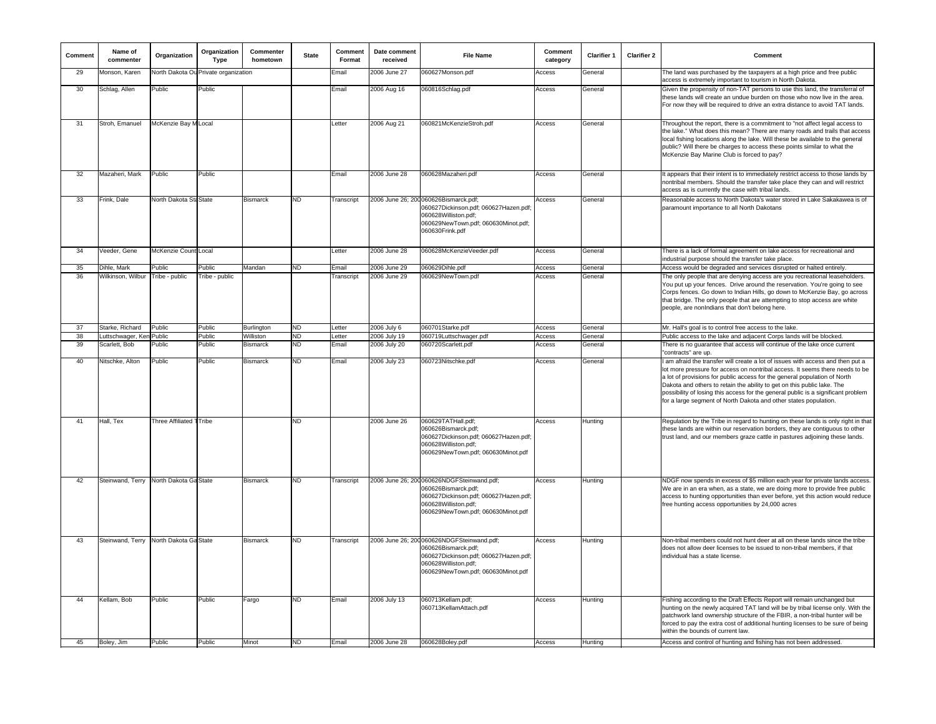| Comment | Name of<br>commenter     | Organization            | Organization<br>Type                 | Commenter<br>hometown | State | Comment<br>Format | Date comment<br>received | <b>File Name</b>                                                                                                                                                         | Comment<br>category | Clarifier 1 | <b>Clarifier 2</b> | Comment                                                                                                                                                                                                                                                                                                                                                                                                                                                                        |
|---------|--------------------------|-------------------------|--------------------------------------|-----------------------|-------|-------------------|--------------------------|--------------------------------------------------------------------------------------------------------------------------------------------------------------------------|---------------------|-------------|--------------------|--------------------------------------------------------------------------------------------------------------------------------------------------------------------------------------------------------------------------------------------------------------------------------------------------------------------------------------------------------------------------------------------------------------------------------------------------------------------------------|
| 29      | Monson, Karen            |                         | North Dakota Ou Private organization |                       |       | Email             | 2006 June 27             | 060627Monson.pdf                                                                                                                                                         | Access              | General     |                    | The land was purchased by the taxpayers at a high price and free public<br>access is extremely important to tourism in North Dakota.                                                                                                                                                                                                                                                                                                                                           |
| 30      | Schlag, Allen            | Public                  | Public                               |                       |       | Email             | 2006 Aug 16              | 060816Schlag.pdf                                                                                                                                                         | Access              | General     |                    | Given the propensity of non-TAT persons to use this land, the transferral of<br>these lands will create an undue burden on those who now live in the area.<br>For now they will be required to drive an extra distance to avoid TAT lands.                                                                                                                                                                                                                                     |
| 31      | Stroh, Emanuel           | McKenzie Bay M Local    |                                      |                       |       | Letter            | 2006 Aug 21              | 060821McKenzieStroh.pdf                                                                                                                                                  | Access              | General     |                    | Throughout the report, there is a commitment to "not affect legal access to<br>the lake." What does this mean? There are many roads and trails that access<br>local fishing locations along the lake. Will these be available to the general<br>public? Will there be charges to access these points similar to what the<br>McKenzie Bay Marine Club is forced to pay?                                                                                                         |
| 32      | Mazaheri, Mark           | Public                  | Public                               |                       |       | Email             | 2006 June 28             | 060628Mazaheri.pdf                                                                                                                                                       | Access              | General     |                    | t appears that their intent is to immediately restrict access to those lands by<br>nontribal members. Should the transfer take place they can and will restrict<br>access as is currently the case with tribal lands.                                                                                                                                                                                                                                                          |
| 33      | Frink, Dale              | North Dakota Sta State  |                                      | <b>Bismarck</b>       | ND    | Transcript        |                          | 2006 June 26; 200 060626Bismarck.pdf;<br>060627Dickinson.pdf; 060627Hazen.pdf;<br>060628Williston.pdf;<br>060629NewTown.pdf; 060630Minot.pdf;<br>060630Frink.pdf         | Access              | General     |                    | Reasonable access to North Dakota's water stored in Lake Sakakawea is of<br>paramount importance to all North Dakotans                                                                                                                                                                                                                                                                                                                                                         |
| 34      | Veeder, Gene             | McKenzie Count Local    |                                      |                       |       | Letter            | 2006 June 28             | 060628McKenzieVeeder.pdf                                                                                                                                                 | Access              | General     |                    | There is a lack of formal agreement on lake access for recreational and<br>industrial purpose should the transfer take place.                                                                                                                                                                                                                                                                                                                                                  |
| 35      | Dihle, Mark              | Public                  | Public                               | Mandan                | ND    | Email             | 2006 June 29             | 060629Dihle.pdf                                                                                                                                                          | Access              | General     |                    | Access would be degraded and services disrupted or halted entirely.                                                                                                                                                                                                                                                                                                                                                                                                            |
| 36      | Wilkinson, Wilbur        | Tribe - public          | Tribe - public                       |                       |       | Transcript        | 2006 June 29             | 060629NewTown.pdf                                                                                                                                                        | Access              | General     |                    | The only people that are denying access are you recreational leaseholders.<br>You put up your fences. Drive around the reservation. You're going to see<br>Corps fences. Go down to Indian Hills, go down to McKenzie Bay, go across<br>that bridge. The only people that are attempting to stop access are white<br>people, are nonIndians that don't belong here.                                                                                                            |
| 37      | Starke, Richard          | Public                  | Public                               | Burlington            | ND    | Letter            | 2006 July 6              | 060701Starke.pdf                                                                                                                                                         | Access              | General     |                    | Mr. Hall's goal is to control free access to the lake.                                                                                                                                                                                                                                                                                                                                                                                                                         |
| 38      | Luttschwager, Ken Public |                         | Public                               | Williston             | ND    | Letter            | 2006 July 19             | 060719Luttschwager.pdf                                                                                                                                                   | Access              | General     |                    | Public access to the lake and adjacent Corps lands will be blocked.                                                                                                                                                                                                                                                                                                                                                                                                            |
| 39      | Scarlett, Bob            | Public                  | Public                               | Bismarck              | ND    | Email             | 2006 July 20             | 060720Scarlett.pdf                                                                                                                                                       | Access              | General     |                    | There is no guarantee that access will continue of the lake once current<br>'contracts" are up                                                                                                                                                                                                                                                                                                                                                                                 |
| 40      | Nitschke, Alton          | Public                  | Public                               | <b>Bismarck</b>       | ND.   | Email             | 2006 July 23             | 060723Nitschke.pdf                                                                                                                                                       | Access              | General     |                    | am afraid the transfer will create a lot of issues with access and then put a<br>lot more pressure for access on nontribal access. It seems there needs to be<br>a lot of provisions for public access for the general population of North<br>Dakota and others to retain the ability to get on this public lake. The<br>possibility of losing this access for the general public is a significant problem<br>for a large segment of North Dakota and other states population. |
| 41      | Hall, Tex                | Three Affiliated TTribe |                                      |                       | ND    |                   | 2006 June 26             | 060629TATHall.pdf;<br>060626Bismarck.pdf;<br>060627Dickinson.pdf; 060627Hazen.pdf;<br>060628Williston.pdf;<br>060629NewTown.pdf; 060630Minot.pdf                         | Access              | Hunting     |                    | Regulation by the Tribe in regard to hunting on these lands is only right in that<br>these lands are within our reservation borders, they are contiguous to other<br>trust land, and our members graze cattle in pastures adjoining these lands.                                                                                                                                                                                                                               |
| 42      | Steinwand, Terry         | North Dakota Ga State   |                                      | <b>Bismarck</b>       | ND    | Transcript        |                          | 2006 June 26; 200 060626NDGFSteinwand.pdf;<br>060626Bismarck.pdf;<br>060627Dickinson.pdf; 060627Hazen.pdf;<br>060628Williston.pdf;<br>060629NewTown.pdf; 060630Minot.pdf | Access              | Hunting     |                    | NDGF now spends in excess of \$5 million each year for private lands access.<br>We are in an era when, as a state, we are doing more to provide free public<br>access to hunting opportunities than ever before, yet this action would reduce<br>free hunting access opportunities by 24,000 acres                                                                                                                                                                             |
| 43      | Steinwand, Terry         | North Dakota Ga State   |                                      | <b>Bismarck</b>       | ND    | Transcript        |                          | 2006 June 26; 200 060626NDGFSteinwand.pdf;<br>060626Bismarck.pdf;<br>060627Dickinson.pdf; 060627Hazen.pdf;<br>060628Williston.pdf;<br>060629NewTown.pdf; 060630Minot.pdf | Access              | Hunting     |                    | Non-tribal members could not hunt deer at all on these lands since the tribe<br>does not allow deer licenses to be issued to non-tribal members, if that<br>individual has a state license                                                                                                                                                                                                                                                                                     |
| 44      | Kellam, Bob              | Public                  | Public                               | Fargo                 | ND.   | Email             | 2006 July 13             | 060713Kellam.pdf;<br>060713KellamAttach.pdf                                                                                                                              | Access              | Hunting     |                    | Fishing according to the Draft Effects Report will remain unchanged but<br>hunting on the newly acquired TAT land will be by tribal license only. With the<br>patchwork land ownership structure of the FBIR, a non-tribal hunter will be<br>orced to pay the extra cost of additional hunting licenses to be sure of being<br>within the bounds of current law.                                                                                                               |
| 45      | Boley, Jim               | Public                  | Public                               | Minot                 | ND    | Email             | 2006 June 28             | 060628Boley.pdf                                                                                                                                                          | Access              | Hunting     |                    | Access and control of hunting and fishing has not been addressed.                                                                                                                                                                                                                                                                                                                                                                                                              |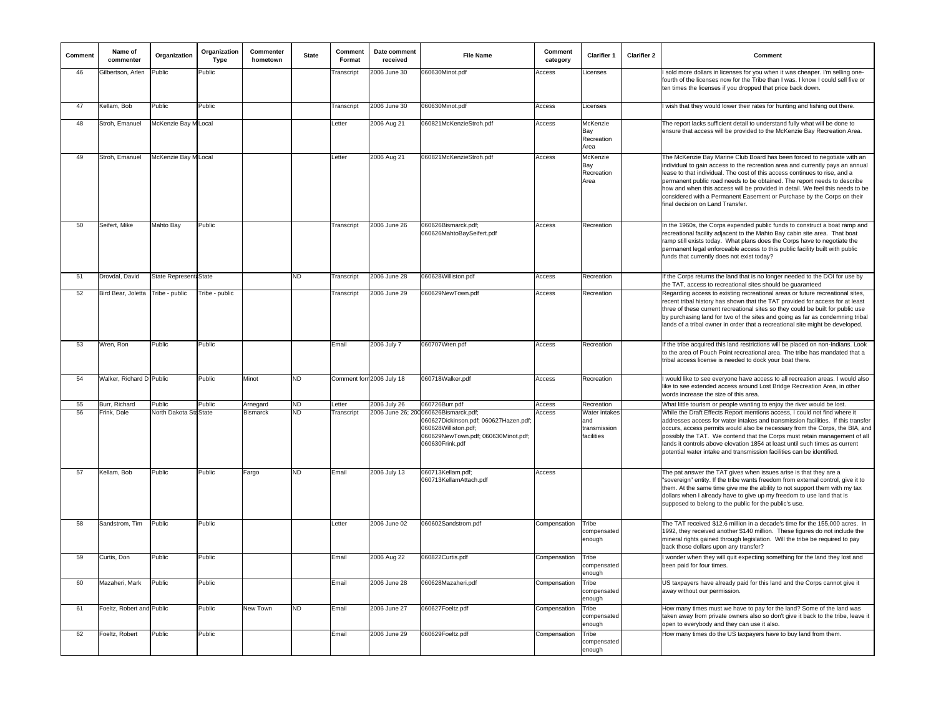| Comment | Name of<br>commenter      | Organization           | Organization<br><b>Type</b> | Commenter<br>hometown | <b>State</b> | Comment<br>Format | Date comment<br>received  | <b>File Name</b>                                                                                                                                                 | Comment<br>category | <b>Clarifier 1</b>                                 | <b>Clarifier 2</b> | Comment                                                                                                                                                                                                                                                                                                                                                                                                                                                                                                           |
|---------|---------------------------|------------------------|-----------------------------|-----------------------|--------------|-------------------|---------------------------|------------------------------------------------------------------------------------------------------------------------------------------------------------------|---------------------|----------------------------------------------------|--------------------|-------------------------------------------------------------------------------------------------------------------------------------------------------------------------------------------------------------------------------------------------------------------------------------------------------------------------------------------------------------------------------------------------------------------------------------------------------------------------------------------------------------------|
| 46      | Gilbertson, Arlen         | Public                 | Public                      |                       |              | Transcript        | 2006 June 30              | 060630Minot.pdf                                                                                                                                                  | Access              | _icenses                                           |                    | I sold more dollars in licenses for you when it was cheaper. I'm selling one-<br>fourth of the licenses now for the Tribe than I was. I know I could sell five or<br>ten times the licenses if you dropped that price back down.                                                                                                                                                                                                                                                                                  |
| 47      | Kellam, Bob               | Public                 | Public                      |                       |              | Transcript        | 2006 June 30              | 060630Minot.pdf                                                                                                                                                  | Access              | Licenses                                           |                    | I wish that they would lower their rates for hunting and fishing out there.                                                                                                                                                                                                                                                                                                                                                                                                                                       |
| 48      | Stroh, Emanuel            | McKenzie Bay M Local   |                             |                       |              | Letter            | 2006 Aug 21               | 060821McKenzieStroh.pdf                                                                                                                                          | Access              | McKenzie<br>Bay<br>Recreation<br>Area              |                    | The report lacks sufficient detail to understand fully what will be done to<br>ensure that access will be provided to the McKenzie Bay Recreation Area.                                                                                                                                                                                                                                                                                                                                                           |
| 49      | Stroh, Emanuel            | McKenzie Bay M Local   |                             |                       |              | Letter            | 2006 Aug 21               | 060821McKenzieStroh.pdf                                                                                                                                          | Access              | McKenzie<br>Bay<br>Recreation<br>Area              |                    | The McKenzie Bay Marine Club Board has been forced to negotiate with an<br>individual to gain access to the recreation area and currently pays an annual<br>lease to that individual. The cost of this access continues to rise, and a<br>permanent public road needs to be obtained. The report needs to describe<br>how and when this access will be provided in detail. We feel this needs to be<br>considered with a Permanent Easement or Purchase by the Corps on their<br>final decision on Land Transfer. |
| 50      | Seifert, Mike             | Mahto Bay              | Public                      |                       |              | Transcript        | 2006 June 26              | 060626Bismarck.pdf;<br>060626MahtoBaySeifert.pdf                                                                                                                 | Access              | Recreation                                         |                    | In the 1960s, the Corps expended public funds to construct a boat ramp and<br>recreational facility adjacent to the Mahto Bay cabin site area. That boat<br>ramp still exists today. What plans does the Corps have to negotiate the<br>permanent legal enforceable access to this public facility built with public<br>funds that currently does not exist today?                                                                                                                                                |
| 51      | Drovdal, David            | State Represent: State |                             |                       | ND.          | Transcript        | 2006 June 28              | 060628Williston.pdf                                                                                                                                              | Access              | Recreation                                         |                    | If the Corps returns the land that is no longer needed to the DOI for use by<br>the TAT, access to recreational sites should be quaranteed                                                                                                                                                                                                                                                                                                                                                                        |
| 52      | Bird Bear, Joletta        | Tribe - public         | Tribe - public              |                       |              | Transcript        | 2006 June 29              | 060629NewTown.pdf                                                                                                                                                | Access              | Recreation                                         |                    | Regarding access to existing recreational areas or future recreational sites,<br>recent tribal history has shown that the TAT provided for access for at least<br>three of these current recreational sites so they could be built for public use<br>by purchasing land for two of the sites and going as far as condemning tribal<br>lands of a tribal owner in order that a recreational site might be developed.                                                                                               |
| 53      | Wren, Ron                 | Public                 | Public                      |                       |              | Email             | 2006 July 7               | 060707Wren.pdf                                                                                                                                                   | Access              | Recreation                                         |                    | If the tribe acquired this land restrictions will be placed on non-Indians. Look<br>to the area of Pouch Point recreational area. The tribe has mandated that a<br>tribal access license is needed to dock your boat there.                                                                                                                                                                                                                                                                                       |
| 54      | Walker, Richard D Public  |                        | Public                      | Minot                 | ND.          |                   | Comment forn 2006 July 18 | 060718Walker.pdf                                                                                                                                                 | Access              | Recreation                                         |                    | I would like to see everyone have access to all recreation areas. I would also<br>like to see extended access around Lost Bridge Recreation Area, in other<br>words increase the size of this area.                                                                                                                                                                                                                                                                                                               |
| 55      | Burr, Richard             | Public                 | Public                      | Arnegard              | ND           | Letter            | 2006 July 26              | 060726Burr.pdf                                                                                                                                                   | Access              | Recreation                                         |                    | What little tourism or people wanting to enjoy the river would be lost.                                                                                                                                                                                                                                                                                                                                                                                                                                           |
| 56      | Frink, Dale               | North Dakota Sta State |                             | <b>Bismarck</b>       | <b>ND</b>    | Transcript        |                           | 2006 June 26; 200 060626Bismarck.pdf;<br>060627Dickinson.pdf; 060627Hazen.pdf;<br>060628Williston.pdf;<br>060629NewTown.pdf; 060630Minot.pdf;<br>060630Frink.pdf | Access              | Water intakes<br>and<br>transmission<br>facilities |                    | While the Draft Effects Report mentions access, I could not find where it<br>addresses access for water intakes and transmission facilities. If this transfer<br>occurs, access permits would also be necessary from the Corps, the BIA, and<br>possibly the TAT. We contend that the Corps must retain management of all<br>lands it controls above elevation 1854 at least until such times as current<br>potential water intake and transmission facilities can be identified.                                 |
| 57      | Kellam, Bob               | Public                 | Public                      | Fargo                 | ND.          | Email             | 2006 July 13              | 060713Kellam.pdf;<br>060713KellamAttach.pdf                                                                                                                      | Access              |                                                    |                    | The pat answer the TAT gives when issues arise is that they are a<br>"sovereign" entity. If the tribe wants freedom from external control, give it to<br>them. At the same time give me the ability to not support them with my tax<br>dollars when I already have to give up my freedom to use land that is<br>supposed to belong to the public for the public's use.                                                                                                                                            |
| 58      | Sandstrom, Tim            | Public                 | Public                      |                       |              | Letter            | 2006 June 02              | 060602Sandstrom.pdf                                                                                                                                              | Compensation        | Tribe<br>compensated<br>enough                     |                    | The TAT received \$12.6 million in a decade's time for the 155,000 acres. In<br>1992, they received another \$140 million. These figures do not include the<br>mineral rights gained through legislation. Will the tribe be required to pay<br>back those dollars upon any transfer?                                                                                                                                                                                                                              |
| 59      | Curtis, Don               | Public                 | Public                      |                       |              | Email             | 2006 Aug 22               | 060822Curtis.pdf                                                                                                                                                 | Compensation        | Tribe<br>compensated<br>enough                     |                    | I wonder when they will quit expecting something for the land they lost and<br>been paid for four times.                                                                                                                                                                                                                                                                                                                                                                                                          |
| 60      | Mazaheri, Mark            | Public                 | Public                      |                       |              | Email             | 2006 June 28              | 060628Mazaheri.pdf                                                                                                                                               | Compensation        | Tribe<br>compensated<br>enough                     |                    | US taxpayers have already paid for this land and the Corps cannot give it<br>away without our permission.                                                                                                                                                                                                                                                                                                                                                                                                         |
| 61      | Foeltz, Robert and Public |                        | Public                      | New Town              | ND.          | Email             | 2006 June 27              | 060627Foeltz.pdf                                                                                                                                                 | Compensation        | Tribe<br>compensated<br>enough                     |                    | How many times must we have to pay for the land? Some of the land was<br>taken away from private owners also so don't give it back to the tribe, leave it<br>open to everybody and they can use it also.                                                                                                                                                                                                                                                                                                          |
| 62      | Foeltz, Robert            | Public                 | Public                      |                       |              | Email             | 2006 June 29              | 060629Foeltz.pdf                                                                                                                                                 | Compensation        | Tribe<br>compensated<br>enough                     |                    | How many times do the US taxpayers have to buy land from them.                                                                                                                                                                                                                                                                                                                                                                                                                                                    |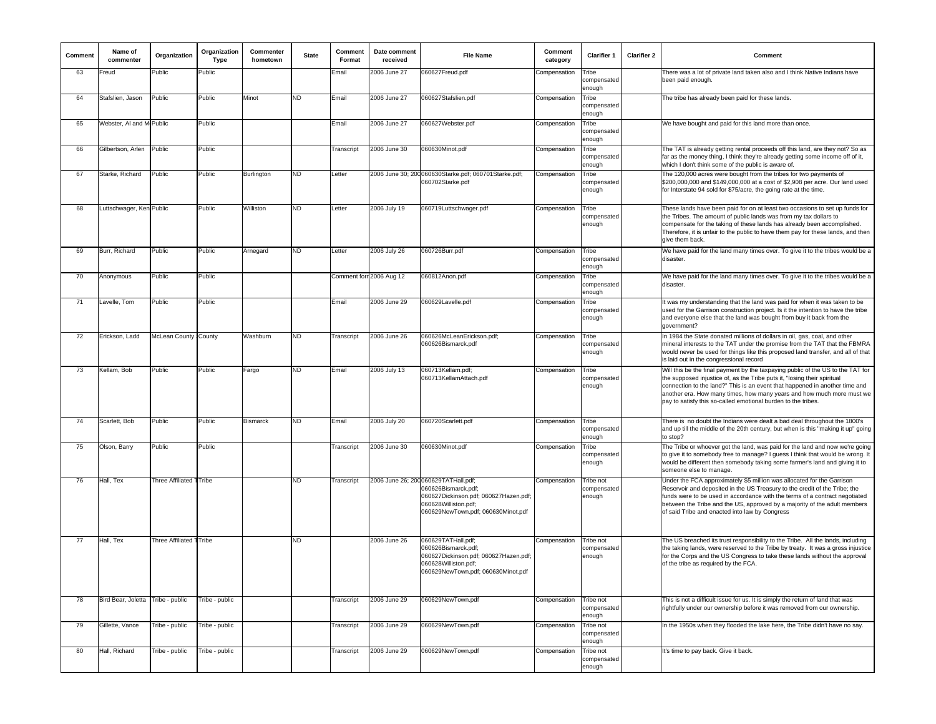| Comment | Name of<br>commenter              | Organization                | Organization<br>Type | Commenter<br>hometown | <b>State</b> | Comment<br>Format | Date comment<br>received | <b>File Name</b>                                                                                                                                                   | Comment<br>category | <b>Clarifier 1</b>                 | <b>Clarifier 2</b> | Comment                                                                                                                                                                                                                                                                                                                                                                              |
|---------|-----------------------------------|-----------------------------|----------------------|-----------------------|--------------|-------------------|--------------------------|--------------------------------------------------------------------------------------------------------------------------------------------------------------------|---------------------|------------------------------------|--------------------|--------------------------------------------------------------------------------------------------------------------------------------------------------------------------------------------------------------------------------------------------------------------------------------------------------------------------------------------------------------------------------------|
| 63      | Freud                             | Public                      | Public               |                       |              | Email             | 2006 June 27             | 060627Freud.pdf                                                                                                                                                    | Compensation        | Tribe<br>compensated<br>enough     |                    | There was a lot of private land taken also and I think Native Indians have<br>been paid enough.                                                                                                                                                                                                                                                                                      |
| 64      | Stafslien, Jason                  | Public                      | Public               | Minot                 | ND.          | Email             | 2006 June 27             | 060627Stafslien.pdf                                                                                                                                                | Compensation        | Tribe<br>compensated<br>enough     |                    | The tribe has already been paid for these lands.                                                                                                                                                                                                                                                                                                                                     |
| 65      | Webster, AI and M Public          |                             | Public               |                       |              | Email             | 2006 June 27             | 060627Webster.pdf                                                                                                                                                  | Compensation        | Tribe<br>compensated<br>enough     |                    | We have bought and paid for this land more than once.                                                                                                                                                                                                                                                                                                                                |
| 66      | Gilbertson, Arlen                 | Public                      | Public               |                       |              | Transcript        | 2006 June 30             | 060630Minot.pdf                                                                                                                                                    | Compensation        | Tribe<br>compensated<br>enough     |                    | The TAT is already getting rental proceeds off this land, are they not? So as<br>far as the money thing, I think they're already getting some income off of it,<br>which I don't think some of the public is aware of.                                                                                                                                                               |
| 67      | Starke, Richard                   | Public                      | Public               | Burlington            | ND.          | Letter            |                          | 2006 June 30; 200 060630Starke.pdf; 060701Starke.pdf;<br>060702Starke.pdf                                                                                          | Compensation        | Tribe<br>compensated<br>enough     |                    | The 120,000 acres were bought from the tribes for two payments of<br>\$200,000,000 and \$149,000,000 at a cost of \$2,908 per acre. Our land used<br>for Interstate 94 sold for \$75/acre, the going rate at the time.                                                                                                                                                               |
| 68      | Luttschwager, Ken Public          |                             | Public               | Williston             | ND.          | Letter            | 2006 July 19             | 060719Luttschwager.pdf                                                                                                                                             | Compensation        | Tribe<br>compensated<br>enough     |                    | These lands have been paid for on at least two occasions to set up funds for<br>the Tribes. The amount of public lands was from my tax dollars to<br>compensate for the taking of these lands has already been accomplished.<br>Therefore, it is unfair to the public to have them pay for these lands, and then<br>give them back.                                                  |
| 69      | Burr, Richard                     | Public                      | Public               | Arnegard              | ND           | Letter            | 2006 July 26             | 060726Burr.pdf                                                                                                                                                     | Compensation        | Tribe<br>compensated<br>enough     |                    | We have paid for the land many times over. To give it to the tribes would be a<br>disaster.                                                                                                                                                                                                                                                                                          |
| 70      | Anonymous                         | Public                      | Public               |                       |              |                   | Comment forr 2006 Aug 12 | 060812Anon.pdf                                                                                                                                                     | Compensation        | Tribe<br>compensated<br>enough     |                    | We have paid for the land many times over. To give it to the tribes would be a<br>disaster.                                                                                                                                                                                                                                                                                          |
| 71      | Lavelle, Tom                      | Public                      | Public               |                       |              | Email             | 2006 June 29             | 060629Lavelle.pdf                                                                                                                                                  | Compensation        | Tribe<br>compensated<br>enough     |                    | It was my understanding that the land was paid for when it was taken to be<br>used for the Garrison construction project. Is it the intention to have the tribe<br>and everyone else that the land was bought from buy it back from the<br>aovernment?                                                                                                                               |
| 72      | Erickson, Ladd                    | <b>McLean County County</b> |                      | Washburn              | ND           | Transcript        | 2006 June 26             | 060626McLeanErickson.pdf:<br>060626Bismarck.pdf                                                                                                                    | Compensation        | Tribe<br>compensated<br>enough     |                    | In 1984 the State donated millions of dollars in oil, gas, coal, and other<br>mineral interests to the TAT under the promise from the TAT that the FBMRA<br>would never be used for things like this proposed land transfer, and all of that<br>is laid out in the congressional record                                                                                              |
| 73      | Kellam, Bob                       | Public                      | Public               | Fargo                 | <b>ND</b>    | Email             | 2006 July 13             | 060713Kellam.pdf;<br>060713KellamAttach.pdf                                                                                                                        | Compensation        | Tribe<br>compensated<br>enough     |                    | Will this be the final payment by the taxpaying public of the US to the TAT for<br>the supposed injustice of, as the Tribe puts it, "losing their spiritual<br>connection to the land?" This is an event that happened in another time and<br>another era. How many times, how many years and how much more must we<br>pay to satisfy this so-called emotional burden to the tribes. |
| 74      | Scarlett, Bob                     | Public                      | Public               | <b>Bismarck</b>       | ND           | Email             | 2006 July 20             | 060720Scarlett.pdf                                                                                                                                                 | Compensation        | Tribe<br>compensated<br>enough     |                    | There is no doubt the Indians were dealt a bad deal throughout the 1800's<br>and up till the middle of the 20th century, but when is this "making it up" going<br>to stop?                                                                                                                                                                                                           |
| 75      | Olson, Barry                      | Public                      | Public               |                       |              | Transcript        | 2006 June 30             | 060630Minot.pdf                                                                                                                                                    | Compensation        | Tribe<br>compensated<br>enough     |                    | The Tribe or whoever got the land, was paid for the land and now we're going<br>to give it to somebody free to manage? I guess I think that would be wrong. It<br>would be different then somebody taking some farmer's land and giving it to<br>someone else to manage.                                                                                                             |
| 76      | Hall, Tex                         | Three Affiliated TTribe     |                      |                       | ND           | Transcript        |                          | 2006 June 26; 200 060629TATHall.pdf;<br>060626Bismarck.pdf;<br>060627Dickinson.pdf; 060627Hazen.pdf;<br>060628Williston.pdf;<br>060629NewTown.pdf; 060630Minot.pdf | Compensation        | Tribe not<br>compensated<br>enough |                    | Under the FCA approximately \$5 million was allocated for the Garrison<br>Reservoir and deposited in the US Treasury to the credit of the Tribe; the<br>funds were to be used in accordance with the terms of a contract negotiated<br>between the Tribe and the US, approved by a majority of the adult members<br>of said Tribe and enacted into law by Congress                   |
| 77      | Hall, Tex                         | Three Affiliated 1 Tribe    |                      |                       | <b>ND</b>    |                   | 2006 June 26             | 060629TATHall.pdf;<br>060626Bismarck.pdf;<br>060627Dickinson.pdf; 060627Hazen.pdf;<br>060628Williston.pdf;<br>060629NewTown.pdf; 060630Minot.pdf                   | Compensation        | Tribe not<br>compensated<br>enough |                    | The US breached its trust responsibility to the Tribe. All the lands, including<br>the taking lands, were reserved to the Tribe by treaty. It was a gross injustice<br>for the Corps and the US Congress to take these lands without the approval<br>of the tribe as required by the FCA.                                                                                            |
| 78      | Bird Bear, Joletta Tribe - public |                             | Tribe - public       |                       |              | Transcript        | 2006 June 29             | 060629NewTown.pdf                                                                                                                                                  | Compensation        | Tribe not<br>compensated<br>enough |                    | This is not a difficult issue for us. It is simply the return of land that was<br>rightfully under our ownership before it was removed from our ownership.                                                                                                                                                                                                                           |
| 79      | Gillette, Vance                   | Tribe - public              | Tribe - public       |                       |              | Transcript        | 2006 June 29             | 060629NewTown.pdf                                                                                                                                                  | Compensation        | Tribe not<br>compensated<br>enough |                    | In the 1950s when they flooded the lake here, the Tribe didn't have no say.                                                                                                                                                                                                                                                                                                          |
| 80      | Hall, Richard                     | Tribe - public              | Tribe - public       |                       |              | Transcript        | 2006 June 29             | 060629NewTown.pdf                                                                                                                                                  | Compensation        | Tribe not<br>compensated<br>enough |                    | It's time to pay back. Give it back.                                                                                                                                                                                                                                                                                                                                                 |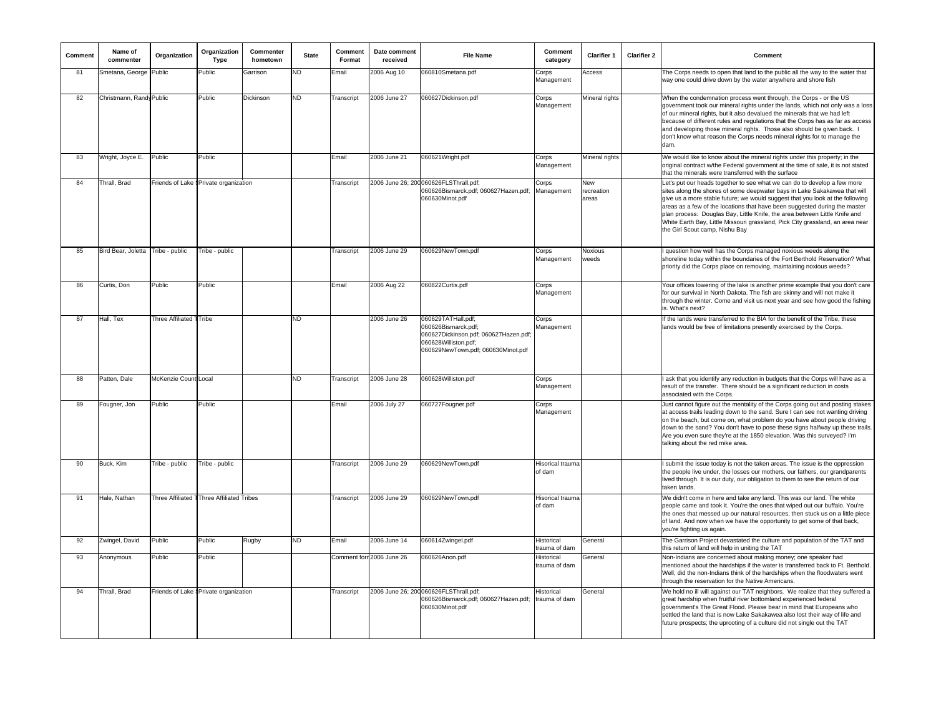| Comment | Name of<br>commenter              | Organization            | Organization<br>Type                      | Commenter<br>hometown | <b>State</b> | Comment<br>Format | Date comment<br>received | <b>File Name</b>                                                                                                                                 | Comment<br>category         | <b>Clarifier 1</b>         | <b>Clarifier 2</b> | Comment                                                                                                                                                                                                                                                                                                                                                                                                                                                                                                               |
|---------|-----------------------------------|-------------------------|-------------------------------------------|-----------------------|--------------|-------------------|--------------------------|--------------------------------------------------------------------------------------------------------------------------------------------------|-----------------------------|----------------------------|--------------------|-----------------------------------------------------------------------------------------------------------------------------------------------------------------------------------------------------------------------------------------------------------------------------------------------------------------------------------------------------------------------------------------------------------------------------------------------------------------------------------------------------------------------|
| 81      | Smetana, George                   | Public                  | Public                                    | Garrison              | <b>ND</b>    | Email             | 2006 Aug 10              | 060810Smetana.pdf                                                                                                                                | Corps<br>Management         | Access                     |                    | The Corps needs to open that land to the public all the way to the water that<br>way one could drive down by the water anywhere and shore fish                                                                                                                                                                                                                                                                                                                                                                        |
| 82      | Christmann, Randy Public          |                         | Public                                    | Dickinson             | <b>ND</b>    | Transcript        | 2006 June 27             | 060627Dickinson.pdf                                                                                                                              | Corps<br>Management         | Mineral rights             |                    | When the condemnation process went through, the Corps - or the US<br>government took our mineral rights under the lands, which not only was a loss<br>of our mineral rights, but it also devalued the minerals that we had left<br>because of different rules and regulations that the Corps has as far as access<br>and developing those mineral rights. Those also should be given back. I<br>don't know what reason the Corps needs mineral rights for to manage the<br>dam.                                       |
| 83      | Wright, Joyce E.                  | Public                  | Public                                    |                       |              | Email             | 2006 June 21             | 060621Wright.pdf                                                                                                                                 | Corps<br>Management         | Mineral rights             |                    | We would like to know about the mineral rights under this property; in the<br>original contract w/the Federal government at the time of sale, it is not stated<br>that the minerals were transferred with the surface                                                                                                                                                                                                                                                                                                 |
| 84      | Thrall, Brad                      |                         | Friends of Lake § Private organization    |                       |              | Transcript        |                          | 2006 June 26; 200060626FLSThrall.pdf;<br>060626Bismarck.pdf; 060627Hazen.pdf;<br>060630Minot.pdf                                                 | Corps<br>Management         | New<br>recreation<br>areas |                    | Let's put our heads together to see what we can do to develop a few more<br>sites along the shores of some deepwater bays in Lake Sakakawea that will<br>give us a more stable future; we would suggest that you look at the following<br>areas as a few of the locations that have been suggested during the master<br>plan process: Douglas Bay, Little Knife, the area between Little Knife and<br>White Earth Bay, Little Missouri grassland, Pick City grassland, an area near<br>the Girl Scout camp, Nishu Bay |
| 85      | Bird Bear, Joletta Tribe - public |                         | Tribe - public                            |                       |              | Transcript        | 2006 June 29             | 060629NewTown.pdf                                                                                                                                | Corps<br>Management         | Noxious<br>weeds           |                    | I question how well has the Corps managed noxious weeds along the<br>shoreline today within the boundaries of the Fort Berthold Reservation? What<br>priority did the Corps place on removing, maintaining noxious weeds?                                                                                                                                                                                                                                                                                             |
| 86      | Curtis, Don                       | Public                  | Public                                    |                       |              | Email             | 2006 Aug 22              | 060822Curtis.pdf                                                                                                                                 | Corps<br>Management         |                            |                    | Your offices lowering of the lake is another prime example that you don't care<br>for our survival in North Dakota. The fish are skinny and will not make it<br>through the winter. Come and visit us next year and see how good the fishing<br>is. What's next?                                                                                                                                                                                                                                                      |
| 87      | Hall, Tex                         | Three Affiliated TTribe |                                           |                       | <b>ND</b>    |                   | 2006 June 26             | 060629TATHall.pdf;<br>060626Bismarck.pdf;<br>060627Dickinson.pdf; 060627Hazen.pdf;<br>060628Williston.pdf;<br>060629NewTown.pdf; 060630Minot.pdf | Corps<br>Management         |                            |                    | If the lands were transferred to the BIA for the benefit of the Tribe, these<br>lands would be free of limitations presently exercised by the Corps.                                                                                                                                                                                                                                                                                                                                                                  |
| 88      | Patten, Dale                      | McKenzie Count Local    |                                           |                       | <b>ND</b>    | Transcript        | 2006 June 28             | 060628Williston.pdf                                                                                                                              | Corps<br>Management         |                            |                    | I ask that you identify any reduction in budgets that the Corps will have as a<br>result of the transfer. There should be a significant reduction in costs<br>associated with the Corps.                                                                                                                                                                                                                                                                                                                              |
| 89      | Fougner, Jon                      | Public                  | Public                                    |                       |              | Email             | 2006 July 27             | 060727Fougner.pdf                                                                                                                                | Corps<br>Management         |                            |                    | Just cannot figure out the mentality of the Corps going out and posting stakes<br>at access trails leading down to the sand. Sure I can see not wanting driving<br>on the beach, but come on, what problem do you have about people driving<br>down to the sand? You don't have to pose these signs halfway up these trails.<br>Are you even sure they're at the 1850 elevation. Was this surveyed? I'm<br>talking about the red mike area.                                                                           |
| 90      | Buck, Kim                         | Tribe - public          | Tribe - public                            |                       |              | Transcript        | 2006 June 29             | 060629NewTown.pdf                                                                                                                                | Hisorical trauma<br>of dam  |                            |                    | I submit the issue today is not the taken areas. The issue is the oppression<br>the people live under, the losses our mothers, our fathers, our grandparents<br>lived through. It is our duty, our obligation to them to see the return of our<br>taken lands.                                                                                                                                                                                                                                                        |
| 91      | Hale, Nathan                      |                         | Three Affiliated TThree Affiliated Tribes |                       |              | Transcript        | 2006 June 29             | 060629NewTown.pdf                                                                                                                                | Hisorical trauma<br>of dam  |                            |                    | We didn't come in here and take any land. This was our land. The white<br>people came and took it. You're the ones that wiped out our buffalo. You're<br>the ones that messed up our natural resources, then stuck us on a little piece<br>of land. And now when we have the opportunity to get some of that back,<br>you're fighting us again.                                                                                                                                                                       |
| 92      | Zwingel, David                    | Public                  | Public                                    | Rugby                 | <b>ND</b>    | Email             | 2006 June 14             | 060614Zwingel.pdf                                                                                                                                | Historical<br>trauma of dam | General                    |                    | The Garrison Project devastated the culture and population of the TAT and<br>this return of land will help in uniting the TAT                                                                                                                                                                                                                                                                                                                                                                                         |
| 93      | Anonymous                         | Public                  | Public                                    |                       |              |                   | Comment for 2006 June 26 | 060626Anon.pdf                                                                                                                                   | Historica<br>trauma of dam  | General                    |                    | Non-Indians are concerned about making money; one speaker had<br>mentioned about the hardships if the water is transferred back to Ft. Berthold.<br>Well, did the non-Indians think of the hardships when the floodwaters went<br>through the reservation for the Native Americans.                                                                                                                                                                                                                                   |
| 94      | Thrall, Brad                      |                         | Friends of Lake § Private organization    |                       |              | Transcript        |                          | 2006 June 26; 200 060626FLSThrall.pdf;<br>060626Bismarck.pdf; 060627Hazen.pdf;<br>060630Minot.pdf                                                | Historical<br>trauma of dam | <b>General</b>             |                    | We hold no ill will against our TAT neighbors. We realize that they suffered a<br>great hardship when fruitful river bottomland experienced federal<br>government's The Great Flood. Please bear in mind that Europeans who<br>settled the land that is now Lake Sakakawea also lost their way of life and<br>future prospects; the uprooting of a culture did not single out the TAT                                                                                                                                 |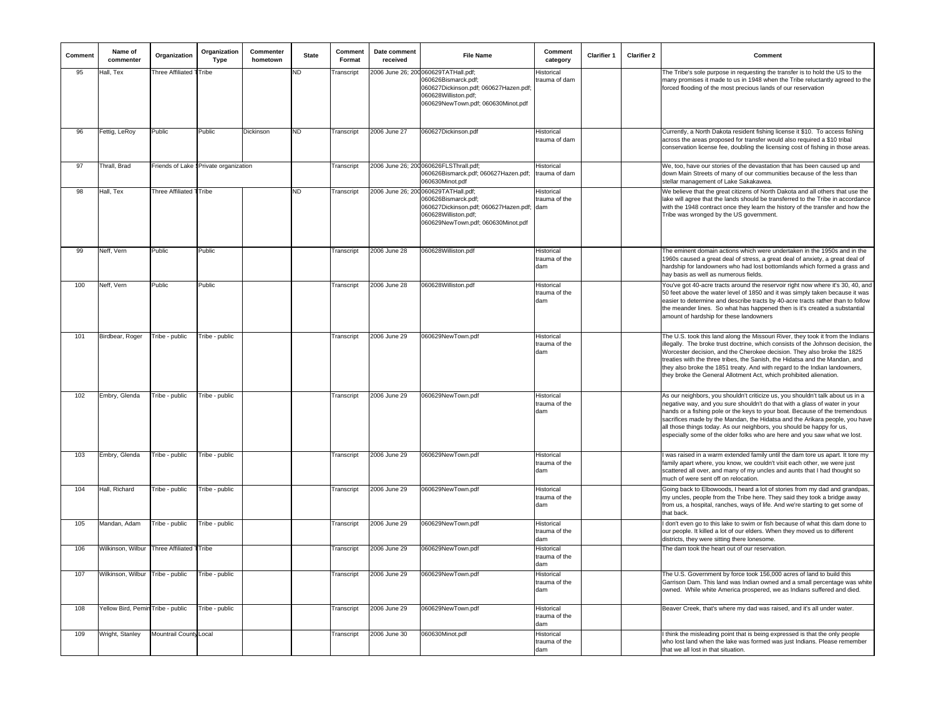| Comment | Name of<br>commenter              | Organization            | Organization<br>Type                   | Commenter<br>hometown | <b>State</b> | Comment<br>Format | Date comment<br>received | <b>File Name</b>                                                                                                                                                   | Comment<br>category                      | <b>Clarifier 1</b> | <b>Clarifier 2</b> | Comment                                                                                                                                                                                                                                                                                                                                                                                                                                                                           |
|---------|-----------------------------------|-------------------------|----------------------------------------|-----------------------|--------------|-------------------|--------------------------|--------------------------------------------------------------------------------------------------------------------------------------------------------------------|------------------------------------------|--------------------|--------------------|-----------------------------------------------------------------------------------------------------------------------------------------------------------------------------------------------------------------------------------------------------------------------------------------------------------------------------------------------------------------------------------------------------------------------------------------------------------------------------------|
| 95      | Hall, Tex                         | Three Affiliated        | Tribe                                  |                       | ND           | Transcript        |                          | 2006 June 26; 200 060629TATHall.pdf;<br>060626Bismarck.pdf;<br>060627Dickinson.pdf; 060627Hazen.pdf;<br>060628Williston.pdf;<br>060629NewTown.pdf; 060630Minot.pdf | Historical<br>rauma of dam               |                    |                    | The Tribe's sole purpose in requesting the transfer is to hold the US to the<br>many promises it made to us in 1948 when the Tribe reluctantly agreed to the<br>forced flooding of the most precious lands of our reservation                                                                                                                                                                                                                                                     |
| 96      | Fettig, LeRoy                     | Public                  | Public                                 | Dickinson             | ND           | Transcript        | 2006 June 27             | 060627Dickinson.pdf                                                                                                                                                | Historical<br>rauma of dam:              |                    |                    | Currently, a North Dakota resident fishing license it \$10. To access fishing<br>across the areas proposed for transfer would also required a \$10 tribal<br>conservation license fee, doubling the licensing cost of fishing in those areas.                                                                                                                                                                                                                                     |
| 97      | Thrall, Brad                      |                         | Friends of Lake § Private organization |                       |              | Transcript        |                          | 2006 June 26; 200 060626FLSThrall.pdf;<br>060626Bismarck.pdf; 060627Hazen.pdf;<br>60630Minot.pdf                                                                   | Historical<br>trauma of dam              |                    |                    | We, too, have our stories of the devastation that has been caused up and<br>down Main Streets of many of our communities because of the less than<br>stellar management of Lake Sakakawea                                                                                                                                                                                                                                                                                         |
| 98      | Hall, Tex                         | Three Affiliated TTribe |                                        |                       | <b>ND</b>    | Transcript        |                          | 2006 June 26; 200 060629TATHall.pdf;<br>060626Bismarck.pdf;<br>060627Dickinson.pdf; 060627Hazen.pdf;<br>060628Williston.pdf:<br>060629NewTown.pdf; 060630Minot.pdf | Historical<br>trauma of the<br>dam       |                    |                    | We believe that the great citizens of North Dakota and all others that use the<br>lake will agree that the lands should be transferred to the Tribe in accordance<br>with the 1948 contract once they learn the history of the transfer and how the<br>Tribe was wronged by the US government.                                                                                                                                                                                    |
| 99      | Neff, Vern                        | Public                  | Public                                 |                       |              | Transcript        | 2006 June 28             | 060628Williston.pdf                                                                                                                                                | <b>Historical</b><br>rauma of the<br>dam |                    |                    | The eminent domain actions which were undertaken in the 1950s and in the<br>1960s caused a great deal of stress, a great deal of anxiety, a great deal of<br>hardship for landowners who had lost bottomlands which formed a grass and<br>hay basis as well as numerous fields.                                                                                                                                                                                                   |
| 100     | Neff, Vern                        | Public                  | Public                                 |                       |              | Transcript        | 2006 June 28             | 060628Williston.pdf                                                                                                                                                | Historica<br>trauma of the<br>dam        |                    |                    | You've got 40-acre tracts around the reservoir right now where it's 30, 40, and<br>50 feet above the water level of 1850 and it was simply taken because it was<br>easier to determine and describe tracts by 40-acre tracts rather than to follow<br>the meander lines. So what has happened then is it's created a substantial<br>amount of hardship for these landowners                                                                                                       |
| 101     | Birdbear, Roger                   | Tribe - public          | Tribe - public                         |                       |              | Transcript        | 2006 June 29             | 060629NewTown.pdf                                                                                                                                                  | Historical<br>trauma of the<br>dam       |                    |                    | The U.S. took this land along the Missouri River, they took it from the Indians<br>illegally. The broke trust doctrine, which consists of the Johnson decision, the<br>Worcester decision, and the Cherokee decision. They also broke the 1825<br>treaties with the three tribes, the Sanish, the Hidatsa and the Mandan, and<br>they also broke the 1851 treaty. And with regard to the Indian landowners,<br>they broke the General Allotment Act, which prohibited alienation. |
| 102     | Embry, Glenda                     | Tribe - public          | Tribe - public                         |                       |              | Transcript        | 2006 June 29             | 060629NewTown.pdf                                                                                                                                                  | Historical<br>rauma of the<br>dam        |                    |                    | As our neighbors, you shouldn't criticize us, you shouldn't talk about us in a<br>negative way, and you sure shouldn't do that with a glass of water in your<br>hands or a fishing pole or the keys to your boat. Because of the tremendous<br>sacrifices made by the Mandan, the Hidatsa and the Arikara people, you have<br>all those things today. As our neighbors, you should be happy for us,<br>especially some of the older folks who are here and you saw what we lost.  |
| 103     | Embry, Glenda                     | Tribe - public          | Tribe - public                         |                       |              | Transcript        | 2006 June 29             | 060629NewTown.pdf                                                                                                                                                  | Historical<br>trauma of the<br>dam       |                    |                    | was raised in a warm extended family until the dam tore us apart. It tore my<br>family apart where, you know, we couldn't visit each other, we were just<br>scattered all over, and many of my uncles and aunts that I had thought so<br>much of were sent off on relocation.                                                                                                                                                                                                     |
| 104     | Hall, Richard                     | Tribe - public          | Tribe - public                         |                       |              | Transcript        | 2006 June 29             | 060629NewTown.pdf                                                                                                                                                  | Historical<br>trauma of the<br>dam       |                    |                    | Going back to Elbowoods, I heard a lot of stories from my dad and grandpas,<br>my uncles, people from the Tribe here. They said they took a bridge away<br>from us, a hospital, ranches, ways of life. And we're starting to get some of<br>that back.                                                                                                                                                                                                                            |
| 105     | Mandan, Adam                      | Tribe - public          | Tribe - public                         |                       |              | Transcript        | 2006 June 29             | 060629NewTown.pdf                                                                                                                                                  | Historical<br>trauma of the<br>dam       |                    |                    | I don't even go to this lake to swim or fish because of what this dam done to<br>our people. It killed a lot of our elders. When they moved us to different<br>districts, they were sitting there lonesome.                                                                                                                                                                                                                                                                       |
| 106     | Wilkinson, Wilbur                 | Three Affiliated TTribe |                                        |                       |              | Transcript        | 2006 June 29             | 060629NewTown.pdf                                                                                                                                                  | Historical<br>trauma of the<br>dam       |                    |                    | The dam took the heart out of our reservation.                                                                                                                                                                                                                                                                                                                                                                                                                                    |
| 107     | Wilkinson, Wilbur Tribe - public  |                         | Tribe - public                         |                       |              | Transcript        | 2006 June 29             | 060629NewTown.pdf                                                                                                                                                  | Historical<br>trauma of the<br>dam       |                    |                    | The U.S. Government by force took 156,000 acres of land to build this<br>Garrison Dam. This land was Indian owned and a small percentage was white<br>owned. While white America prospered, we as Indians suffered and died.                                                                                                                                                                                                                                                      |
| 108     | Yellow Bird, Pemin Tribe - public |                         | Tribe - public                         |                       |              | Transcript        | 2006 June 29             | 060629NewTown.pdf                                                                                                                                                  | Historical<br>rauma of the<br>dam        |                    |                    | Beaver Creek, that's where my dad was raised, and it's all under water.                                                                                                                                                                                                                                                                                                                                                                                                           |
| 109     | Wright, Stanley                   | Mountrail County Local  |                                        |                       |              | Transcript        | 2006 June 30             | 060630Minot.pdf                                                                                                                                                    | Historical<br>trauma of the<br>dam       |                    |                    | I think the misleading point that is being expressed is that the only people<br>who lost land when the lake was formed was just Indians. Please remember<br>that we all lost in that situation.                                                                                                                                                                                                                                                                                   |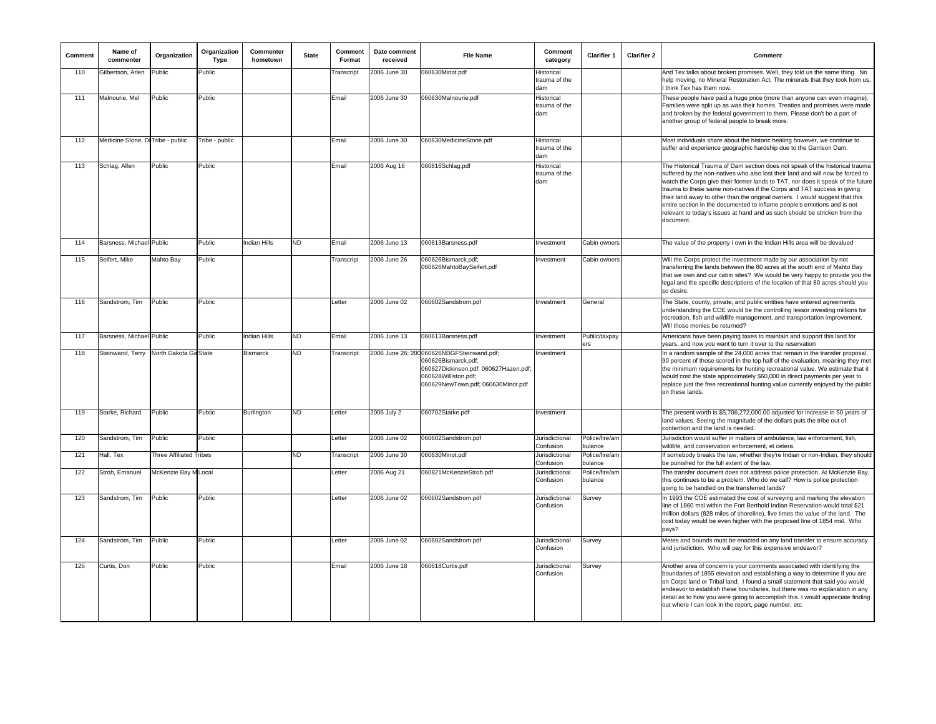| Comment | Name of<br>commenter              | Organization            | Organization<br>Type | Commenter<br>hometown | <b>State</b> | Comment<br>Format | Date comment<br>received | <b>File Name</b>                                                                                                                                                         | Comment<br>category                | Clarifier 1               | <b>Clarifier 2</b> | Comment                                                                                                                                                                                                                                                                                                                                                                                                                                                                                                                                                                             |
|---------|-----------------------------------|-------------------------|----------------------|-----------------------|--------------|-------------------|--------------------------|--------------------------------------------------------------------------------------------------------------------------------------------------------------------------|------------------------------------|---------------------------|--------------------|-------------------------------------------------------------------------------------------------------------------------------------------------------------------------------------------------------------------------------------------------------------------------------------------------------------------------------------------------------------------------------------------------------------------------------------------------------------------------------------------------------------------------------------------------------------------------------------|
| 110     | Gilbertson, Arlen                 | Public                  | Public               |                       |              | Transcript        | 2006 June 30             | 060630Minot.pdf                                                                                                                                                          | Historical<br>trauma of the<br>dam |                           |                    | And Tex talks about broken promises. Well, they told us the same thing. No<br>help moving, no Mineral Restoration Act. The minerals that they took from us<br>I think Tex has them now.                                                                                                                                                                                                                                                                                                                                                                                             |
| 111     | Malnourie, Mel                    | Public                  | Public               |                       |              | Email             | 2006 June 30             | 060630Malnourie.pdf                                                                                                                                                      | Historical<br>trauma of the<br>dam |                           |                    | These people have paid a huge price (more than anyone can even imagine).<br>Families were split up as was their homes. Treaties and promises were made<br>and broken by the federal government to them. Please don't be a part of<br>another group of federal people to break more.                                                                                                                                                                                                                                                                                                 |
| 112     | Medicine Stone, Di Tribe - public |                         | Tribe - public       |                       |              | Email             | 2006 June 30             | 060630MedicineStone.pdf                                                                                                                                                  | Historical<br>trauma of the<br>dam |                           |                    | Most individuals share about the historic healing however, we continue to<br>suffer and experience geographic hardship due to the Garrison Dam.                                                                                                                                                                                                                                                                                                                                                                                                                                     |
| 113     | Schlag, Allen                     | Public                  | Public               |                       |              | Email             | 2006 Aug 16              | 060816Schlag.pdf                                                                                                                                                         | Historical<br>rauma of the<br>dam  |                           |                    | The Historical Trauma of Dam section does not speak of the historical trauma<br>suffered by the non-natives who also lost their land and will now be forced to<br>watch the Corps give their former lands to TAT, nor does it speak of the future<br>trauma to these same non-natives if the Corps and TAT success in giving<br>their land away to other than the original owners. I would suggest that this<br>entire section in the documented to inflame people's emotions and is not<br>relevant to today's issues at hand and as such should be stricken from the<br>document. |
| 114     | Barsness, Michael Public          |                         | Public               | <b>Indian Hills</b>   | <b>ND</b>    | Email             | 2006 June 13             | 060613Barsness.pdf                                                                                                                                                       | Investment                         | Cabin owners              |                    | The value of the property I own in the Indian Hills area will be devalued                                                                                                                                                                                                                                                                                                                                                                                                                                                                                                           |
| 115     | Seifert, Mike                     | Mahto Bay               | Public               |                       |              | Transcript        | 2006 June 26             | 060626Bismarck.pdf;<br>060626MahtoBaySeifert.pdf                                                                                                                         | Investment                         | Cabin owners              |                    | Will the Corps protect the investment made by our association by not<br>transferring the lands between the 80 acres at the south end of Mahto Bay<br>that we own and our cabin sites? We would be very happy to provide you the<br>legal and the specific descriptions of the location of that 80 acres should you<br>so desire.                                                                                                                                                                                                                                                    |
| 116     | Sandstrom, Tim                    | Public                  | Public               |                       |              | Letter            | 2006 June 02             | 060602Sandstrom.pdf                                                                                                                                                      | Investment                         | General                   |                    | The State, county, private, and public entities have entered agreements<br>understanding the COE would be the controlling lessor investing millions for<br>recreation, fish and wildlife management, and transportation improvement.<br>Will those monies be returned?                                                                                                                                                                                                                                                                                                              |
| 117     | Barsness, Michael Public          |                         | Public               | Indian Hills          | ND           | Email             | 2006 June 13             | 060613Barsness.pdf                                                                                                                                                       | Investment                         | Public/taxpay<br>ers      |                    | Americans have been paying taxes to maintain and support this land for<br>years, and now you want to turn it over to the reservation                                                                                                                                                                                                                                                                                                                                                                                                                                                |
| 118     | Steinwand, Terry                  | North Dakota Ga State   |                      | Bismarck              | <b>ND</b>    | Transcript        |                          | 2006 June 26; 200 060626NDGFSteinwand.pdf;<br>060626Bismarck.pdf;<br>060627Dickinson.pdf; 060627Hazen.pdf;<br>060628Williston.pdf;<br>060629NewTown.pdf; 060630Minot.pdf | Investment                         |                           |                    | In a random sample of the 24,000 acres that remain in the transfer proposal,<br>90 percent of those scored in the top half of the evaluation, meaning they met<br>the minimum requirements for hunting recreational value. We estimate that it<br>would cost the state approximately \$60,000 in direct payments per year to<br>replace just the free recreational hunting value currently enjoyed by the public<br>on these lands.                                                                                                                                                 |
| 119     | Starke, Richard                   | Public                  | Public               | <b>Burlington</b>     | <b>ND</b>    | Letter            | 2006 July 2              | 060702Starke.pdf                                                                                                                                                         | Investment                         |                           |                    | The present worth is \$5,706,272,000.00 adjusted for increase in 50 years of<br>land values. Seeing the magnitude of the dollars puts the tribe out of<br>contention and the land is needed.                                                                                                                                                                                                                                                                                                                                                                                        |
| 120     | Sandstrom, Tim                    | Public                  | Public               |                       |              | _etter            | 2006 June 02             | 060602Sandstrom.pdf                                                                                                                                                      | Jurisdictional<br>Confusion        | Police/fire/am<br>bulance |                    | Jurisdiction would suffer in matters of ambulance, law enforcement, fish,<br>wildlife, and conservation enforcement, et cetera.                                                                                                                                                                                                                                                                                                                                                                                                                                                     |
| 121     | Hall, Tex                         | Three Affiliated Tribes |                      |                       | <b>ND</b>    | Transcript        | 2006 June 30             | 060630Minot.pdf                                                                                                                                                          | Jurisdictional<br>Confusion        | Police/fire/am<br>bulance |                    | If somebody breaks the law, whether they're Indian or non-Indian, they should<br>be punished for the full extent of the law.                                                                                                                                                                                                                                                                                                                                                                                                                                                        |
| 122     | Stroh, Emanuel                    | McKenzie Bay M Local    |                      |                       |              | Letter            | 2006 Aug 21              | 060821McKenzieStroh.pdf                                                                                                                                                  | Jurisdictional<br>Confusion        | Police/fire/am<br>bulance |                    | The transfer document does not address police protection. At McKenzie Bay,<br>this continues to be a problem. Who do we call? How is police protection<br>going to be handled on the transferred lands?                                                                                                                                                                                                                                                                                                                                                                             |
| 123     | Sandstrom, Tim                    | Public                  | Public               |                       |              | Letter            | 2006 June 02             | 060602Sandstrom.pdf                                                                                                                                                      | Jurisdictional<br>Confusion        | Survey                    |                    | In 1993 the COE estimated the cost of surveying and marking the elevation<br>line of 1860 msl within the Fort Berthold Indian Reservation would total \$21<br>million dollars (828 miles of shoreline), five times the value of the land. The<br>cost today would be even higher with the proposed line of 1854 msl. Who<br>pays?                                                                                                                                                                                                                                                   |
| 124     | Sandstrom, Tim                    | Public                  | Public               |                       |              | Letter            | 2006 June 02             | 060602Sandstrom.pdf                                                                                                                                                      | Jurisdictional<br>Confusion        | Survey                    |                    | Metes and bounds must be enacted on any land transfer to ensure accuracy<br>and jurisdiction. Who will pay for this expensive endeavor?                                                                                                                                                                                                                                                                                                                                                                                                                                             |
| 125     | Curtis, Don                       | Public                  | Public               |                       |              | Email             | 2006 June 18             | 060618Curtis.pdf                                                                                                                                                         | Jurisdictional<br>Confusion        | Survey                    |                    | Another area of concern is your comments associated with identifying the<br>boundaries of 1855 elevation and establishing a way to determine if you are<br>on Corps land or Tribal land. I found a small statement that said you would<br>endeavor to establish these boundaries, but there was no explanation in any<br>detail as to how you were going to accomplish this. I would appreciate finding<br>out where I can look in the report, page number, etc.                                                                                                                    |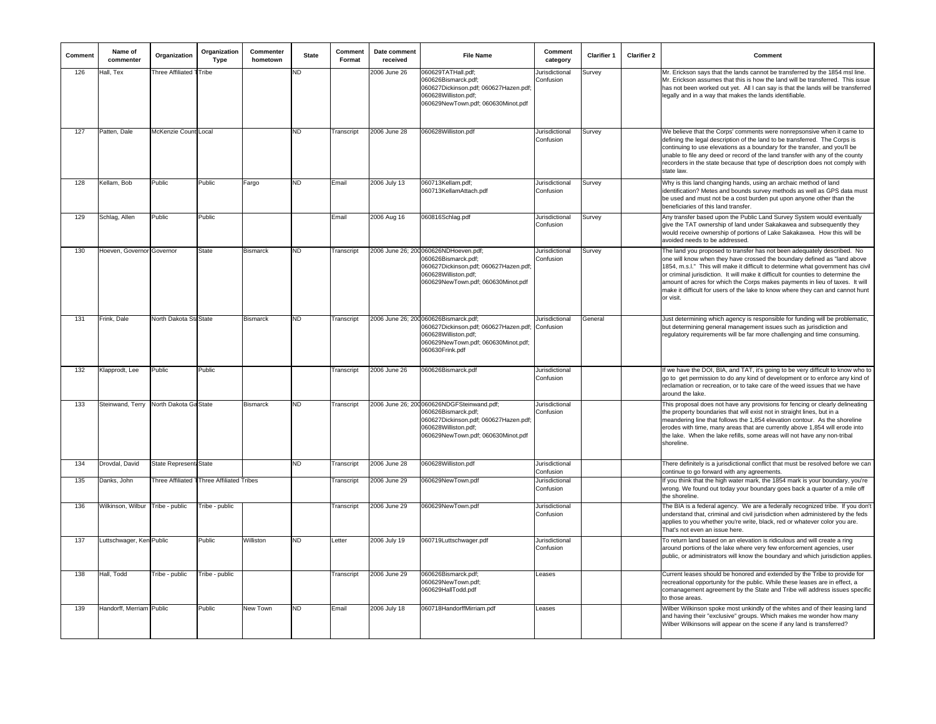| Comment | Name of<br>commenter             | Organization                              | Organization<br><b>Type</b> | Commenter<br>hometown | <b>State</b> | Comment<br>Format | Date comment<br>received | <b>File Name</b>                                                                                                                                                        | Comment<br>category                      | Clarifier 1 | <b>Clarifier 2</b> | Comment                                                                                                                                                                                                                                                                                                                                                                                                                                                                                                     |
|---------|----------------------------------|-------------------------------------------|-----------------------------|-----------------------|--------------|-------------------|--------------------------|-------------------------------------------------------------------------------------------------------------------------------------------------------------------------|------------------------------------------|-------------|--------------------|-------------------------------------------------------------------------------------------------------------------------------------------------------------------------------------------------------------------------------------------------------------------------------------------------------------------------------------------------------------------------------------------------------------------------------------------------------------------------------------------------------------|
| 126     | Hall, Tex                        | Three Affiliated TTribe                   |                             |                       | <b>ND</b>    |                   | 2006 June 26             | 060629TATHall.pdf;<br>060626Bismarck.pdf;<br>060627Dickinson.pdf; 060627Hazen.pdf;<br>060628Williston.pdf;<br>060629NewTown.pdf; 060630Minot.pdf                        | Jurisdictional<br>Confusion              | Survey      |                    | Mr. Erickson says that the lands cannot be transferred by the 1854 msl line.<br>Mr. Erickson assumes that this is how the land will be transferred. This issue<br>has not been worked out yet. All I can say is that the lands will be transferred<br>legally and in a way that makes the lands identifiable.                                                                                                                                                                                               |
| 127     | Patten, Dale                     | McKenzie Count Local                      |                             |                       | ND           | Transcript        | 2006 June 28             | 060628Williston.pdf                                                                                                                                                     | Jurisdictional<br>Confusion              | Survey      |                    | We believe that the Corps' comments were nonrepsonsive when it came to<br>defining the legal description of the land to be transferred. The Corps is<br>continuing to use elevations as a boundary for the transfer, and you'll be<br>unable to file any deed or record of the land transfer with any of the county<br>recorders in the state because that type of description does not comply with<br>state law.                                                                                           |
| 128     | Kellam, Bob                      | Public                                    | Public                      | Fargo                 | ND           | Email             | 2006 July 13             | 060713Kellam.pdf;<br>060713KellamAttach.pdf                                                                                                                             | Jurisdictional<br>Confusion              | Survey      |                    | Why is this land changing hands, using an archaic method of land<br>identification? Metes and bounds survey methods as well as GPS data must<br>be used and must not be a cost burden put upon anyone other than the<br>beneficiaries of this land transfer.                                                                                                                                                                                                                                                |
| 129     | Schlag, Allen                    | Public                                    | Public                      |                       |              | Email             | 2006 Aug 16              | 060816Schlag.pdf                                                                                                                                                        | Jurisdictional<br>Confusion              | Survey      |                    | Any transfer based upon the Public Land Survey System would eventually<br>give the TAT ownership of land under Sakakawea and subsequently they<br>would receive ownership of portions of Lake Sakakawea. How this will be<br>avoided needs to be addressed.                                                                                                                                                                                                                                                 |
| 130     | Hoeven, Governor Governor        |                                           | <b>State</b>                | <b>Bismarck</b>       | ND.          | Transcript        |                          | 2006 June 26; 200060626NDHoeven.pdf;<br>060626Bismarck.pdf;<br>060627Dickinson.pdf; 060627Hazen.pdf;<br>060628Williston.pdf;<br>060629NewTown.pdf; 060630Minot.pdf      | Jurisdictional<br>Confusion              | Survey      |                    | The land you proposed to transfer has not been adequately described. No<br>one will know when they have crossed the boundary defined as "land above<br>1854, m.s.l." This will make it difficult to determine what government has civil<br>or criminal jurisdiction. It will make it difficult for counties to determine the<br>amount of acres for which the Corps makes payments in lieu of taxes. It will<br>make it difficult for users of the lake to know where they can and cannot hunt<br>or visit. |
| 131     | Frink, Dale                      | North Dakota Sta State                    |                             | <b>Bismarck</b>       | ND           | Transcript        |                          | 2006 June 26; 200 060626Bismarck.pdf;<br>060627Dickinson.pdf; 060627Hazen.pdf;<br>060628Williston.pdf;<br>060629NewTown.pdf; 060630Minot.pdf;<br>060630Frink.pdf        | Jurisdictional<br>Confusion              | General     |                    | Just determining which agency is responsible for funding will be problematic,<br>but determining general management issues such as jurisdiction and<br>regulatory requirements will be far more challenging and time consuming.                                                                                                                                                                                                                                                                             |
| 132     | Klapprodt, Lee                   | Public                                    | Public                      |                       |              | Transcript        | 2006 June 26             | 060626Bismarck.pdf                                                                                                                                                      | Jurisdictional<br>Confusion              |             |                    | If we have the DOI, BIA, and TAT, it's going to be very difficult to know who to<br>go to get permission to do any kind of development or to enforce any kind of<br>reclamation or recreation, or to take care of the weed issues that we have<br>around the lake.                                                                                                                                                                                                                                          |
| 133     | Steinwand, Terry                 | North Dakota Ga State                     |                             | <b>Bismarck</b>       | ND           | Transcript        |                          | 2006 June 26; 200060626NDGFSteinwand.pdf;<br>060626Bismarck.pdf:<br>060627Dickinson.pdf; 060627Hazen.pdf;<br>060628Williston.pdf:<br>060629NewTown.pdf; 060630Minot.pdf | Jurisdictional<br>Confusion              |             |                    | This proposal does not have any provisions for fencing or clearly delineating<br>the property boundaries that will exist not in straight lines, but in a<br>meandering line that follows the 1.854 elevation contour. As the shoreline<br>erodes with time, many areas that are currently above 1.854 will erode into<br>the lake. When the lake refills, some areas will not have any non-tribal<br>shoreline.                                                                                             |
| 134     | Drovdal, David                   | State Represent: State                    |                             |                       | ND           | Transcript        | 2006 June 28             | 060628Williston.pdf                                                                                                                                                     | Jurisdictional                           |             |                    | There definitely is a jurisdictional conflict that must be resolved before we can                                                                                                                                                                                                                                                                                                                                                                                                                           |
| 135     | Danks, John                      | Three Affiliated TThree Affiliated Tribes |                             |                       |              | Transcript        | 2006 June 29             | 060629NewTown.pdf                                                                                                                                                       | Confusion<br>Jurisdictional<br>Confusion |             |                    | continue to go forward with any agreements.<br>If you think that the high water mark, the 1854 mark is your boundary, you're<br>wrong. We found out today your boundary goes back a quarter of a mile off<br>the shoreline.                                                                                                                                                                                                                                                                                 |
| 136     | Wilkinson, Wilbur Tribe - public |                                           | Tribe - public              |                       |              | Transcript        | 2006 June 29             | 060629NewTown.pdf                                                                                                                                                       | Jurisdictional<br>Confusion              |             |                    | The BIA is a federal agency. We are a federally recognized tribe. If you don't<br>understand that, criminal and civil jurisdiction when administered by the feds<br>applies to you whether you're write, black, red or whatever color you are.<br>That's not even an issue here.                                                                                                                                                                                                                            |
| 137     | Luttschwager, Ken Public         |                                           | Public                      | Williston             | ND           | Letter            | 2006 July 19             | 060719Luttschwager.pdf                                                                                                                                                  | Jurisdictional<br>Confusion              |             |                    | To return land based on an elevation is ridiculous and will create a ring<br>around portions of the lake where very few enforcement agencies, user<br>public, or administrators will know the boundary and which jurisdiction applies.                                                                                                                                                                                                                                                                      |
| 138     | Hall, Todd                       | Tribe - public                            | Tribe - public              |                       |              | Transcript        | 2006 June 29             | 060626Bismarck.pdf;<br>060629NewTown.pdf;<br>060629HallTodd.pdf                                                                                                         | Leases                                   |             |                    | Current leases should be honored and extended by the Tribe to provide for<br>recreational opportunity for the public. While these leases are in effect, a<br>comanagement agreement by the State and Tribe will address issues specific<br>to those areas.                                                                                                                                                                                                                                                  |
| 139     | Handorff, Merriam Public         |                                           | Public                      | New Town              | ND           | Email             | 2006 July 18             | 060718HandorffMirriam.pdf                                                                                                                                               | Leases                                   |             |                    | Wilber Wilkinson spoke most unkindly of the whites and of their leasing land<br>and having their "exclusive" groups. Which makes me wonder how many<br>Wilber Wilkinsons will appear on the scene if any land is transferred?                                                                                                                                                                                                                                                                               |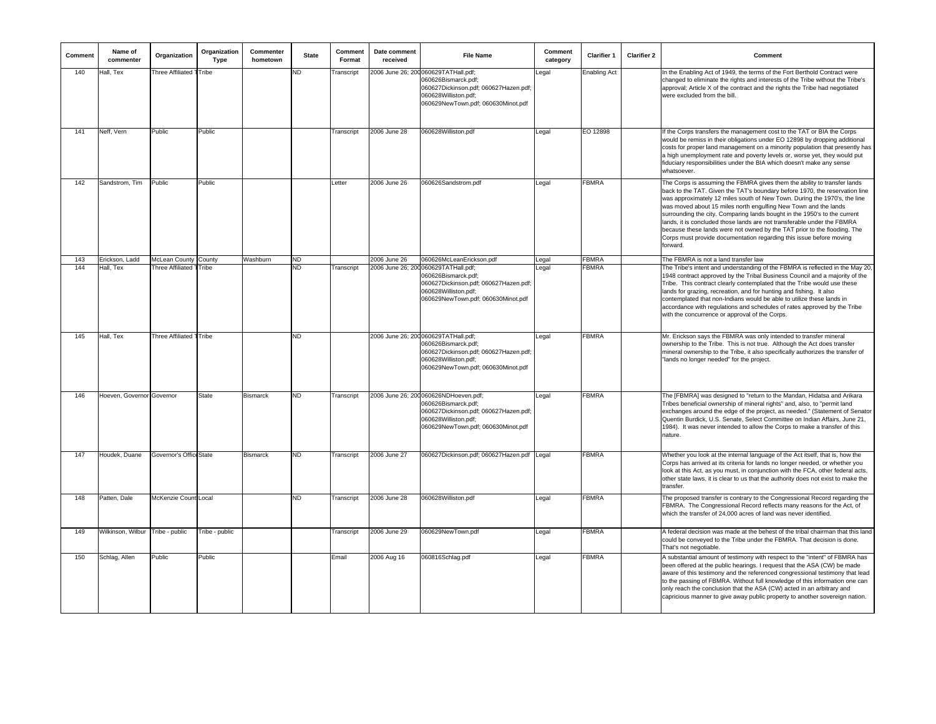| Comment | Name of<br>commenter      | Organization                    | Organization<br><b>Type</b> | Commenter<br>hometown | <b>State</b> | Comment<br>Format | Date comment<br>received | <b>File Name</b>                                                                                                                                                    | Comment<br>category | <b>Clarifier 1</b>  | <b>Clarifier 2</b> | Comment                                                                                                                                                                                                                                                                                                                                                                                                                                                                                                                                                                                                                        |
|---------|---------------------------|---------------------------------|-----------------------------|-----------------------|--------------|-------------------|--------------------------|---------------------------------------------------------------------------------------------------------------------------------------------------------------------|---------------------|---------------------|--------------------|--------------------------------------------------------------------------------------------------------------------------------------------------------------------------------------------------------------------------------------------------------------------------------------------------------------------------------------------------------------------------------------------------------------------------------------------------------------------------------------------------------------------------------------------------------------------------------------------------------------------------------|
| 140     | Hall, Tex                 | <b>Three Affiliated 1 Tribe</b> |                             |                       | ND           | ranscript         |                          | 2006 June 26; 200060629TATHall.pdf;<br>060626Bismarck.pdf;<br>060627Dickinson.pdf; 060627Hazen.pdf;<br>060628Williston.pdf:<br>060629NewTown.pdf; 060630Minot.pdf   | egal                | <b>Enabling Act</b> |                    | In the Enabling Act of 1949, the terms of the Fort Berthold Contract were<br>changed to eliminate the rights and interests of the Tribe without the Tribe's<br>approval; Article X of the contract and the rights the Tribe had negotiated<br>were excluded from the bill.                                                                                                                                                                                                                                                                                                                                                     |
| 141     | Neff, Vern                | Public                          | Public                      |                       |              | Transcript        | 2006 June 28             | 060628Williston.pdf                                                                                                                                                 | Legal               | EO 12898            |                    | If the Corps transfers the management cost to the TAT or BIA the Corps<br>would be remiss in their obligations under EO 12898 by dropping additional<br>costs for proper land management on a minority population that presently has<br>a high unemployment rate and poverty levels or, worse yet, they would put<br>fiduciary responsibilities under the BIA which doesn't make any sense<br>whatsoever.                                                                                                                                                                                                                      |
| 142     | Sandstrom, Tim            | Public                          | Public                      |                       |              | Letter            | 2006 June 26             | 060626Sandstrom.pdf                                                                                                                                                 | Legal               | <b>FBMRA</b>        |                    | The Corps is assuming the FBMRA gives them the ability to transfer lands<br>back to the TAT. Given the TAT's boundary before 1970, the reservation line<br>was approximately 12 miles south of New Town. During the 1970's, the line<br>was moved about 15 miles north engulfing New Town and the lands<br>surrounding the city. Comparing lands bought in the 1950's to the current<br>lands, it is concluded those lands are not transferable under the FBMRA<br>because these lands were not owned by the TAT prior to the flooding. The<br>Corps must provide documentation regarding this issue before moving<br>forward. |
| 143     | Erickson, Ladd            | <b>McLean County</b>            | <b>County</b>               | Washburn              | ND           |                   | 2006 June 26             | 060626McLeanErickson.pdf                                                                                                                                            | Legal               | <b>FBMRA</b>        |                    | The FBMRA is not a land transfer law                                                                                                                                                                                                                                                                                                                                                                                                                                                                                                                                                                                           |
| 144     | Hall, Tex                 | Three Affiliated TTribe         |                             |                       | 4D           | ranscript         | 2006 June 26; 200        | 060629TATHall.pdf;<br>060626Bismarck.pdf;<br>060627Dickinson.pdf; 060627Hazen.pdf;<br>060628Williston.pdf;<br>060629NewTown.pdf; 060630Minot.pdf                    | Legal               | FBMRA               |                    | The Tribe's intent and understanding of the FBMRA is reflected in the May 20,<br>1948 contract approved by the Tribal Business Council and a majority of the<br>Tribe. This contract clearly contemplated that the Tribe would use these<br>lands for grazing, recreation, and for hunting and fishing. It also<br>contemplated that non-Indians would be able to utilize these lands in<br>accordance with regulations and schedules of rates approved by the Tribe<br>with the concurrence or approval of the Corps.                                                                                                         |
| 145     | Hall, Tex                 | Three Affiliated TTribe         |                             |                       | ND.          |                   |                          | 2006 June 26; 200060629TATHall.pdf;<br>060626Bismarck.pdf;<br>060627Dickinson.pdf; 060627Hazen.pdf;<br>060628Williston.pdf;<br>060629NewTown.pdf; 060630Minot.pdf   | Legal               | FBMRA               |                    | Mr. Erickson says the FBMRA was only intended to transfer mineral<br>ownership to the Tribe. This is not true. Although the Act does transfer<br>mineral ownership to the Tribe, it also specifically authorizes the transfer of<br>"lands no longer needed" for the project.                                                                                                                                                                                                                                                                                                                                                  |
| 146     | Hoeven, Governor Governor |                                 | <b>State</b>                | <b>Bismarck</b>       | ND.          | Transcript        |                          | 2006 June 26; 200 060626NDHoeven.pdf;<br>060626Bismarck.pdf;<br>060627Dickinson.pdf; 060627Hazen.pdf;<br>060628Williston.pdf;<br>060629NewTown.pdf; 060630Minot.pdf | Legal               | <b>FBMRA</b>        |                    | The [FBMRA] was designed to "return to the Mandan, Hidatsa and Arikara<br>Tribes beneficial ownership of mineral rights" and, also, to "permit land<br>exchanges around the edge of the project, as needed." (Statement of Senator<br>Quentin Burdick, U.S. Senate, Select Committee on Indian Affairs, June 21,<br>1984). It was never intended to allow the Corps to make a transfer of this<br>nature.                                                                                                                                                                                                                      |
| 147     | Houdek, Duane             | Governor's Office State         |                             | <b>Bismarck</b>       | ND.          | Transcript        | 2006 June 27             | 060627Dickinson.pdf; 060627Hazen.pdf                                                                                                                                | Legal               | <b>FBMRA</b>        |                    | Whether you look at the internal language of the Act itself, that is, how the<br>Corps has arrived at its criteria for lands no longer needed, or whether you<br>look at this Act, as you must, in conjunction with the FCA, other federal acts,<br>other state laws, it is clear to us that the authority does not exist to make the<br>transfer.                                                                                                                                                                                                                                                                             |
| 148     | Patten, Dale              | McKenzie Count Local            |                             |                       | ND.          | Transcript        | 2006 June 28             | 060628Williston.pdf                                                                                                                                                 | Legal               | <b>FBMRA</b>        |                    | The proposed transfer is contrary to the Congressional Record regarding the<br>FBMRA. The Congressional Record reflects many reasons for the Act, of<br>which the transfer of 24,000 acres of land was never identified.                                                                                                                                                                                                                                                                                                                                                                                                       |
| 149     | Wilkinson, Wilbur         | Tribe - public                  | Tribe - public              |                       |              | <b>Transcript</b> | 2006 June 29             | 060629NewTown.pdf                                                                                                                                                   | Legal               | <b>FBMRA</b>        |                    | A federal decision was made at the behest of the tribal chairman that this land<br>could be conveyed to the Tribe under the FBMRA. That decision is done.<br>That's not negotiable.                                                                                                                                                                                                                                                                                                                                                                                                                                            |
| 150     | Schlag, Allen             | Public                          | Public                      |                       |              | Email             | 2006 Aug 16              | 060816Schlag.pdf                                                                                                                                                    | Legal               | FBMRA               |                    | A substantial amount of testimony with respect to the "intent" of FBMRA has<br>been offered at the public hearings. I request that the ASA (CW) be made<br>aware of this testimony and the referenced congressional testimony that lead<br>to the passing of FBMRA. Without full knowledge of this information one can<br>only reach the conclusion that the ASA (CW) acted in an arbitrary and<br>capricious manner to give away public property to another sovereign nation.                                                                                                                                                 |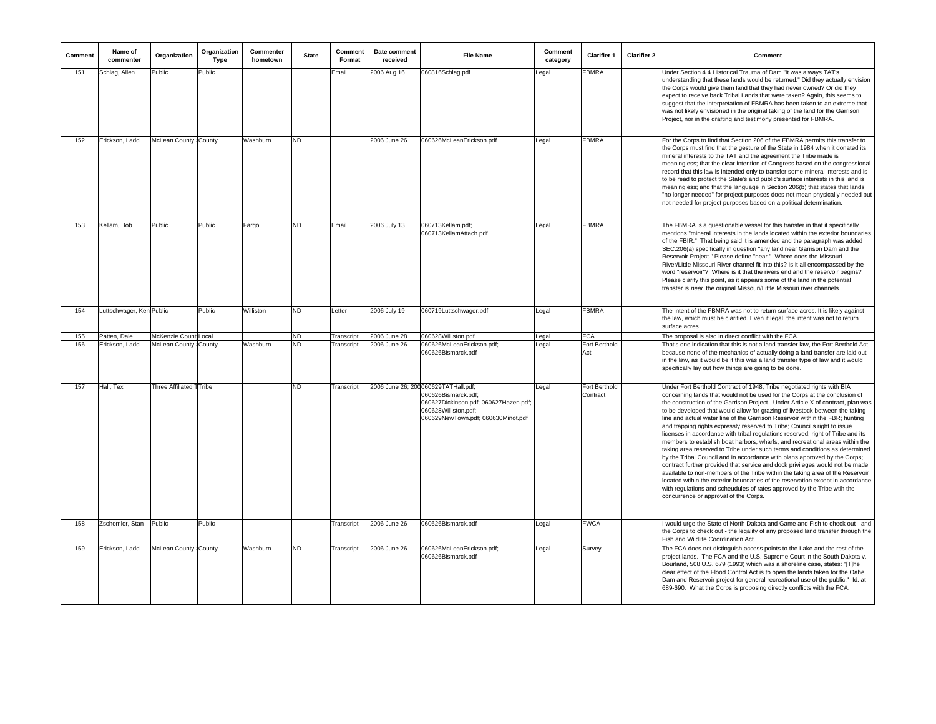| Comment | Name of<br>commenter     | Organization                  | Organization<br>Type | Commenter<br>hometown | <b>State</b> | Comment<br>Format | Date comment<br>received | <b>File Name</b>                                                                                                                                                   | Comment<br>category | <b>Clarifier 1</b>        | <b>Clarifier 2</b> | Comment                                                                                                                                                                                                                                                                                                                                                                                                                                                                                                                                                                                                                                                                                                                                                                                                                                                                                                                                                                                                                                                                                                                                                                                    |
|---------|--------------------------|-------------------------------|----------------------|-----------------------|--------------|-------------------|--------------------------|--------------------------------------------------------------------------------------------------------------------------------------------------------------------|---------------------|---------------------------|--------------------|--------------------------------------------------------------------------------------------------------------------------------------------------------------------------------------------------------------------------------------------------------------------------------------------------------------------------------------------------------------------------------------------------------------------------------------------------------------------------------------------------------------------------------------------------------------------------------------------------------------------------------------------------------------------------------------------------------------------------------------------------------------------------------------------------------------------------------------------------------------------------------------------------------------------------------------------------------------------------------------------------------------------------------------------------------------------------------------------------------------------------------------------------------------------------------------------|
| 151     | Schlag, Allen            | Public                        | Public               |                       |              | Email             | 2006 Aug 16              | 060816Schlag.pdf                                                                                                                                                   | egal                | <b>FBMRA</b>              |                    | Under Section 4.4 Historical Trauma of Dam "It was always TAT's<br>understanding that these lands would be returned." Did they actually envision<br>the Corps would give them land that they had never owned? Or did they<br>expect to receive back Tribal Lands that were taken? Again, this seems to<br>suggest that the interpretation of FBMRA has been taken to an extreme that<br>was not likely envisioned in the original taking of the land for the Garrison<br>Project, nor in the drafting and testimony presented for FBMRA.                                                                                                                                                                                                                                                                                                                                                                                                                                                                                                                                                                                                                                                   |
| 152     | Erickson, Ladd           | <b>McLean County I County</b> |                      | Washburn              | <b>ND</b>    |                   | 2006 June 26             | 060626McLeanErickson.pdf                                                                                                                                           | _egal               | <b>FBMRA</b>              |                    | For the Corps to find that Section 206 of the FBMRA permits this transfer to<br>the Corps must find that the gesture of the State in 1984 when it donated its<br>mineral interests to the TAT and the agreement the Tribe made is<br>meaningless; that the clear intention of Congress based on the congressional<br>record that this law is intended only to transfer some mineral interests and is<br>to be read to protect the State's and public's surface interests in this land is<br>meaningless; and that the language in Section 206(b) that states that lands<br>'no longer needed" for project purposes does not mean physically needed but<br>not needed for project purposes based on a political determination.                                                                                                                                                                                                                                                                                                                                                                                                                                                              |
| 153     | Kellam, Bob              | Public                        | Public               | Fargo                 | ND.          | Email             | 2006 July 13             | 060713Kellam.pdf;<br>060713KellamAttach.pdf                                                                                                                        | egal                | <b>FBMRA</b>              |                    | The FBMRA is a questionable vessel for this transfer in that it specifically<br>mentions "mineral interests in the lands located within the exterior boundaries<br>of the FBIR." That being said it is amended and the paragraph was added<br>SEC.206(a) specifically in question "any land near Garrison Dam and the<br>Reservoir Project." Please define "near." Where does the Missouri<br>River/Little Missouri River channel fit into this? Is it all encompassed by the<br>word "reservoir"? Where is it that the rivers end and the reservoir begins?<br>Please clarify this point, as it appears some of the land in the potential<br>transfer is near the original Missouri/Little Missouri river channels.                                                                                                                                                                                                                                                                                                                                                                                                                                                                       |
| 154     | Luttschwager, Ken Public |                               | Public               | Williston             | <b>ND</b>    | Letter            | 2006 July 19             | 060719Luttschwager.pdf                                                                                                                                             | Legal               | <b>FBMRA</b>              |                    | The intent of the FBMRA was not to return surface acres. It is likely against<br>the law, which must be clarified. Even if legal, the intent was not to return<br>surface acres.                                                                                                                                                                                                                                                                                                                                                                                                                                                                                                                                                                                                                                                                                                                                                                                                                                                                                                                                                                                                           |
| 155     | Patten, Dale             | McKenzie Count Local          |                      |                       | <b>ND</b>    | Transcript        | 2006 June 28             | 060628Williston.pdf                                                                                                                                                | Legal               | <b>FCA</b>                |                    | The proposal is also in direct conflict with the FCA.                                                                                                                                                                                                                                                                                                                                                                                                                                                                                                                                                                                                                                                                                                                                                                                                                                                                                                                                                                                                                                                                                                                                      |
| 156     | Erickson, Ladd           | McLean County County          |                      | Washburn              | <b>ND</b>    | Transcript        | 2006 June 26             | 060626McLeanErickson.pdf;<br>060626Bismarck.pdf                                                                                                                    | Legal               | Fort Berthold<br>Act      |                    | That's one indication that this is not a land transfer law, the Fort Berthold Act.<br>because none of the mechanics of actually doing a land transfer are laid out<br>in the law, as it would be if this was a land transfer type of law and it would<br>specifically lay out how things are going to be done.                                                                                                                                                                                                                                                                                                                                                                                                                                                                                                                                                                                                                                                                                                                                                                                                                                                                             |
| 157     | Hall, Tex                | Three Affiliated TTribe       |                      |                       | <b>ND</b>    | Transcript        |                          | 2006 June 26; 200 060629TATHall.pdf;<br>060626Bismarck.pdf;<br>060627Dickinson.pdf; 060627Hazen.pdf;<br>060628Williston.pdf;<br>060629NewTown.pdf; 060630Minot.pdf | Legal               | Fort Berthold<br>Contract |                    | Under Fort Berthold Contract of 1948, Tribe negotiated rights with BIA<br>concerning lands that would not be used for the Corps at the conclusion of<br>the construction of the Garrison Project. Under Article X of contract, plan was<br>to be developed that would allow for grazing of livestock between the taking<br>line and actual water line of the Garrison Reservoir within the FBR; hunting<br>and trapping rights expressly reserved to Tribe; Council's right to issue<br>licenses in accordance with tribal regulations reserved; right of Tribe and its<br>members to establish boat harbors, wharfs, and recreational areas within the<br>taking area reserved to Tribe under such terms and conditions as determined<br>by the Tribal Council and in accordance with plans approved by the Corps;<br>contract further provided that service and dock privileges would not be made<br>available to non-members of the Tribe within the taking area of the Reservoir<br>located wtihin the exterior boundaries of the reservation except in accordance<br>with regulations and scheudules of rates approved by the Tribe wtih the<br>concurrence or approval of the Corps. |
| 158     | Zschomlor, Stan          | Public                        | Public               |                       |              | Transcript        | 2006 June 26             | 060626Bismarck.pdf                                                                                                                                                 | egal                | <b>FWCA</b>               |                    | would urge the State of North Dakota and Game and Fish to check out - and<br>the Corps to check out - the legality of any proposed land transfer through the<br>Fish and Wildlife Coordination Act.                                                                                                                                                                                                                                                                                                                                                                                                                                                                                                                                                                                                                                                                                                                                                                                                                                                                                                                                                                                        |
| 159     | Erickson, Ladd           | McLean County County          |                      | Washburn              | ND.          | Transcript        | 2006 June 26             | 060626McLeanErickson.pdf;<br>060626Bismarck.pdf                                                                                                                    | Legal               | Survey                    |                    | The FCA does not distinguish access points to the Lake and the rest of the<br>project lands. The FCA and the U.S. Supreme Court in the South Dakota v.<br>Bourland, 508 U.S. 679 (1993) which was a shoreline case, states: "[T]he<br>clear effect of the Flood Control Act is to open the lands taken for the Oahe<br>Dam and Reservoir project for general recreational use of the public." Id. at<br>689-690. What the Corps is proposing directly conflicts with the FCA.                                                                                                                                                                                                                                                                                                                                                                                                                                                                                                                                                                                                                                                                                                              |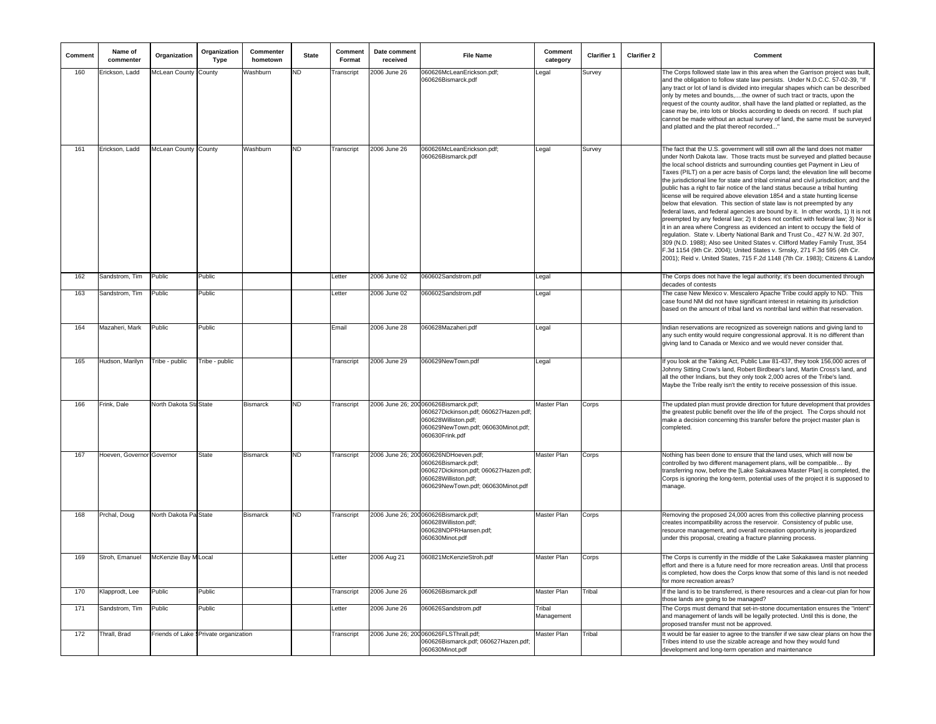| Comment | Name of<br>commenter      | Organization                  | Organization<br><b>Type</b>            | Commenter<br>hometown | <b>State</b> | Comment<br>Format | Date comment<br>received | <b>File Name</b>                                                                                                                                                    | Comment<br>category  | <b>Clarifier 1</b> | <b>Clarifier 2</b> | Comment                                                                                                                                                                                                                                                                                                                                                                                                                                                                                                                                                                                                                                                                                                                                                                                                                                                                                                                                                                                                                                                                                                                                                                                                                                            |
|---------|---------------------------|-------------------------------|----------------------------------------|-----------------------|--------------|-------------------|--------------------------|---------------------------------------------------------------------------------------------------------------------------------------------------------------------|----------------------|--------------------|--------------------|----------------------------------------------------------------------------------------------------------------------------------------------------------------------------------------------------------------------------------------------------------------------------------------------------------------------------------------------------------------------------------------------------------------------------------------------------------------------------------------------------------------------------------------------------------------------------------------------------------------------------------------------------------------------------------------------------------------------------------------------------------------------------------------------------------------------------------------------------------------------------------------------------------------------------------------------------------------------------------------------------------------------------------------------------------------------------------------------------------------------------------------------------------------------------------------------------------------------------------------------------|
| 160     | Erickson, Ladd            | <b>McLean County : County</b> |                                        | Washburn              | ND           | ranscript         | 2006 June 26             | 060626McLeanErickson.pdf;<br>060626Bismarck.pdf                                                                                                                     | egal                 | Survev             |                    | The Corps followed state law in this area when the Garrison project was built,<br>and the obligation to follow state law persists. Under N.D.C.C. 57-02-39, "If<br>any tract or lot of land is divided into irregular shapes which can be described<br>only by metes and bounds,the owner of such tract or tracts, upon the<br>request of the county auditor, shall have the land platted or replatted, as the<br>case may be, into lots or blocks according to deeds on record. If such plat<br>cannot be made without an actual survey of land, the same must be surveyed<br>and platted and the plat thereof recorded"                                                                                                                                                                                                                                                                                                                                                                                                                                                                                                                                                                                                                          |
| 161     | Erickson, Ladd            | McLean County : County        |                                        | Washburn              | ND.          | Transcript        | 2006 June 26             | 060626McLeanErickson.pdf;<br>060626Bismarck.pdf                                                                                                                     | Legal                | Survey             |                    | The fact that the U.S. government will still own all the land does not matter<br>under North Dakota law. Those tracts must be surveyed and platted because<br>the local school districts and surrounding counties get Payment in Lieu of<br>Taxes (PILT) on a per acre basis of Corps land; the elevation line will become<br>the jurisdictional line for state and tribal criminal and civil jurisdicition; and the<br>public has a right to fair notice of the land status because a tribal hunting<br>license will be required above elevation 1854 and a state hunting license<br>below that elevation. This section of state law is not preempted by any<br>federal laws, and federal agencies are bound by it. In other words, 1) It is not<br>preempted by any federal law; 2) It does not conflict with federal law; 3) Nor is<br>it in an area where Congress as evidenced an intent to occupy the field of<br>regulation. State v. Liberty National Bank and Trust Co., 427 N.W. 2d 307,<br>309 (N.D. 1988); Also see United States v. Clifford Matley Family Trust, 354<br>F.3d 1154 (9th Cir. 2004); United States v. Srnsky, 271 F.3d 595 (4th Cir.<br>2001); Reid v. United States, 715 F.2d 1148 (7th Cir. 1983); Citizens & Landov |
| 162     | Sandstrom, Tim            | Public                        | Public                                 |                       |              | Letter            | 2006 June 02             | 060602Sandstrom.pdf                                                                                                                                                 | Legal                |                    |                    | The Corps does not have the legal authority; it's been documented through<br>decades of contests                                                                                                                                                                                                                                                                                                                                                                                                                                                                                                                                                                                                                                                                                                                                                                                                                                                                                                                                                                                                                                                                                                                                                   |
| 163     | Sandstrom, Tim            | Public                        | Public                                 |                       |              | Letter            | 2006 June 02             | 060602Sandstrom.pdf                                                                                                                                                 | Legal                |                    |                    | The case New Mexico v. Mescalero Apache Tribe could apply to ND. This<br>case found NM did not have significant interest in retaining its jurisdiction<br>based on the amount of tribal land vs nontribal land within that reservation.                                                                                                                                                                                                                                                                                                                                                                                                                                                                                                                                                                                                                                                                                                                                                                                                                                                                                                                                                                                                            |
| 164     | Mazaheri, Mark            | Public                        | Public                                 |                       |              | Email             | 2006 June 28             | 060628Mazaheri.pdf                                                                                                                                                  | Legal                |                    |                    | Indian reservations are recognized as sovereign nations and giving land to<br>any such entity would require congressional approval. It is no different than<br>giving land to Canada or Mexico and we would never consider that.                                                                                                                                                                                                                                                                                                                                                                                                                                                                                                                                                                                                                                                                                                                                                                                                                                                                                                                                                                                                                   |
| 165     | Hudson, Marilyn           | Tribe - public                | Tribe - public                         |                       |              | Transcript        | 2006 June 29             | 060629NewTown.pdf                                                                                                                                                   | Legal                |                    |                    | If you look at the Taking Act, Public Law 81-437, they took 156,000 acres of<br>Johnny Sitting Crow's land, Robert Birdbear's land, Martin Cross's land, and<br>all the other Indians, but they only took 2,000 acres of the Tribe's land.<br>Maybe the Tribe really isn't the entity to receive possession of this issue.                                                                                                                                                                                                                                                                                                                                                                                                                                                                                                                                                                                                                                                                                                                                                                                                                                                                                                                         |
| 166     | Frink, Dale               | North Dakota Sta State        |                                        | Bismarck              | ND.          | Transcript        |                          | 2006 June 26; 200 060626Bismarck.pdf;<br>060627Dickinson.pdf; 060627Hazen.pdf;<br>060628Williston.pdf;<br>060629NewTown.pdf; 060630Minot.pdf;<br>060630Frink.pdf    | Master Plan          | Corps              |                    | The updated plan must provide direction for future development that provides<br>the greatest public benefit over the life of the project. The Corps should not<br>make a decision concerning this transfer before the project master plan is<br>completed.                                                                                                                                                                                                                                                                                                                                                                                                                                                                                                                                                                                                                                                                                                                                                                                                                                                                                                                                                                                         |
| 167     | Hoeven, Governor Governor |                               | State                                  | Bismarck              | ND.          | Transcript        |                          | 2006 June 26; 200 060626NDHoeven.pdf;<br>060626Bismarck.pdf:<br>060627Dickinson.pdf; 060627Hazen.pdf;<br>060628Williston.pdf;<br>060629NewTown.pdf; 060630Minot.pdf | Master Plan          | Corps              |                    | Nothing has been done to ensure that the land uses, which will now be<br>controlled by two different management plans, will be compatible By<br>transferring now, before the [Lake Sakakawea Master Plan] is completed, the<br>Corps is ignoring the long-term, potential uses of the project it is supposed to<br>manage.                                                                                                                                                                                                                                                                                                                                                                                                                                                                                                                                                                                                                                                                                                                                                                                                                                                                                                                         |
| 168     | Prchal, Doug              | North Dakota Pa State         |                                        | Bismarck              | ND.          | Transcript        |                          | 2006 June 26; 200060626Bismarck.pdf;<br>060628Williston.pdf;<br>060628NDPRHansen.pdf;<br>060630Minot.pdf                                                            | Master Plan          | Corps              |                    | Removing the proposed 24,000 acres from this collective planning process<br>creates incompatibility across the reservoir. Consistency of public use,<br>resource management, and overall recreation opportunity is jeopardized<br>under this proposal, creating a fracture planning process.                                                                                                                                                                                                                                                                                                                                                                                                                                                                                                                                                                                                                                                                                                                                                                                                                                                                                                                                                       |
| 169     | Stroh, Emanuel            | McKenzie Bay M Local          |                                        |                       |              | Letter            | 2006 Aug 21              | 060821McKenzieStroh.pdf                                                                                                                                             | Master Plan          | Corps              |                    | The Corps is currently in the middle of the Lake Sakakawea master planning<br>effort and there is a future need for more recreation areas. Until that process<br>is completed, how does the Corps know that some of this land is not needed<br>for more recreation areas?                                                                                                                                                                                                                                                                                                                                                                                                                                                                                                                                                                                                                                                                                                                                                                                                                                                                                                                                                                          |
| 170     | Klapprodt, Lee            | Public                        | Public                                 |                       |              | Transcript        | 2006 June 26             | 060626Bismarck.pdf                                                                                                                                                  | Master Plan          | Tribal             |                    | If the land is to be transferred, is there resources and a clear-cut plan for how<br>those lands are going to be managed?                                                                                                                                                                                                                                                                                                                                                                                                                                                                                                                                                                                                                                                                                                                                                                                                                                                                                                                                                                                                                                                                                                                          |
| 171     | Sandstrom, Tim            | Public                        | Public                                 |                       |              | Letter            | 2006 June 26             | 060626Sandstrom.pdf                                                                                                                                                 | Tribal<br>Management |                    |                    | The Corps must demand that set-in-stone documentation ensures the "intent"<br>and management of lands will be legally protected. Until this is done, the<br>proposed transfer must not be approved.                                                                                                                                                                                                                                                                                                                                                                                                                                                                                                                                                                                                                                                                                                                                                                                                                                                                                                                                                                                                                                                |
| 172     | Thrall, Brad              |                               | Friends of Lake § Private organization |                       |              | Transcript        |                          | 2006 June 26; 200 060626FLSThrall.pdf;<br>060626Bismarck.pdf; 060627Hazen.pdf;<br>060630Minot.pdf                                                                   | Master Plan          | Tribal             |                    | It would be far easier to agree to the transfer if we saw clear plans on how the<br>Tribes intend to use the sizable acreage and how they would fund<br>development and long-term operation and maintenance                                                                                                                                                                                                                                                                                                                                                                                                                                                                                                                                                                                                                                                                                                                                                                                                                                                                                                                                                                                                                                        |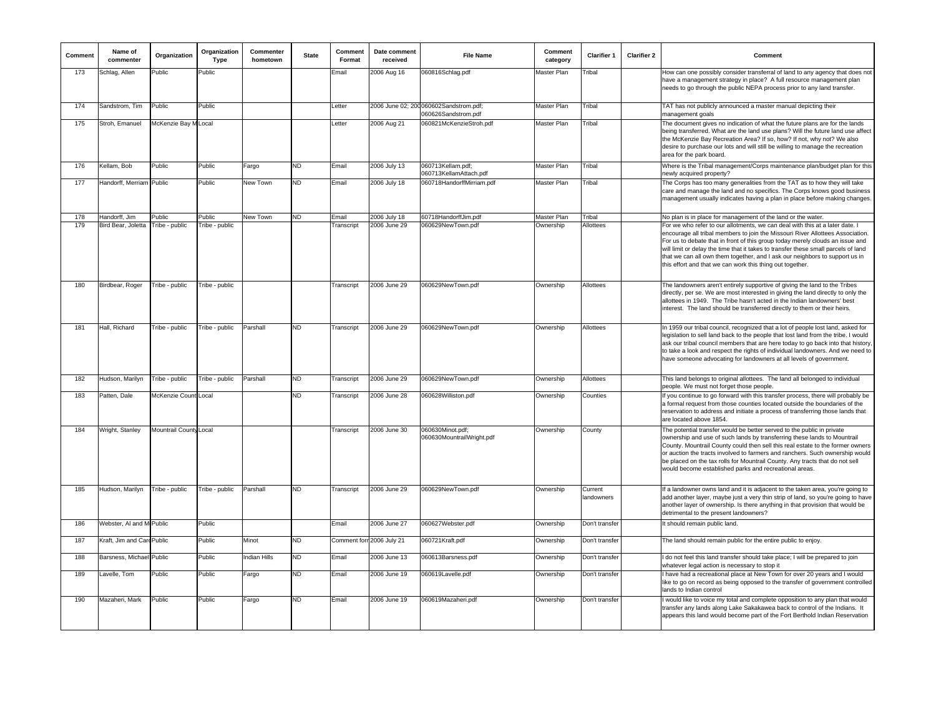| Comment | Name of<br>commenter           | Organization           | Organization<br><b>Type</b> | Commenter<br>hometown | <b>State</b> | Comment<br>Format | Date comment<br>received  | <b>File Name</b>                                              | Comment<br>category | <b>Clarifier 1</b>    | <b>Clarifier 2</b> | Comment                                                                                                                                                                                                                                                                                                                                                                                                                                                                           |
|---------|--------------------------------|------------------------|-----------------------------|-----------------------|--------------|-------------------|---------------------------|---------------------------------------------------------------|---------------------|-----------------------|--------------------|-----------------------------------------------------------------------------------------------------------------------------------------------------------------------------------------------------------------------------------------------------------------------------------------------------------------------------------------------------------------------------------------------------------------------------------------------------------------------------------|
| 173     | Schlag, Allen                  | Public                 | Public                      |                       |              | Email             | 2006 Aug 16               | 060816Schlag.pdf                                              | <b>Master Plan</b>  | Tribal                |                    | How can one possibly consider transferral of land to any agency that does not<br>have a management strategy in place? A full resource management plan<br>needs to go through the public NEPA process prior to any land transfer.                                                                                                                                                                                                                                                  |
| 174     | Sandstrom, Tim                 | Public                 | Public                      |                       |              | _etter            |                           | 2006 June 02; 200 060602Sandstrom.pdf;<br>060626Sandstrom.pdf | Master Plan         | <b>Tribal</b>         |                    | TAT has not publicly announced a master manual depicting their<br>management goals                                                                                                                                                                                                                                                                                                                                                                                                |
| 175     | Stroh, Emanuel                 | McKenzie Bay M Local   |                             |                       |              | _etter            | 2006 Aug 21               | 060821McKenzieStroh.pdf                                       | Master Plan         | Tribal                |                    | The document gives no indication of what the future plans are for the lands<br>being transferred. What are the land use plans? Will the future land use affect<br>the McKenzie Bay Recreation Area? If so, how? If not, why not? We also<br>desire to purchase our lots and will still be willing to manage the recreation<br>area for the park board.                                                                                                                            |
| 176     | Kellam, Bob                    | Public                 | Public                      | Fargo                 | ND           | Email             | 2006 July 13              | 060713Kellam.pdf;<br>060713KellamAttach.pdf                   | Master Plan         | Tribal                |                    | Where is the Tribal management/Corps maintenance plan/budget plan for this<br>newly acquired property?                                                                                                                                                                                                                                                                                                                                                                            |
| 177     | Handorff, Merriam              | Public                 | Public                      | New Town              | <b>ND</b>    | Email             | 2006 July 18              | 060718HandorffMirriam.pdf                                     | Master Plan         | Tribal                |                    | The Corps has too many generalities from the TAT as to how they will take<br>care and manage the land and no specifics. The Corps knows good business<br>management usually indicates having a plan in place before making changes.                                                                                                                                                                                                                                               |
| 178     | Handorff, Jim                  | Public                 | Public                      | New Town              | ND           | Email             | 2006 July 18              | 60718HandorffJim.pdf                                          | Master Plan         | Tribal                |                    | No plan is in place for management of the land or the water.                                                                                                                                                                                                                                                                                                                                                                                                                      |
| 179     | Bird Bear, Joletta             | Tribe - public         | Tribe - public              |                       |              | Transcript        | 2006 June 29              | 060629NewTown.pdf                                             | Ownership           | Allottees             |                    | For we who refer to our allotments, we can deal with this at a later date. I<br>encourage all tribal members to join the Missouri River Allottees Association.<br>For us to debate that in front of this group today merely clouds an issue and<br>will limit or delay the time that it takes to transfer these small parcels of land<br>that we can all own them together, and I ask our neighbors to support us in<br>this effort and that we can work this thing out together. |
| 180     | Birdbear, Roger                | Tribe - public         | Tribe - public              |                       |              | Transcript        | 2006 June 29              | 060629NewTown.pdf                                             | Ownership           | Allottees             |                    | The landowners aren't entirely supportive of giving the land to the Tribes<br>directly, per se. We are most interested in giving the land directly to only the<br>allottees in 1949. The Tribe hasn't acted in the Indian landowners' best<br>interest. The land should be transferred directly to them or their heirs.                                                                                                                                                           |
| 181     | Hall, Richard                  | Tribe - public         | Tribe - public              | Parshall              | <b>ND</b>    | Transcript        | 2006 June 29              | 060629NewTown.pdf                                             | Ownership           | Allottees             |                    | In 1959 our tribal council, recognized that a lot of people lost land, asked for<br>legislation to sell land back to the people that lost land from the tribe. I would<br>ask our tribal council members that are here today to go back into that history,<br>to take a look and respect the rights of individual landowners. And we need to<br>have someone advocating for landowners at all levels of government.                                                               |
| 182     | Hudson, Marilyn                | Tribe - public         | Tribe - public              | Parshall              | <b>ND</b>    | Transcript        | 2006 June 29              | 060629NewTown.pdf                                             | Ownership           | <b>Allottees</b>      |                    | This land belongs to original allottees. The land all belonged to individual<br>people. We must not forget those people.                                                                                                                                                                                                                                                                                                                                                          |
| 183     | Patten, Dale                   | McKenzie Count Local   |                             |                       | <b>ND</b>    | Transcript        | 2006 June 28              | 060628Williston.pdf                                           | Ownership           | Counties              |                    | f you continue to go forward with this transfer process, there will probably be<br>a formal request from those counties located outside the boundaries of the<br>reservation to address and initiate a process of transferring those lands that<br>are located above 1854.                                                                                                                                                                                                        |
| 184     | Wright, Stanley                | Mountrail County Local |                             |                       |              | Transcript        | 2006 June 30              | 060630Minot.pdf:<br>060630MountrailWright.pdf                 | Ownership           | County                |                    | The potential transfer would be better served to the public in private<br>ownership and use of such lands by transferring these lands to Mountrail<br>County. Mountrail County could then sell this real estate to the former owners<br>or auction the tracts involved to farmers and ranchers. Such ownership would<br>be placed on the tax rolls for Mountrail County. Any tracts that do not sell<br>would become established parks and recreational areas.                    |
| 185     | Hudson, Marilyn Tribe - public |                        | Tribe - public              | Parshall              | <b>ND</b>    | Transcript        | 2006 June 29              | 060629NewTown.pdf                                             | Ownership           | Current<br>landowners |                    | If a landowner owns land and it is adjacent to the taken area, you're going to<br>add another layer, maybe just a very thin strip of land, so you're going to have<br>another layer of ownership. Is there anything in that provision that would be<br>detrimental to the present landowners?                                                                                                                                                                                     |
| 186     | Webster, AI and M Public       |                        | Public                      |                       |              | Email             | 2006 June 27              | 060627Webster.pdf                                             | Ownership           | Don't transfer        |                    | It should remain public land.                                                                                                                                                                                                                                                                                                                                                                                                                                                     |
| 187     | Kraft, Jim and Card Public     |                        | Public                      | Minot                 | <b>ND</b>    |                   | Comment forr 2006 July 21 | 060721Kraft.pdf                                               | Ownership           | Don't transfer        |                    | The land should remain public for the entire public to enjoy.                                                                                                                                                                                                                                                                                                                                                                                                                     |
| 188     | Barsness, Michae               | Public                 | Public                      | <b>Indian Hills</b>   | ND           | Email             | 2006 June 13              | 060613Barsness.pdf                                            | Ownership           | Don't transfer        |                    | do not feel this land transfer should take place; I will be prepared to join<br>whatever legal action is necessary to stop it                                                                                                                                                                                                                                                                                                                                                     |
| 189     | Lavelle, Tom                   | Public                 | Public                      | Fargo                 | ND           | Email             | 2006 June 19              | 060619Lavelle.pdf                                             | Ownership           | Don't transfer        |                    | I have had a recreational place at New Town for over 20 years and I would<br>like to go on record as being opposed to the transfer of government controlled<br>lands to Indian control                                                                                                                                                                                                                                                                                            |
| 190     | Mazaheri, Mark                 | Public                 | Public                      | Fargo                 | <b>ND</b>    | Email             | 2006 June 19              | 060619Mazaheri.pdf                                            | Ownership           | Don't transfer        |                    | would like to voice my total and complete opposition to any plan that would<br>transfer any lands along Lake Sakakawea back to control of the Indians. It<br>appears this land would become part of the Fort Berthold Indian Reservation                                                                                                                                                                                                                                          |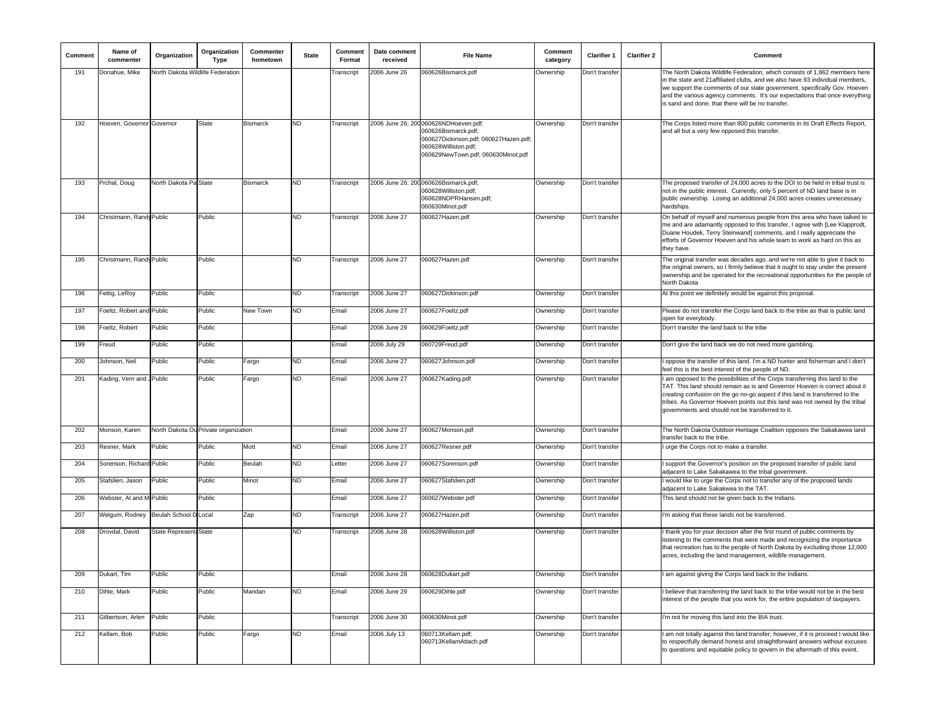| Comment    | Name of<br>commenter      | Organization                         | Organization<br>Type | Commenter<br>hometown | <b>State</b> | Comment<br>Format | Date comment<br>received | <b>File Name</b>                                                                                                                                                    | Comment<br>category | <b>Clarifier 1</b> | <b>Clarifier 2</b> | Comment                                                                                                                                                                                                                                                                                                                                                                       |
|------------|---------------------------|--------------------------------------|----------------------|-----------------------|--------------|-------------------|--------------------------|---------------------------------------------------------------------------------------------------------------------------------------------------------------------|---------------------|--------------------|--------------------|-------------------------------------------------------------------------------------------------------------------------------------------------------------------------------------------------------------------------------------------------------------------------------------------------------------------------------------------------------------------------------|
| 191        | Donahue, Mike             | North Dakota Wildlife Federation     |                      |                       |              | Transcript        | 2006 June 26             | 060626Bismarck.pdf                                                                                                                                                  | Ownership           | Don't transfer     |                    | The North Dakota Wildlife Federation, which consists of 1,862 members here<br>in the state and 21 affiliated clubs, and we also have 93 individual members,<br>we support the comments of our state government, specifically Gov. Hoeven<br>and the various agency comments. It's our expectations that once everything<br>is sand and done, that there will be no transfer.  |
| 192        | Hoeven, Governor Governor |                                      | <b>State</b>         | <b>Bismarck</b>       | ND           | Transcript        |                          | 2006 June 26; 200 060626NDHoeven.pdf;<br>060626Bismarck.pdf;<br>060627Dickinson.pdf; 060627Hazen.pdf;<br>060628Williston.pdf;<br>060629NewTown.pdf; 060630Minot.pdf | Ownership           | Don't transfer     |                    | The Corps listed more than 800 public comments in its Draft Effects Report,<br>and all but a very few opposed this transfer.                                                                                                                                                                                                                                                  |
| 193        | Prchal, Doug              | North Dakota Pa State                |                      | <b>Bismarck</b>       | ND           | Transcript        |                          | 2006 June 26; 200 060626Bismarck.pdf;<br>060628Williston.pdf;<br>060628NDPRHansen.pdf:<br>060630Minot.pdf                                                           | Ownership           | Don't transfer     |                    | The proposed transfer of 24,000 acres to the DOI to be held in tribal trust is<br>not in the public interest. Currently, only 5 percent of ND land base is in<br>public ownership. Losing an additional 24,000 acres creates unnecessary<br>hardships.                                                                                                                        |
| 194        | Christmann, Randy Public  |                                      | Public               |                       | ND           | Transcript        | 2006 June 27             | 060627Hazen.pdf                                                                                                                                                     | Ownership           | Don't transfer     |                    | On behalf of myself and numerous people from this area who have talked to<br>me and are adamantly opposed to this transfer, I agree with [Lee Klapprodt,<br>Duane Houdek, Terry Steinwand] comments, and I really appreciate the<br>efforts of Governor Hoeven and his whole team to work as hard on this as<br>they have.                                                    |
| 195        | Christmann, Randy Public  |                                      | Public               |                       | ND           | Transcript        | 2006 June 27             | 060627Hazen.pdf                                                                                                                                                     | Ownership           | Don't transfer     |                    | The original transfer was decades ago, and we're not able to give it back to<br>the original owners, so I firmly believe that it ought to stay under the present<br>ownership and be operated for the recreational opportunities for the people of<br>North Dakota                                                                                                            |
| 196        | Fettig, LeRoy             | Public                               | Public               |                       | ND           | Transcript        | 2006 June 27             | 060627Dickinson.pdf                                                                                                                                                 | Ownership           | Don't transfer     |                    | At this point we definitely would be against this proposal.                                                                                                                                                                                                                                                                                                                   |
| 197        | Foeltz, Robert and Public |                                      | Public               | New Town              | ND.          | Email             | 2006 June 27             | 060627Foeltz.pdf                                                                                                                                                    | Ownership           | Don't transfer     |                    | Please do not transfer the Corps land back to the tribe as that is public land<br>open for everybody.                                                                                                                                                                                                                                                                         |
| 198        | Foeltz, Robert            | Public                               | Public               |                       |              | Email             | 2006 June 29             | 060629Foeltz.pdf                                                                                                                                                    | Ownership           | Don't transfer     |                    | Don't transfer the land back to the tribe                                                                                                                                                                                                                                                                                                                                     |
| 199        | Freud                     | Public                               | Public               |                       |              | Email             | 2006 July 29             | 060729Freud.pdf                                                                                                                                                     | Ownership           | Don't transfer     |                    | Don't give the land back we do not need more gambling.                                                                                                                                                                                                                                                                                                                        |
| 200        | Johnson, Neil             | Public                               | Public               | Fargo                 | ND           | Email             | 2006 June 27             | 060627Johnson.pdf                                                                                                                                                   | Ownership           | Don't transfer     |                    | oppose the transfer of this land. I'm a ND hunter and fisherman and I don't<br>feel this is the best interest of the people of ND.                                                                                                                                                                                                                                            |
| 201        | Kading, Vern and Public   |                                      | Public               | Fargo                 | ND.          | Email             | 2006 June 27             | 060627Kading.pdf                                                                                                                                                    | Ownership           | Don't transfer     |                    | I am opposed to the possibilities of the Corps transferring this land to the<br>TAT. This land should remain as is and Governor Hoeven is correct about it<br>creating confusion on the go no-go aspect if this land is transferred to the<br>tribes. As Governor Hoeven points out this land was not owned by the tribal<br>governments and should not be transferred to it. |
| 202        | Monson, Karen             | North Dakota Ou Private organization |                      |                       |              | Email             | 2006 June 27             | 060627Monson.pdf                                                                                                                                                    | Ownership           | Don't transfer     |                    | The North Dakota Outdoor Heritage Coalition opposes the Sakakawea land<br>transfer back to the tribe.                                                                                                                                                                                                                                                                         |
| 203        | Resner, Mark              | Public                               | Public               | Mott                  | ND           | Email             | 2006 June 27             | 060627Resner.pdf                                                                                                                                                    | Ownership           | Don't transfer     |                    | urge the Corps not to make a transfer.                                                                                                                                                                                                                                                                                                                                        |
| 204        | Sorenson, Richard Public  |                                      | Public               | Beulah                | ND           | Letter            | 2006 June 27             | 060627Sorenson.pdf                                                                                                                                                  | Ownership           | Don't transfer     |                    | I support the Governor's position on the proposed transfer of public land<br>adjacent to Lake Sakakawea to the tribal government.                                                                                                                                                                                                                                             |
| 205        | Stafslien, Jason          | Public                               | Public               | Minot                 | ND.          | Email             | 2006 June 27             | 060627Stafslien.pdf                                                                                                                                                 | Ownership           | Don't transfer     |                    | would like to urge the Corps not to transfer any of the proposed lands<br>adjacent to Lake Sakakwea to the TAT.                                                                                                                                                                                                                                                               |
| 206        | Webster, AI and M Public  |                                      | Public               |                       |              | Email             | 2006 June 27             | 060627Webster.pdf                                                                                                                                                   | Ownership           | Don't transfer     |                    | This land should not be given back to the Indians.                                                                                                                                                                                                                                                                                                                            |
| 207        | Weigum, Rodney            | <b>Beulah School D Local</b>         |                      | Zap                   | ND           | Transcript        | 2006 June 27             | 060627Hazen.pdf                                                                                                                                                     | Ownership           | Don't transfer     |                    | I'm asking that these lands not be transferred.                                                                                                                                                                                                                                                                                                                               |
| 208        | Drovdal, David            | State Represent: State               |                      |                       | ND           | Transcript        | 2006 June 28             | 060628Williston.pdf                                                                                                                                                 | Ownership           | Don't transfer     |                    | thank you for your decision after the first round of public comments by<br>listening to the comments that were made and recognizing the importance<br>that recreation has to the people of North Dakota by excluding those 12,000<br>acres, including the land management, wildlife management.                                                                               |
| <b>ZOA</b> | Dukart, Tim               | -uplic                               | -uplic               |                       |              | Email             | 2006 June 28             | ∪ь∪ь∠8Duкaπ.pα                                                                                                                                                      | Ownersnip           | Don τ transfe      |                    | am against giving the Corps land back to the indians                                                                                                                                                                                                                                                                                                                          |
| 210        | Dihle, Mark               | Public                               | Public               | Mandan                | ND           | Email             | 2006 June 29             | 060629Dihle.pdf                                                                                                                                                     | Ownership           | Don't transfer     |                    | I believe that transferring the land back to the tribe would not be in the best<br>interest of the people that you work for, the entire population of taxpayers.                                                                                                                                                                                                              |
| 211        | Gilbertson, Arlen Public  |                                      | Public               |                       |              | Transcript        | 2006 June 30             | 060630Minot.pdf                                                                                                                                                     | Ownership           | Don't transfer     |                    | I'm not for moving this land into the BIA trust.                                                                                                                                                                                                                                                                                                                              |
| 212        | Kellam, Bob               | Public                               | Public               | Fargo                 | ND           | Email             | 2006 July 13             | 060713Kellam.pdf;<br>060713KellamAttach.pdf                                                                                                                         | Ownership           | Don't transfer     |                    | am not totally against this land transfer; however, if it is proceed I would like<br>to respectfully demand honest and straightforward answers without excuses<br>to questions and equitable policy to govern in the aftermath of this event.                                                                                                                                 |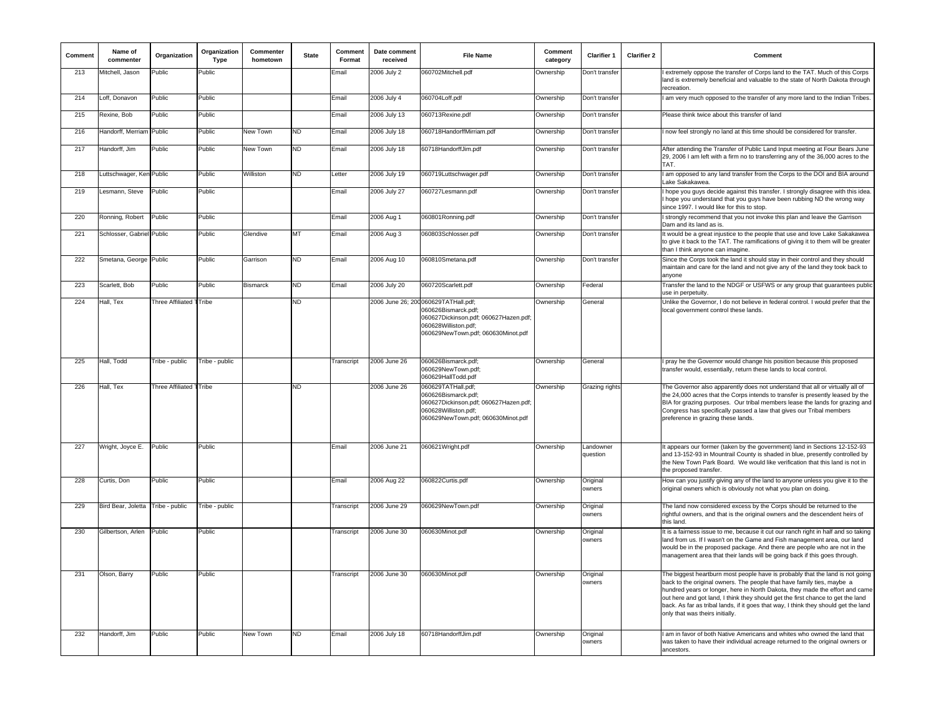| Comment | Name of<br>commenter      | Organization            | Organization<br>Type | Commenter<br>hometown | <b>State</b> | Comment<br>Format | Date comment<br>received | <b>File Name</b>                                                                                                                                 | Comment<br>category | <b>Clarifier 1</b>    | <b>Clarifier 2</b> | Comment                                                                                                                                                                                                                                                                                                                                                                                                                                              |
|---------|---------------------------|-------------------------|----------------------|-----------------------|--------------|-------------------|--------------------------|--------------------------------------------------------------------------------------------------------------------------------------------------|---------------------|-----------------------|--------------------|------------------------------------------------------------------------------------------------------------------------------------------------------------------------------------------------------------------------------------------------------------------------------------------------------------------------------------------------------------------------------------------------------------------------------------------------------|
| 213     | Mitchell, Jason           | Public                  | Public               |                       |              | Email             | 2006 July 2              | 060702Mitchell.pdf                                                                                                                               | Ownership           | Don't transfer        |                    | extremely oppose the transfer of Corps land to the TAT. Much of this Corps<br>and is extremely beneficial and valuable to the state of North Dakota through<br>recreation                                                                                                                                                                                                                                                                            |
| 214     | Loff, Donavon             | Public                  | Public               |                       |              | Email             | 2006 July 4              | 060704Loff.pdf                                                                                                                                   | Ownership           | Don't transfer        |                    | I am very much opposed to the transfer of any more land to the Indian Tribes.                                                                                                                                                                                                                                                                                                                                                                        |
| 215     | Rexine, Bob               | Public                  | Public               |                       |              | Email             | 2006 July 13             | 060713Rexine.pdf                                                                                                                                 | Ownership           | Don't transfer        |                    | Please think twice about this transfer of land                                                                                                                                                                                                                                                                                                                                                                                                       |
| 216     | Handorff, Merriam         | Public                  | Public               | New Town              | ND           | Email             | 2006 July 18             | 060718HandorffMirriam.pdf                                                                                                                        | Ownership           | Don't transfer        |                    | I now feel strongly no land at this time should be considered for transfer.                                                                                                                                                                                                                                                                                                                                                                          |
| 217     | Handorff, Jim             | Public                  | Public               | New Town              | <b>ND</b>    | Email             | 2006 July 18             | 60718HandorffJim.pdf                                                                                                                             | Ownership           | Don't transfer        |                    | After attending the Transfer of Public Land Input meeting at Four Bears June<br>29, 2006 I am left with a firm no to transferring any of the 36,000 acres to the<br>TAT.                                                                                                                                                                                                                                                                             |
| 218     | Luttschwager, Ken Public  |                         | Public               | Williston             | ND           | Letter            | 2006 July 19             | 060719Luttschwager.pdf                                                                                                                           | Ownership           | Don't transfer        |                    | am opposed to any land transfer from the Corps to the DOI and BIA around<br>Lake Sakakawea                                                                                                                                                                                                                                                                                                                                                           |
| 219     | Lesmann, Steve            | Public                  | Public               |                       |              | Email             | 2006 July 27             | 060727Lesmann.pdf                                                                                                                                | Ownership           | Don't transfer        |                    | hope you guys decide against this transfer. I strongly disagree with this idea.<br>hope you understand that you guys have been rubbing ND the wrong way<br>since 1997. I would like for this to stop.                                                                                                                                                                                                                                                |
| 220     | Ronning, Robert           | Public                  | Public               |                       |              | Email             | 2006 Aug 1               | 060801Ronning.pdf                                                                                                                                | Ownership           | Don't transfer        |                    | I strongly recommend that you not invoke this plan and leave the Garrison<br>Dam and its land as is.                                                                                                                                                                                                                                                                                                                                                 |
| 221     | Schlosser, Gabriel Public |                         | Public               | Glendive              | <b>MT</b>    | Email             | 2006 Aug 3               | 060803Schlosser.pdf                                                                                                                              | Ownership           | Don't transfer        |                    | It would be a great injustice to the people that use and love Lake Sakakawea<br>to give it back to the TAT. The ramifications of giving it to them will be greater<br>than I think anyone can imagine.                                                                                                                                                                                                                                               |
| 222     | Smetana, George Public    |                         | Public               | Garrison              | <b>ND</b>    | Email             | 2006 Aug 10              | 060810Smetana.pdf                                                                                                                                | Ownership           | Don't transfer        |                    | Since the Corps took the land it should stay in their control and they should<br>maintain and care for the land and not give any of the land they took back to<br>anvone                                                                                                                                                                                                                                                                             |
| 223     | Scarlett, Bob             | Public                  | Public               | <b>Bismarck</b>       | ND           | Email             | 2006 July 20             | 060720Scarlett.pdf                                                                                                                               | Ownership           | Federal               |                    | Transfer the land to the NDGF or USFWS or any group that guarantees public<br>use in perpetuity                                                                                                                                                                                                                                                                                                                                                      |
| 224     | Hall, Tex                 | Three Affiliated T      | Tribe                |                       | ND           |                   | 2006 June 26; 200        | 060629TATHall.pdf;<br>060626Bismarck.pdf:<br>060627Dickinson.pdf; 060627Hazen.pdf;<br>060628Williston.pdf;<br>060629NewTown.pdf; 060630Minot.pdf | Ownership           | General               |                    | Unlike the Governor, I do not believe in federal control. I would prefer that the<br>local government control these lands.                                                                                                                                                                                                                                                                                                                           |
| 225     | Hall, Todd                | Tribe - public          | Tribe - public       |                       |              | Transcript        | 2006 June 26             | 060626Bismarck.pdf;<br>060629NewTown.pdf;<br>060629HallTodd.pdf                                                                                  | Ownership           | General               |                    | I pray he the Governor would change his position because this proposed<br>transfer would, essentially, return these lands to local control.                                                                                                                                                                                                                                                                                                          |
| 226     | Hall, Tex                 | Three Affiliated TTribe |                      |                       | ND           |                   | 2006 June 26             | 060629TATHall.pdf;<br>060626Bismarck.pdf;<br>060627Dickinson.pdf; 060627Hazen.pdf;<br>060628Williston.pdf;<br>060629NewTown.pdf; 060630Minot.pdf | Ownership           | Grazing rights        |                    | The Governor also apparently does not understand that all or virtually all of<br>the 24,000 acres that the Corps intends to transfer is presently leased by the<br>BIA for grazing purposes. Our tribal members lease the lands for grazing and<br>Congress has specifically passed a law that gives our Tribal members<br>preference in grazing these lands.                                                                                        |
| 227     | Wright, Joyce E.          | Public                  | Public               |                       |              | Email             | 2006 June 21             | 060621Wright.pdf                                                                                                                                 | Ownership           | Landowner<br>question |                    | It appears our former (taken by the government) land in Sections 12-152-93<br>and 13-152-93 in Mountrail County is shaded in blue, presently controlled by<br>the New Town Park Board. We would like verification that this land is not in<br>the proposed transfer.                                                                                                                                                                                 |
| 228     | Curtis, Don               | Public                  | Public               |                       |              | Email             | 2006 Aug 22              | 060822Curtis.pdf                                                                                                                                 | Ownership           | Original<br>owners    |                    | How can you justify giving any of the land to anyone unless you give it to the<br>original owners which is obviously not what you plan on doing.                                                                                                                                                                                                                                                                                                     |
| 229     | Bird Bear, Joletta        | Tribe - public          | Tribe - public       |                       |              | Transcript        | 2006 June 29             | 060629NewTown.pdf                                                                                                                                | Ownership           | Original<br>owners    |                    | The land now considered excess by the Corps should be returned to the<br>rightful owners, and that is the original owners and the descendent heirs of<br>this land.                                                                                                                                                                                                                                                                                  |
| 230     | Gilbertson, Arlen         | Public                  | Public               |                       |              | Transcript        | 2006 June 30             | 060630Minot.pdf                                                                                                                                  | Ownership           | Original<br>owners    |                    | It is a fairness issue to me, because it cut our ranch right in half and so taking<br>land from us. If I wasn't on the Game and Fish management area, our land<br>would be in the proposed package. And there are people who are not in the<br>management area that their lands will be going back if this goes through.                                                                                                                             |
| 231     | Olson, Barry              | Public                  | Public               |                       |              | Transcript        | 2006 June 30             | 060630Minot.pdf                                                                                                                                  | Ownership           | Original<br>owners    |                    | The biggest heartburn most people have is probably that the land is not going<br>back to the original owners. The people that have family ties, maybe a<br>hundred years or longer, here in North Dakota, they made the effort and came<br>out here and got land, I think they should get the first chance to get the land<br>back. As far as tribal lands, if it goes that way, I think they should get the land<br>only that was theirs initially. |
| 232     | Handorff, Jim             | Public                  | Public               | New Town              | <b>ND</b>    | Email             | 2006 July 18             | 60718HandorffJim.pdf                                                                                                                             | Ownership           | Original<br>owners    |                    | am in favor of both Native Americans and whites who owned the land that<br>was taken to have their individual acreage returned to the original owners or<br>ancestors.                                                                                                                                                                                                                                                                               |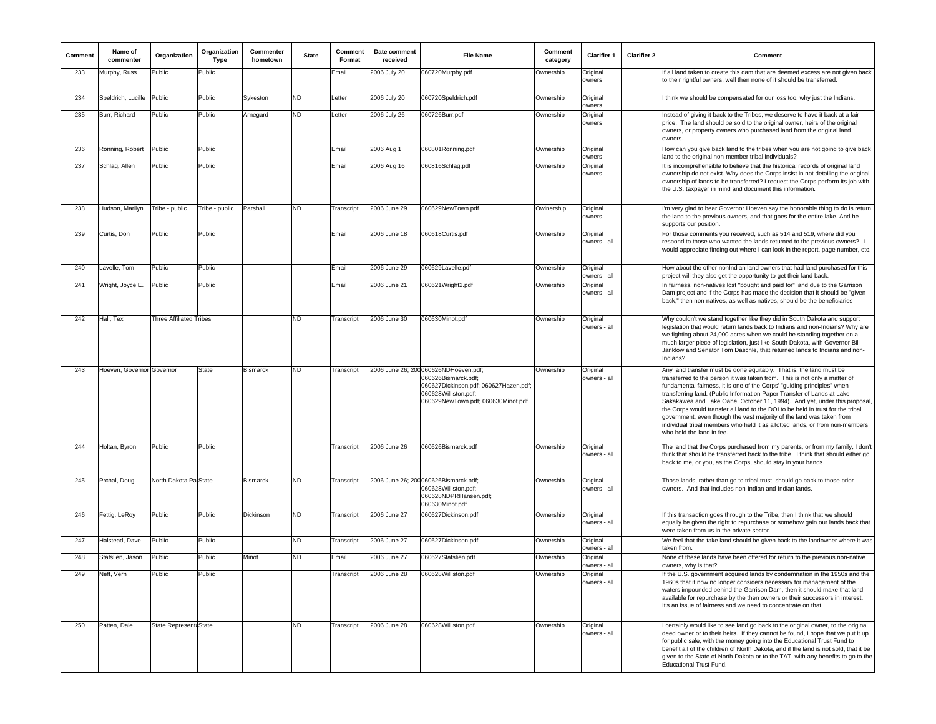| Comment | Name of<br>commenter      | Organization                   | Organization<br><b>Type</b> | Commenter<br>hometown | <b>State</b> | Comment<br>Format | Date comment<br>received | <b>File Name</b>                                                                                                                                                    | Comment<br>category | <b>Clarifier 1</b>       | <b>Clarifier 2</b> | Comment                                                                                                                                                                                                                                                                                                                                                                                                                                                                                                                                                                                                                                                    |
|---------|---------------------------|--------------------------------|-----------------------------|-----------------------|--------------|-------------------|--------------------------|---------------------------------------------------------------------------------------------------------------------------------------------------------------------|---------------------|--------------------------|--------------------|------------------------------------------------------------------------------------------------------------------------------------------------------------------------------------------------------------------------------------------------------------------------------------------------------------------------------------------------------------------------------------------------------------------------------------------------------------------------------------------------------------------------------------------------------------------------------------------------------------------------------------------------------------|
| 233     | Murphy, Russ              | Public                         | Public                      |                       |              | Email             | 2006 July 20             | 060720Murphy.pdf                                                                                                                                                    | Ownership           | Original<br>owners       |                    | f all land taken to create this dam that are deemed excess are not given back<br>to their rightful owners, well then none of it should be transferred.                                                                                                                                                                                                                                                                                                                                                                                                                                                                                                     |
| 234     | Speldrich, Lucille        | Public                         | Public                      | Sykeston              | <b>ND</b>    | Letter            | 2006 July 20             | 060720Speldrich.pdf                                                                                                                                                 | Ownership           | Original<br>owners       |                    | I think we should be compensated for our loss too, why just the Indians.                                                                                                                                                                                                                                                                                                                                                                                                                                                                                                                                                                                   |
| 235     | Burr, Richard             | Public                         | Public                      | Arnegard              | ND           | Letter            | 2006 July 26             | 060726Burr.pdf                                                                                                                                                      | Ownership           | Original<br>owners       |                    | Instead of giving it back to the Tribes, we deserve to have it back at a fair<br>price. The land should be sold to the original owner, heirs of the original<br>owners, or property owners who purchased land from the original land<br>owners.                                                                                                                                                                                                                                                                                                                                                                                                            |
| 236     | Ronning, Robert           | Public                         | Public                      |                       |              | Email             | 2006 Aug 1               | 060801Ronning.pdf                                                                                                                                                   | Ownership           | Original<br>owners       |                    | How can you give back land to the tribes when you are not going to give back<br>land to the original non-member tribal individuals?                                                                                                                                                                                                                                                                                                                                                                                                                                                                                                                        |
| 237     | Schlag, Allen             | Public                         | Public                      |                       |              | Email             | 2006 Aug 16              | 060816Schlag.pdf                                                                                                                                                    | Ownership           | Original<br>owners       |                    | It is incomprehensible to believe that the historical records of original land<br>ownership do not exist. Why does the Corps insist in not detailing the original<br>ownership of lands to be transferred? I request the Corps perform its job with<br>the U.S. taxpayer in mind and document this information.                                                                                                                                                                                                                                                                                                                                            |
| 238     | Hudson, Marilyn           | Tribe - public                 | Tribe - public              | Parshall              | <b>ND</b>    | Transcript        | 2006 June 29             | 060629NewTown.pdf                                                                                                                                                   | Owinership          | Original<br>owners       |                    | I'm very glad to hear Governor Hoeven say the honorable thing to do is return<br>the land to the previous owners, and that goes for the entire lake. And he<br>supports our position.                                                                                                                                                                                                                                                                                                                                                                                                                                                                      |
| 239     | Curtis, Don               | Public                         | Public                      |                       |              | Email             | 2006 June 18             | 060618Curtis.pdf                                                                                                                                                    | Ownership           | Original<br>owners - all |                    | For those comments you received, such as 514 and 519, where did you<br>respond to those who wanted the lands returned to the previous owners? I<br>would appreciate finding out where I can look in the report, page number, etc                                                                                                                                                                                                                                                                                                                                                                                                                           |
| 240     | Lavelle, Tom              | Public                         | Public                      |                       |              | Email             | 2006 June 29             | 060629Lavelle.pdf                                                                                                                                                   | Ownership           | Original<br>owners - all |                    | How about the other nonIndian land owners that had land purchased for this<br>project will they also get the opportunity to get their land back.                                                                                                                                                                                                                                                                                                                                                                                                                                                                                                           |
| 241     | Wright, Joyce E.          | Public                         | Public                      |                       |              | Email             | 2006 June 21             | 060621Wright2.pdf                                                                                                                                                   | Ownership           | Original<br>owners - all |                    | In fairness, non-natives lost "bought and paid for" land due to the Garrison<br>Dam project and if the Corps has made the decision that it should be "given<br>back," then non-natives, as well as natives, should be the beneficiaries                                                                                                                                                                                                                                                                                                                                                                                                                    |
| 242     | Hall, Tex                 | <b>Three Affiliated Tribes</b> |                             |                       | <b>ND</b>    | Transcript        | 2006 June 30             | 060630Minot.pdf                                                                                                                                                     | Ownership           | Original<br>owners - all |                    | Why couldn't we stand together like they did in South Dakota and support<br>legislation that would return lands back to Indians and non-Indians? Why are<br>we fighting about 24,000 acres when we could be standing together on a<br>much larger piece of legislation, just like South Dakota, with Governor Bill<br>Janklow and Senator Tom Daschle, that returned lands to Indians and non-<br>Indians?                                                                                                                                                                                                                                                 |
| 243     | Hoeven, Governor Governor |                                | <b>State</b>                | <b>Bismarck</b>       | ND           | Transcript        |                          | 2006 June 26; 200 060626NDHoeven.pdf;<br>060626Bismarck.pdf;<br>060627Dickinson.pdf; 060627Hazen.pdf;<br>060628Williston.pdf;<br>060629NewTown.pdf; 060630Minot.pdf | Ownership           | Original<br>owners - all |                    | Any land transfer must be done equitably. That is, the land must be<br>transferred to the person it was taken from. This is not only a matter of<br>fundamental fairness, it is one of the Corps' "quiding principles" when<br>transferring land. (Public Information Paper Transfer of Lands at Lake<br>Sakakawea and Lake Oahe, October 11, 1994). And yet, under this proposal,<br>the Corps would transfer all land to the DOI to be held in trust for the tribal<br>government, even though the vast majority of the land was taken from<br>individual tribal members who held it as allotted lands, or from non-members<br>who held the land in fee. |
| 244     | Holtan, Byron             | Public                         | Public                      |                       |              | Transcript        | 2006 June 26             | 060626Bismarck.pdf                                                                                                                                                  | Ownership           | Original<br>owners - all |                    | The land that the Corps purchased from my parents, or from my family, I don't<br>think that should be transferred back to the tribe. I think that should either go<br>back to me, or you, as the Corps, should stay in your hands.                                                                                                                                                                                                                                                                                                                                                                                                                         |
| 245     | Prchal, Doug              | North Dakota Pa State          |                             | <b>Bismarck</b>       | <b>ND</b>    | Transcript        |                          | 2006 June 26; 200 060626Bismarck.pdf;<br>060628Williston.pdf;<br>060628NDPRHansen.pdf;<br>060630Minot.pdf                                                           | Ownership           | Original<br>owners - all |                    | Those lands, rather than go to tribal trust, should go back to those prior<br>owners. And that includes non-Indian and Indian lands.                                                                                                                                                                                                                                                                                                                                                                                                                                                                                                                       |
| 246     | Fettig, LeRoy             | Public                         | Public                      | Dickinson             | ND           | Transcript        | 2006 June 27             | 060627Dickinson.pdf                                                                                                                                                 | Ownership           | Original<br>owners - all |                    | If this transaction goes through to the Tribe, then I think that we should<br>equally be given the right to repurchase or somehow gain our lands back that<br>were taken from us in the private sector.                                                                                                                                                                                                                                                                                                                                                                                                                                                    |
| 247     | Halstead, Dave            | Public                         | Public                      |                       | ND.          | Transcript        | 2006 June 27             | 060627Dickinson.pdf                                                                                                                                                 | Ownership           | Original<br>owners - all |                    | We feel that the take land should be given back to the landowner where it was<br>taken from                                                                                                                                                                                                                                                                                                                                                                                                                                                                                                                                                                |
| 248     | Stafslien, Jason          | Public                         | Public                      | Minot                 | <b>ND</b>    | Email             | 2006 June 27             | 060627Stafslien.pdf                                                                                                                                                 | Ownership           | Original<br>owners - all |                    | None of these lands have been offered for return to the previous non-native<br>owners, why is that?                                                                                                                                                                                                                                                                                                                                                                                                                                                                                                                                                        |
| 249     | Neff, Vern                | Public                         | Public                      |                       |              | Transcript        | 2006 June 28             | 060628Williston.pdf                                                                                                                                                 |                     | nıyına<br>owners - all   |                    | If the U.S. government acquired lands by condemnation in the 1950s and the<br>1960s that it now no longer considers necessary for management of the<br>waters impounded behind the Garrison Dam, then it should make that land<br>available for repurchase by the then owners or their successors in interest.<br>It's an issue of fairness and we need to concentrate on that.                                                                                                                                                                                                                                                                            |
| 250     | Patten, Dale              | State Representa State         |                             |                       | <b>ND</b>    | Transcript        | 2006 June 28             | 060628Williston.pdf                                                                                                                                                 | Ownership           | Original<br>owners - all |                    | certainly would like to see land go back to the original owner, to the original<br>deed owner or to their heirs. If they cannot be found, I hope that we put it up<br>for public sale, with the money going into the Educational Trust Fund to<br>benefit all of the children of North Dakota, and if the land is not sold, that it be<br>given to the State of North Dakota or to the TAT, with any benefits to go to the<br><b>Educational Trust Fund.</b>                                                                                                                                                                                               |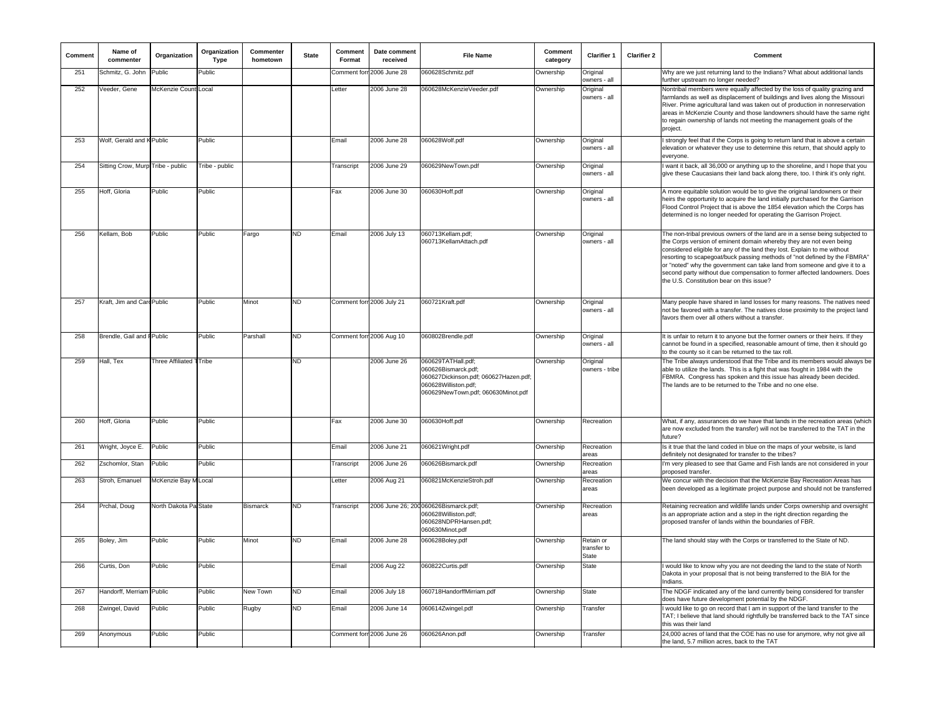| Comment | Name of<br>commenter              | Organization            | Organization<br>Type | Commenter<br>hometown | <b>State</b> | Comment<br>Format | Date comment<br>received  | <b>File Name</b>                                                                                                                                 | Comment<br>category | Clarifier 1                              | <b>Clarifier 2</b> | Comment                                                                                                                                                                                                                                                                                                                                                                                                                                                                                                             |
|---------|-----------------------------------|-------------------------|----------------------|-----------------------|--------------|-------------------|---------------------------|--------------------------------------------------------------------------------------------------------------------------------------------------|---------------------|------------------------------------------|--------------------|---------------------------------------------------------------------------------------------------------------------------------------------------------------------------------------------------------------------------------------------------------------------------------------------------------------------------------------------------------------------------------------------------------------------------------------------------------------------------------------------------------------------|
| 251     | Schmitz, G. John                  | Public                  | Public               |                       |              |                   | Comment forr 2006 June 28 | 060628Schmitz.pdf                                                                                                                                | Ownership           | Original<br>owners - all                 |                    | Why are we just returning land to the Indians? What about additional lands<br>further upstream no longer needed?                                                                                                                                                                                                                                                                                                                                                                                                    |
| 252     | Veeder, Gene                      | McKenzie Count Local    |                      |                       |              | Letter            | 2006 June 28              | 060628McKenzieVeeder.pdf                                                                                                                         | Ownership           | Original<br>owners - all                 |                    | Nontribal members were equally affected by the loss of quality grazing and<br>farmlands as well as displacement of buildings and lives along the Missouri<br>River. Prime agricultural land was taken out of production in nonreservation<br>areas in McKenzie County and those landowners should have the same right<br>to regain ownership of lands not meeting the management goals of the<br>project.                                                                                                           |
| 253     | Wolf, Gerald and K Public         |                         | Public               |                       |              | Email             | 2006 June 28              | 060628Wolf.pdf                                                                                                                                   | Ownership           | Original<br>owners - al                  |                    | strongly feel that if the Corps is going to return land that is above a certain<br>elevation or whatever they use to determine this return, that should apply to<br>evervone.                                                                                                                                                                                                                                                                                                                                       |
| 254     | Sitting Crow, Murp Tribe - public |                         | Tribe - public       |                       |              | Transcript        | 2006 June 29              | 060629NewTown.pdf                                                                                                                                | Ownership           | Original<br>owners - all                 |                    | want it back, all 36,000 or anything up to the shoreline, and I hope that you<br>give these Caucasians their land back along there, too. I think it's only right.                                                                                                                                                                                                                                                                                                                                                   |
| 255     | Hoff, Gloria                      | Public                  | Public               |                       |              | Fax               | 2006 June 30              | 060630Hoff.pdf                                                                                                                                   | Ownership           | Original<br>owners - all                 |                    | A more equitable solution would be to give the original landowners or their<br>heirs the opportunity to acquire the land initially purchased for the Garrison<br>Flood Control Project that is above the 1854 elevation which the Corps has<br>determined is no longer needed for operating the Garrison Project.                                                                                                                                                                                                   |
| 256     | Kellam, Bob                       | Public                  | Public               | Fargo                 | ND           | Email             | 2006 July 13              | 060713Kellam.pdf;<br>060713KellamAttach.pdf                                                                                                      | Ownership           | Original<br>owners - al                  |                    | The non-tribal previous owners of the land are in a sense being subjected to<br>the Corps version of eminent domain whereby they are not even being<br>considered eligible for any of the land they lost. Explain to me without<br>resorting to scapegoat/buck passing methods of "not defined by the FBMRA"<br>or "noted" why the government can take land from someone and give it to a<br>second party without due compensation to former affected landowners. Does<br>the U.S. Constitution bear on this issue? |
| 257     | Kraft, Jim and Card Public        |                         | Public               | Minot                 | ND.          |                   | Comment forr 2006 July 21 | 060721Kraft.pdf                                                                                                                                  | Ownership           | Original<br>owners - all                 |                    | Many people have shared in land losses for many reasons. The natives need<br>not be favored with a transfer. The natives close proximity to the project land<br>favors them over all others without a transfer.                                                                                                                                                                                                                                                                                                     |
| 258     | Brendle, Gail and FPublic         |                         | Public               | Parshall              | ND           |                   | Comment forn 2006 Aug 10  | 060802Brendle.pdf                                                                                                                                | Ownership           | Original<br>owners - all                 |                    | It is unfair to return it to anyone but the former owners or their heirs. If they<br>cannot be found in a specified, reasonable amount of time, then it should go<br>to the county so it can be returned to the tax roll.                                                                                                                                                                                                                                                                                           |
| 259     | Hall, Tex                         | Three Affiliated TTribe |                      |                       | ND.          |                   | 2006 June 26              | 060629TATHall.pdf;<br>060626Bismarck.pdf;<br>060627Dickinson.pdf; 060627Hazen.pdf;<br>060628Williston.pdf;<br>060629NewTown.pdf; 060630Minot.pdf | Ownership           | Original<br>owners - tribe               |                    | The Tribe always understood that the Tribe and its members would always be<br>able to utilize the lands. This is a fight that was fought in 1984 with the<br>FBMRA. Congress has spoken and this issue has already been decided.<br>The lands are to be returned to the Tribe and no one else.                                                                                                                                                                                                                      |
| 260     | Hoff, Gloria                      | Public                  | Public               |                       |              | Fax               | 2006 June 30              | 060630Hoff.pdf                                                                                                                                   | Ownership           | Recreation                               |                    | What, if any, assurances do we have that lands in the recreation areas (which<br>are now excluded from the transfer) will not be transferred to the TAT in the<br>future?                                                                                                                                                                                                                                                                                                                                           |
| 261     | Wright, Joyce E.                  | Public                  | Public               |                       |              | Email             | 2006 June 21              | 060621Wright.pdf                                                                                                                                 | Ownership           | Recreation<br>areas                      |                    | Is it true that the land coded in blue on the maps of your website, is land<br>definitely not designated for transfer to the tribes?                                                                                                                                                                                                                                                                                                                                                                                |
| 262     | Zschomlor, Stan                   | Public                  | Public               |                       |              | Transcript        | 2006 June 26              | 060626Bismarck.pdf                                                                                                                               | Ownership           | Recreation<br>areas                      |                    | I'm very pleased to see that Game and Fish lands are not considered in your<br>proposed transfer.                                                                                                                                                                                                                                                                                                                                                                                                                   |
| 263     | Stroh, Emanuel                    | McKenzie Bay M Local    |                      |                       |              | Letter            | 2006 Aug 21               | 060821McKenzieStroh.pdf                                                                                                                          | Ownership           | Recreation<br>areas                      |                    | We concur with the decision that the McKenzie Bay Recreation Areas has<br>been developed as a legitimate project purpose and should not be transferred                                                                                                                                                                                                                                                                                                                                                              |
| 264     | Prchal, Doug                      | North Dakota Pa State   |                      | <b>Bismarck</b>       | ND           | Transcript        |                           | 2006 June 26; 200 060626Bismarck.pdf;<br>060628Williston.pdf;<br>060628NDPRHansen.pdf;<br>060630Minot.pdf                                        | Ownership           | Recreation<br>areas                      |                    | Retaining recreation and wildlife lands under Corps ownership and oversight<br>is an appropriate action and a step in the right direction regarding the<br>proposed transfer of lands within the boundaries of FBR.                                                                                                                                                                                                                                                                                                 |
| 265     | Boley, Jim                        | Public                  | Public               | Minot                 | ND.          | Email             | 2006 June 28              | 060628Boley.pdf                                                                                                                                  | Ownership           | Retain or<br>transfer to<br><b>State</b> |                    | The land should stay with the Corps or transferred to the State of ND.                                                                                                                                                                                                                                                                                                                                                                                                                                              |
| 266     | Curtis, Don                       | Public                  | Public               |                       |              | Email             | 2006 Aug 22               | 060822Curtis.pdf                                                                                                                                 | Ownership           | <b>State</b>                             |                    | would like to know why you are not deeding the land to the state of North<br>Dakota in your proposal that is not being transferred to the BIA for the<br>Indians.                                                                                                                                                                                                                                                                                                                                                   |
| 267     | Handorff, Merriam Public          |                         | Public               | New Town              | ND           | Email             | 2006 July 18              | 060718HandorffMirriam.pdf                                                                                                                        | Ownership           | <b>State</b>                             |                    | The NDGF indicated any of the land currently being considered for transfer<br>does have future development potential by the NDGF.                                                                                                                                                                                                                                                                                                                                                                                   |
| 268     | Zwingel, David                    | Public                  | Public               | Rugby                 | ND.          | Email             | 2006 June 14              | 060614Zwingel.pdf                                                                                                                                | Ownership           | Transfer                                 |                    | would like to go on record that I am in support of the land transfer to the<br>TAT; I believe that land should rightfully be transferred back to the TAT since<br>this was their land                                                                                                                                                                                                                                                                                                                               |
| 269     | Anonymous                         | Public                  | Public               |                       |              |                   | Comment forn 2006 June 26 | 060626Anon.pdf                                                                                                                                   | Ownership           | Transfer                                 |                    | 24,000 acres of land that the COE has no use for anymore, why not give all<br>the land, 5.7 million acres, back to the TAT                                                                                                                                                                                                                                                                                                                                                                                          |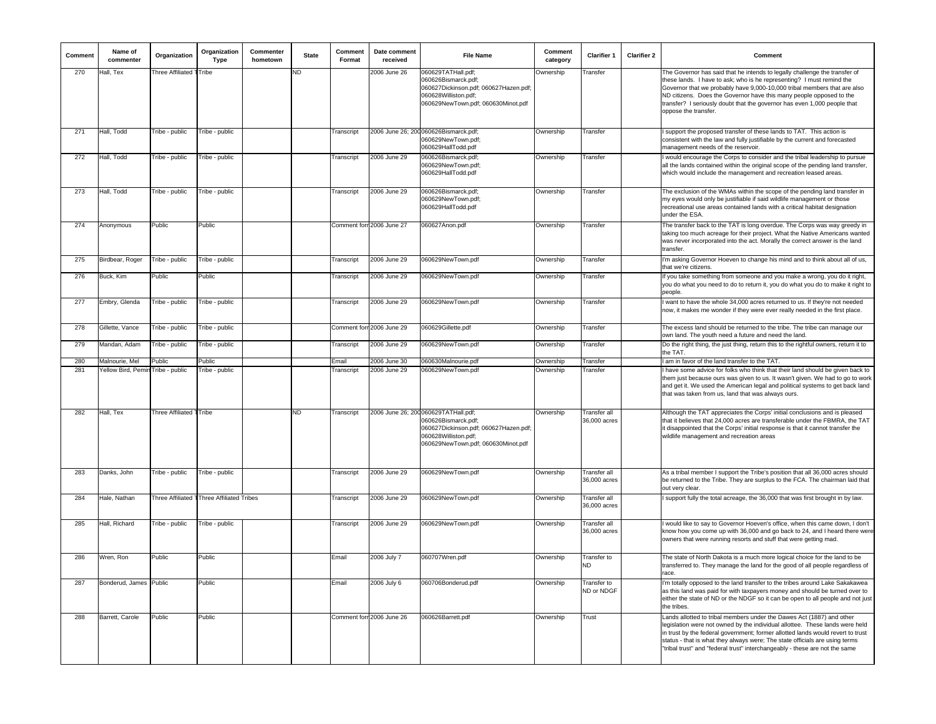| Comment | Name of<br>commenter              | Organization            | Organization<br><b>Type</b>               | Commenter<br>hometown | <b>State</b> | Comment<br>Format | Date comment<br>received  | <b>File Name</b>                                                                                                                                                   | Comment<br>category | <b>Clarifier 1</b>               | <b>Clarifier 2</b> | Comment                                                                                                                                                                                                                                                                                                                                                                                                    |
|---------|-----------------------------------|-------------------------|-------------------------------------------|-----------------------|--------------|-------------------|---------------------------|--------------------------------------------------------------------------------------------------------------------------------------------------------------------|---------------------|----------------------------------|--------------------|------------------------------------------------------------------------------------------------------------------------------------------------------------------------------------------------------------------------------------------------------------------------------------------------------------------------------------------------------------------------------------------------------------|
| 270     | Hall, Tex                         | Three Affiliated TTribe |                                           |                       | <b>ND</b>    |                   | 2006 June 26              | 060629TATHall.pdf;<br>060626Bismarck.pdf;<br>060627Dickinson.pdf; 060627Hazen.pdf;<br>060628Williston.pdf;<br>060629NewTown.pdf; 060630Minot.pdf                   | Ownership           | Transfer                         |                    | The Governor has said that he intends to legally challenge the transfer of<br>these lands. I have to ask; who is he representing? I must remind the<br>Governor that we probably have 9,000-10,000 tribal members that are also<br>ND citizens. Does the Governor have this many people opposed to the<br>transfer? I seriously doubt that the governor has even 1,000 people that<br>oppose the transfer. |
| 271     | Hall, Todd                        | Tribe - public          | Tribe - public                            |                       |              | Transcript        |                           | 2006 June 26; 200 060626Bismarck.pdf;<br>060629NewTown.pdf;<br>060629HallTodd.pdf                                                                                  | Ownership           | Transfer                         |                    | support the proposed transfer of these lands to TAT. This action is<br>consistent with the law and fully justifiable by the current and forecasted<br>management needs of the reservoir.                                                                                                                                                                                                                   |
| 272     | Hall, Todd                        | Tribe - public          | Tribe - public                            |                       |              | Transcript        | 2006 June 29              | 060626Bismarck.pdf;<br>060629NewTown.pdf;<br>060629HallTodd.pdf                                                                                                    | Ownership           | Transfer                         |                    | would encourage the Corps to consider and the tribal leadership to pursue<br>all the lands contained within the original scope of the pending land transfer,<br>which would include the management and recreation leased areas.                                                                                                                                                                            |
| 273     | Hall, Todd                        | Tribe - public          | Tribe - public                            |                       |              | Transcript        | 2006 June 29              | 060626Bismarck.pdf;<br>060629NewTown.pdf;<br>060629HallTodd.pdf                                                                                                    | Ownership           | Transfer                         |                    | The exclusion of the WMAs within the scope of the pending land transfer in<br>my eyes would only be justifiable if said wildlife management or those<br>recreational use areas contained lands with a critical habitat designation<br>under the ESA.                                                                                                                                                       |
| 274     | Anonymous                         | Public                  | Public                                    |                       |              |                   | Comment forr 2006 June 27 | 060627Anon.pdf                                                                                                                                                     | Ownership           | Transfer                         |                    | The transfer back to the TAT is long overdue. The Corps was way greedy in<br>taking too much acreage for their project. What the Native Americans wanted<br>was never incorporated into the act. Morally the correct answer is the land<br>transfer.                                                                                                                                                       |
| 275     | Birdbear, Roger                   | Tribe - public          | Tribe - public                            |                       |              | Transcript        | 2006 June 29              | 060629NewTown.pdf                                                                                                                                                  | Ownership           | Transfer                         |                    | I'm asking Governor Hoeven to change his mind and to think about all of us,<br>that we're citizens.                                                                                                                                                                                                                                                                                                        |
| 276     | Buck, Kim                         | Public                  | Public                                    |                       |              | Transcript        | 2006 June 29              | 060629NewTown.pdf                                                                                                                                                  | Ownership           | Transfer                         |                    | If you take something from someone and you make a wrong, you do it right,<br>you do what you need to do to return it, you do what you do to make it right to<br>people.                                                                                                                                                                                                                                    |
| 277     | Embry, Glenda                     | Tribe - public          | Tribe - public                            |                       |              | Transcript        | 2006 June 29              | 060629NewTown.pdf                                                                                                                                                  | Ownership           | Transfer                         |                    | want to have the whole 34,000 acres returned to us. If they're not needed<br>now, it makes me wonder if they were ever really needed in the first place.                                                                                                                                                                                                                                                   |
| 278     | Gillette, Vance                   | Tribe - public          | Tribe - public                            |                       |              |                   | Comment forn 2006 June 29 | 060629Gillette.pdf                                                                                                                                                 | Ownership           | Transfer                         |                    | The excess land should be returned to the tribe. The tribe can manage our<br>own land. The youth need a future and need the land.                                                                                                                                                                                                                                                                          |
| 279     | Mandan, Adam                      | Tribe - public          | Tribe - public                            |                       |              | Transcript        | 2006 June 29              | 060629NewTown.pdf                                                                                                                                                  | Ownership           | Transfer                         |                    | Do the right thing, the just thing, return this to the rightful owners, return it to<br>the TAT.                                                                                                                                                                                                                                                                                                           |
| 280     | Malnourie, Mel                    | Public                  | Public                                    |                       |              | Email             | 2006 June 30              | 060630Malnourie.pdf                                                                                                                                                | Ownership           | Transfer                         |                    | am in favor of the land transfer to the TAT.                                                                                                                                                                                                                                                                                                                                                               |
| 281     | Yellow Bird, Pemin Tribe - public |                         | Tribe - public                            |                       |              | Transcript        | 2006 June 29              | 060629NewTown.pdf                                                                                                                                                  | Ownership           | Transfer                         |                    | have some advice for folks who think that their land should be given back to<br>them just because ours was given to us. It wasn't given. We had to go to work<br>and get it. We used the American legal and political systems to get back land<br>that was taken from us, land that was always ours.                                                                                                       |
| 282     | Hall, Tex                         | Three Affiliated TTribe |                                           |                       | <b>ND</b>    | Transcript        |                           | 2006 June 26; 200 060629TATHall.pdf;<br>060626Bismarck.pdf;<br>060627Dickinson.pdf; 060627Hazen.pdf;<br>060628Williston.pdf;<br>060629NewTown.pdf; 060630Minot.pdf | Ownership           | Transfer all<br>36,000 acres     |                    | Although the TAT appreciates the Corps' initial conclusions and is pleased<br>that it believes that 24,000 acres are transferable under the FBMRA, the TAT<br>it disappointed that the Corps' initial response is that it cannot transfer the<br>wildlife management and recreation areas                                                                                                                  |
| 283     | Danks, John                       | Tribe - public          | Tribe - public                            |                       |              | Transcript        | 2006 June 29              | 060629NewTown.pdf                                                                                                                                                  | Ownership           | Transfer all<br>36,000 acres     |                    | As a tribal member I support the Tribe's position that all 36,000 acres should<br>be returned to the Tribe. They are surplus to the FCA. The chairman laid that<br>out very clear.                                                                                                                                                                                                                         |
| 284     | Hale, Nathan                      |                         | Three Affiliated TThree Affiliated Tribes |                       |              | Transcript        | 2006 June 29              | 060629NewTown.pdf                                                                                                                                                  | Ownership           | Transfer all<br>36,000 acres     |                    | support fully the total acreage, the 36,000 that was first brought in by law.                                                                                                                                                                                                                                                                                                                              |
| 285     | Hall, Richard                     | Tribe - public          | Tribe - public                            |                       |              | Transcript        | 2006 June 29              | 060629NewTown.pdf                                                                                                                                                  | Ownership           | Transfer all<br>36,000 acres     |                    | would like to say to Governor Hoeven's office, when this came down, I don't<br>know how you come up with 36,000 and go back to 24, and I heard there were<br>owners that were running resorts and stuff that were getting mad.                                                                                                                                                                             |
| 286     | Wren, Ron                         | Public                  | Public                                    |                       |              | Email             | 2006 July 7               | 060707Wren.pdf                                                                                                                                                     | Ownership           | Transfer to<br><b>ND</b>         |                    | The state of North Dakota is a much more logical choice for the land to be<br>transferred to. They manage the land for the good of all people regardless of                                                                                                                                                                                                                                                |
| 287     | Bonderud, James Public            |                         | Public                                    |                       |              | Email             | 2006 July 6               | 060706Bonderud.pdf                                                                                                                                                 | Ownership           | <b>Transfer</b> to<br>ND or NDGF |                    | I'm totally opposed to the land transfer to the tribes around Lake Sakakawea<br>as this land was paid for with taxpayers money and should be turned over to<br>either the state of ND or the NDGF so it can be open to all people and not just<br>the tribes.                                                                                                                                              |
| 288     | Barrett, Carole                   | Public                  | Public                                    |                       |              |                   | Comment forr 2006 June 26 | 060626Barrett.pdf                                                                                                                                                  | Ownership           | Trust                            |                    | Lands allotted to tribal members under the Dawes Act (1887) and other<br>legislation were not owned by the individual allottee. These lands were held<br>in trust by the federal government; former allotted lands would revert to trust<br>status - that is what they always were; The state officials are using terms<br>'tribal trust" and "federal trust" interchangeably - these are not the same     |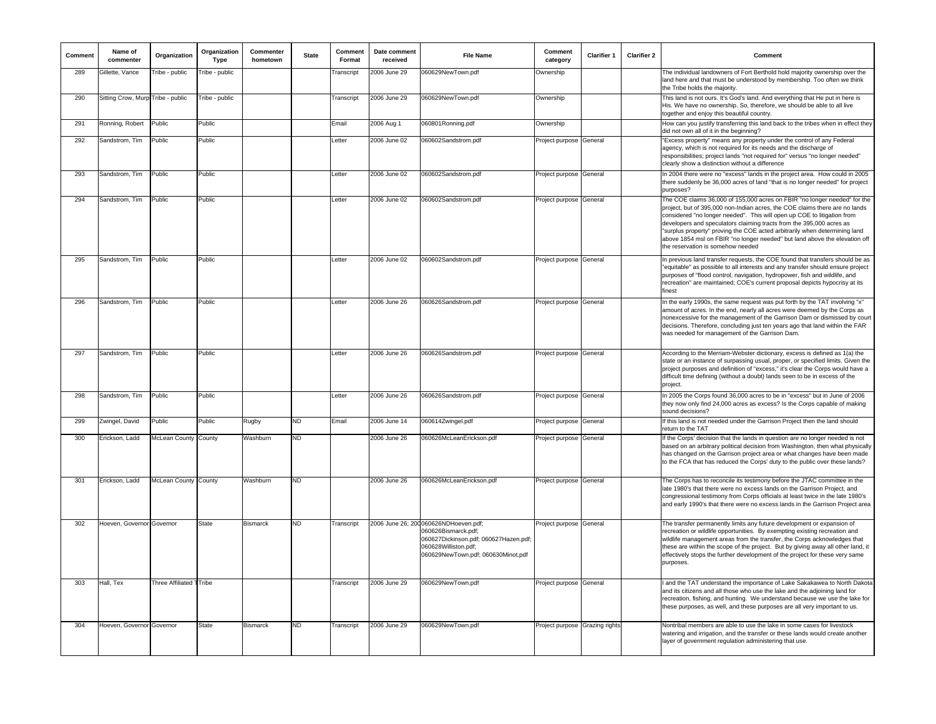| Comment | Name of<br>commenter              | Organization            | Organization<br>Type | Commenter<br>hometown | <b>State</b> | Comment<br>Format | Date comment<br>received | <b>File Name</b>                                                                                                                                                    | Comment<br>category            | <b>Clarifier 1</b> | <b>Clarifier 2</b> | Comment                                                                                                                                                                                                                                                                                                                                                                                                                                                                                                      |
|---------|-----------------------------------|-------------------------|----------------------|-----------------------|--------------|-------------------|--------------------------|---------------------------------------------------------------------------------------------------------------------------------------------------------------------|--------------------------------|--------------------|--------------------|--------------------------------------------------------------------------------------------------------------------------------------------------------------------------------------------------------------------------------------------------------------------------------------------------------------------------------------------------------------------------------------------------------------------------------------------------------------------------------------------------------------|
| 289     | Gillette, Vance                   | Tribe - public          | Tribe - public       |                       |              | Transcript        | 2006 June 29             | 060629NewTown.pdf                                                                                                                                                   | Ownership                      |                    |                    | The individual landowners of Fort Berthold hold majority ownership over the<br>land here and that must be understood by membership. Too often we think<br>the Tribe holds the majority.                                                                                                                                                                                                                                                                                                                      |
| 290     | Sitting Crow, Murp Tribe - public |                         | Tribe - public       |                       |              | Transcript        | 2006 June 29             | 060629NewTown.pdf                                                                                                                                                   | Ownership                      |                    |                    | This land is not ours. It's God's land. And everything that He put in here is<br>His. We have no ownership. So, therefore, we should be able to all live<br>together and enjoy this beautiful country.                                                                                                                                                                                                                                                                                                       |
| 291     | Ronning, Robert                   | Public                  | Public               |                       |              | Email             | 2006 Aug 1               | 060801Ronning.pdf                                                                                                                                                   | Ownership                      |                    |                    | How can you justify transferring this land back to the tribes when in effect they<br>did not own all of it in the beginning?                                                                                                                                                                                                                                                                                                                                                                                 |
| 292     | Sandstrom, Tim                    | Public                  | Public               |                       |              | Letter            | 2006 June 02             | 060602Sandstrom.pdf                                                                                                                                                 | Project purpose General        |                    |                    | "Excess property" means any property under the control of any Federal<br>agency, which is not required for its needs and the discharge of<br>responsibilities; project lands "not required for" versus "no longer needed"<br>clearly show a distinction without a difference                                                                                                                                                                                                                                 |
| 293     | Sandstrom, Tim                    | Public                  | Public               |                       |              | Letter            | 2006 June 02             | 060602Sandstrom.pdf                                                                                                                                                 | Project purpose General        |                    |                    | In 2004 there were no "excess" lands in the project area. How could in 2005<br>there suddenly be 36,000 acres of land "that is no longer needed" for project<br>purposes?                                                                                                                                                                                                                                                                                                                                    |
| 294     | Sandstrom, Tim                    | Public                  | Public               |                       |              | Letter            | 2006 June 02             | 060602Sandstrom.pdf                                                                                                                                                 | Project purpose General        |                    |                    | The COE claims 36,000 of 155,000 acres on FBIR "no longer needed" for the<br>project, but of 395,000 non-Indian acres, the COE claims there are no lands<br>considered "no longer needed". This will open up COE to litigation from<br>developers and speculators claiming tracts from the 395,000 acres as<br>'surplus property" proving the COE acted arbitrarily when determining land<br>above 1854 msl on FBIR "no longer needed" but land above the elevation off<br>the reservation is somehow needed |
| 295     | Sandstrom, Tim                    | Public                  | Public               |                       |              | Letter            | 2006 June 02             | 060602Sandstrom.pdf                                                                                                                                                 | Project purpose General        |                    |                    | In previous land transfer requests, the COE found that transfers should be as<br>'equitable" as possible to all interests and any transfer should ensure project<br>purposes of "flood control, navigation, hydropower, fish and wildlife, and<br>recreation" are maintained; COE's current proposal depicts hypocrisy at its<br>finest                                                                                                                                                                      |
| 296     | Sandstrom, Tim                    | Public                  | Public               |                       |              | Letter            | 2006 June 26             | 060626Sandstrom.pdf                                                                                                                                                 | Project purpose General        |                    |                    | In the early 1990s, the same request was put forth by the TAT involving "x"<br>amount of acres. In the end, nearly all acres were deemed by the Corps as<br>nonexcessive for the management of the Garrison Dam or dismissed by court<br>decisions. Therefore, concluding just ten years ago that land within the FAR<br>was needed for management of the Garrison Dam.                                                                                                                                      |
| 297     | Sandstrom, Tim                    | Public                  | Public               |                       |              | Letter            | 2006 June 26             | 060626Sandstrom.pdf                                                                                                                                                 | Project purpose General        |                    |                    | According to the Merriam-Webster dictionary, excess is defined as 1(a) the<br>state or an instance of surpassing usual, proper, or specified limits. Given the<br>project purposes and definition of "excess," it's clear the Corps would have a<br>difficult time defining (without a doubt) lands seen to be in excess of the<br>project.                                                                                                                                                                  |
| 298     | Sandstrom, Tim                    | Public                  | Public               |                       |              | Letter            | 2006 June 26             | 060626Sandstrom.pdf                                                                                                                                                 | Project purpose General        |                    |                    | In 2005 the Corps found 36,000 acres to be in "excess" but in June of 2006<br>they now only find 24,000 acres as excess? Is the Corps capable of making<br>sound decisions?                                                                                                                                                                                                                                                                                                                                  |
| 299     | Zwingel, David                    | Public                  | Public               | Rugby                 | <b>ND</b>    | Email             | 2006 June 14             | 060614Zwingel.pdf                                                                                                                                                   | Project purpose                | General            |                    | If this land is not needed under the Garrison Project then the land should<br>return to the TAT                                                                                                                                                                                                                                                                                                                                                                                                              |
| 300     | Erickson, Ladd                    | McLean County County    |                      | Washburn              | ND           |                   | 2006 June 26             | 060626McLeanErickson.pdf                                                                                                                                            | Project purpose General        |                    |                    | If the Corps' decision that the lands in question are no longer needed is not<br>based on an arbitrary political decision from Washington, then what physically<br>has changed on the Garrison project area or what changes have been made<br>to the FCA that has reduced the Corps' duty to the public over these lands?                                                                                                                                                                                    |
| 301     | Erickson, Ladd                    | McLean County County    |                      | Washburn              | <b>ND</b>    |                   | 2006 June 26             | 060626McLeanErickson.pdf                                                                                                                                            | Project purpose General        |                    |                    | The Corps has to reconcile its testimony before the JTAC committee in the<br>late 1980's that there were no excess lands on the Garrison Project, and<br>congressional testimony from Corps officials at least twice in the late 1980's<br>and early 1990's that there were no excess lands in the Garrison Project area                                                                                                                                                                                     |
| 302     | Hoeven, Governor Governor         |                         | <b>State</b>         | <b>Bismarck</b>       | <b>ND</b>    | Transcript        |                          | 2006 June 26; 200 060626NDHoeven.pdf;<br>060626Bismarck.pdf;<br>060627Dickinson.pdf; 060627Hazen.pdf;<br>060628Williston.pdf;<br>060629NewTown.pdf; 060630Minot.pdf | Project purpose General        |                    |                    | The transfer permanently limits any future development or expansion of<br>recreation or wildlife opportunities. By exempting existing recreation and<br>wildlife management areas from the transfer, the Corps acknowledges that<br>these are within the scope of the project. But by giving away all other land, it<br>effectively stops the further development of the project for these very same<br>purposes.                                                                                            |
| 303     | Hall, Tex                         | Three Affiliated TTribe |                      |                       |              | Transcript        | 2006 June 29             | 060629NewTown.pdf                                                                                                                                                   | Project purpose                | General            |                    | and the TAT understand the importance of Lake Sakakawea to North Dakota<br>and its citizens and all those who use the lake and the adioining land for<br>recreation, fishing, and hunting. We understand because we use the lake for<br>these purposes, as well, and these purposes are all very important to us.                                                                                                                                                                                            |
| 304     | Hoeven, Governor Governor         |                         | State                | <b>Bismarck</b>       | <b>ND</b>    | Transcript        | 2006 June 29             | 060629NewTown.pdf                                                                                                                                                   | Project purpose Grazing rights |                    |                    | Nontribal members are able to use the lake in some cases for livestock<br>watering and irrigation, and the transfer or these lands would create another<br>layer of government regulation administering that use.                                                                                                                                                                                                                                                                                            |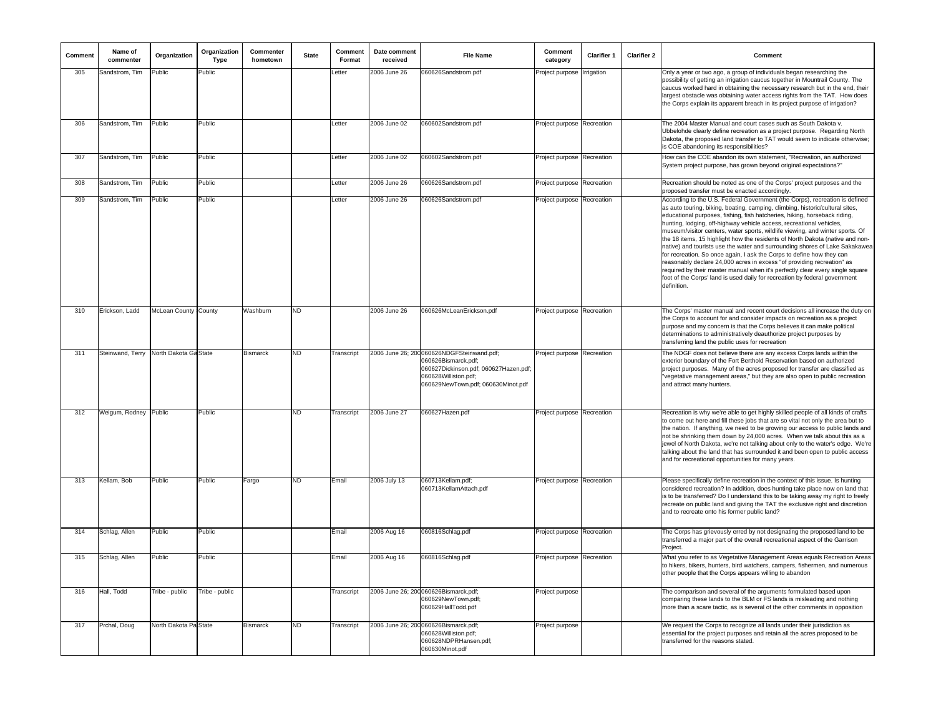| Comment | Name of<br>commenter                   | Organization          | Organization<br><b>Type</b> | Commenter<br>hometown | <b>State</b> | Comment<br>Format | Date comment<br>received | <b>File Name</b>                                                                                                                                                         | Comment<br>category        | Clarifier 1 | <b>Clarifier 2</b> | Comment                                                                                                                                                                                                                                                                                                                                                                                                                                                                                                                                                                                                                                                                                                                                                                                                                                                                                             |
|---------|----------------------------------------|-----------------------|-----------------------------|-----------------------|--------------|-------------------|--------------------------|--------------------------------------------------------------------------------------------------------------------------------------------------------------------------|----------------------------|-------------|--------------------|-----------------------------------------------------------------------------------------------------------------------------------------------------------------------------------------------------------------------------------------------------------------------------------------------------------------------------------------------------------------------------------------------------------------------------------------------------------------------------------------------------------------------------------------------------------------------------------------------------------------------------------------------------------------------------------------------------------------------------------------------------------------------------------------------------------------------------------------------------------------------------------------------------|
| 305     | Sandstrom, Tim                         | Public                | Public                      |                       |              | etter             | 2006 June 26             | 060626Sandstrom.pdf                                                                                                                                                      | Project purpose            | Irrigation  |                    | Only a year or two ago, a group of individuals began researching the<br>possibility of getting an irrigation caucus together in Mountrail County. The<br>caucus worked hard in obtaining the necessary research but in the end, their<br>largest obstacle was obtaining water access rights from the TAT. How does<br>the Corps explain its apparent breach in its project purpose of irrigation?                                                                                                                                                                                                                                                                                                                                                                                                                                                                                                   |
| 306     | Sandstrom, Tim                         | Public                | Public                      |                       |              | Letter            | 2006 June 02             | 060602Sandstrom.pdf                                                                                                                                                      | Project purpose Recreation |             |                    | The 2004 Master Manual and court cases such as South Dakota v.<br>Ubbelohde clearly define recreation as a project purpose. Regarding North<br>Dakota, the proposed land transfer to TAT would seem to indicate otherwise;<br>is COE abandoning its responsibilities?                                                                                                                                                                                                                                                                                                                                                                                                                                                                                                                                                                                                                               |
| 307     | Sandstrom, Tim                         | Public                | Public                      |                       |              | Letter            | 2006 June 02             | 060602Sandstrom.pdf                                                                                                                                                      | Project purpose Recreation |             |                    | How can the COE abandon its own statement, "Recreation, an authorized<br>System project purpose, has grown beyond original expectations?"                                                                                                                                                                                                                                                                                                                                                                                                                                                                                                                                                                                                                                                                                                                                                           |
| 308     | Sandstrom, Tim                         | Public                | Public                      |                       |              | Letter            | 2006 June 26             | 060626Sandstrom.pdf                                                                                                                                                      | Project purpose Recreation |             |                    | Recreation should be noted as one of the Corps' project purposes and the<br>proposed transfer must be enacted accordingly.                                                                                                                                                                                                                                                                                                                                                                                                                                                                                                                                                                                                                                                                                                                                                                          |
| 309     | Sandstrom, Tim                         | Public                | Public                      |                       |              | Letter            | 2006 June 26             | 060626Sandstrom.pdf                                                                                                                                                      | Project purpose Recreation |             |                    | According to the U.S. Federal Government (the Corps), recreation is defined<br>as auto touring, biking, boating, camping, climbing, historic/cultural sites,<br>educational purposes, fishing, fish hatcheries, hiking, horseback riding,<br>hunting, lodging, off-highway vehicle access, recreational vehicles,<br>museum/visitor centers, water sports, wildlife viewing, and winter sports. Of<br>the 18 items, 15 highlight how the residents of North Dakota (native and non-<br>native) and tourists use the water and surrounding shores of Lake Sakakawea<br>for recreation. So once again, I ask the Corps to define how they can<br>reasonably declare 24,000 acres in excess "of providing recreation" as<br>required by their master manual when it's perfectly clear every single square<br>foot of the Corps' land is used daily for recreation by federal government<br>definition. |
| 310     | Erickson, Ladd                         | McLean County County  |                             | Washburn              | <b>ND</b>    |                   | 2006 June 26             | 060626McLeanErickson.pdf                                                                                                                                                 | Project purpose Recreation |             |                    | The Corps' master manual and recent court decisions all increase the duty on<br>the Corps to account for and consider impacts on recreation as a project<br>purpose and my concern is that the Corps believes it can make political<br>determinations to administratively deauthorize project purposes by<br>transferring land the public uses for recreation                                                                                                                                                                                                                                                                                                                                                                                                                                                                                                                                       |
| 311     | Steinwand, Terry North Dakota Ga State |                       |                             | <b>Bismarck</b>       | <b>ND</b>    | Transcript        |                          | 2006 June 26; 200 060626NDGFSteinwand.pdf;<br>060626Bismarck.pdf;<br>060627Dickinson.pdf; 060627Hazen.pdf;<br>060628Williston.pdf;<br>060629NewTown.pdf; 060630Minot.pdf | Project purpose Recreation |             |                    | The NDGF does not believe there are any excess Corps lands within the<br>exterior boundary of the Fort Berthold Reservation based on authorized<br>project purposes. Many of the acres proposed for transfer are classified as<br>'vegetative management areas," but they are also open to public recreation<br>and attract many hunters.                                                                                                                                                                                                                                                                                                                                                                                                                                                                                                                                                           |
| 312     | Weigum, Rodney Public                  |                       | Public                      |                       | <b>ND</b>    | Transcript        | 2006 June 27             | 060627Hazen.pdf                                                                                                                                                          | Project purpose Recreation |             |                    | Recreation is why we're able to get highly skilled people of all kinds of crafts<br>to come out here and fill these jobs that are so vital not only the area but to<br>the nation. If anything, we need to be growing our access to public lands and<br>not be shrinking them down by 24,000 acres. When we talk about this as a<br>ewel of North Dakota, we're not talking about only to the water's edge. We're<br>talking about the land that has surrounded it and been open to public access<br>and for recreational opportunities for many years.                                                                                                                                                                                                                                                                                                                                             |
| 313     | Kellam, Bob                            | Public                | Public                      | Fargo                 | ND           | Email             | 2006 July 13             | 060713Kellam.pdf;<br>060713KellamAttach.pdf                                                                                                                              | Project purpose Recreation |             |                    | Please specifically define recreation in the context of this issue. Is hunting<br>considered recreation? In addition, does hunting take place now on land that<br>is to be transferred? Do I understand this to be taking away my right to freely<br>recreate on public land and giving the TAT the exclusive right and discretion<br>and to recreate onto his former public land?                                                                                                                                                                                                                                                                                                                                                                                                                                                                                                                  |
| 314     | Schlag, Allen                          | Public                | Public                      |                       |              | Email             | 2006 Aug 16              | 060816Schlag.pdf                                                                                                                                                         | Project purpose Recreation |             |                    | The Corps has grievously erred by not designating the proposed land to be<br>transferred a major part of the overall recreational aspect of the Garrison<br>Project.                                                                                                                                                                                                                                                                                                                                                                                                                                                                                                                                                                                                                                                                                                                                |
| 315     | Schlag, Allen                          | Public                | Public                      |                       |              | Email             | 2006 Aug 16              | 060816Schlag.pdf                                                                                                                                                         | Project purpose Recreation |             |                    | What you refer to as Vegetative Management Areas equals Recreation Areas<br>to hikers, bikers, hunters, bird watchers, campers, fishermen, and numerous<br>other people that the Corps appears willing to abandon                                                                                                                                                                                                                                                                                                                                                                                                                                                                                                                                                                                                                                                                                   |
| 316     | Hall, Todd                             | Tribe - public        | Tribe - public              |                       |              | Transcript        |                          | 2006 June 26; 200 060626Bismarck.pdf;<br>060629NewTown.pdf;<br>060629HallTodd.pdf                                                                                        | Project purpose            |             |                    | The comparison and several of the arguments formulated based upon<br>comparing these lands to the BLM or FS lands is misleading and nothing<br>more than a scare tactic, as is several of the other comments in opposition                                                                                                                                                                                                                                                                                                                                                                                                                                                                                                                                                                                                                                                                          |
| 317     | Prchal, Doug                           | North Dakota Pa State |                             | <b>Bismarck</b>       | ND           | Transcript        |                          | 2006 June 26; 200 060626Bismarck.pdf;<br>060628Williston.pdf;<br>060628NDPRHansen.pdf:<br>060630Minot.pdf                                                                | Project purpose            |             |                    | We request the Corps to recognize all lands under their jurisdiction as<br>essential for the project purposes and retain all the acres proposed to be<br>transferred for the reasons stated.                                                                                                                                                                                                                                                                                                                                                                                                                                                                                                                                                                                                                                                                                                        |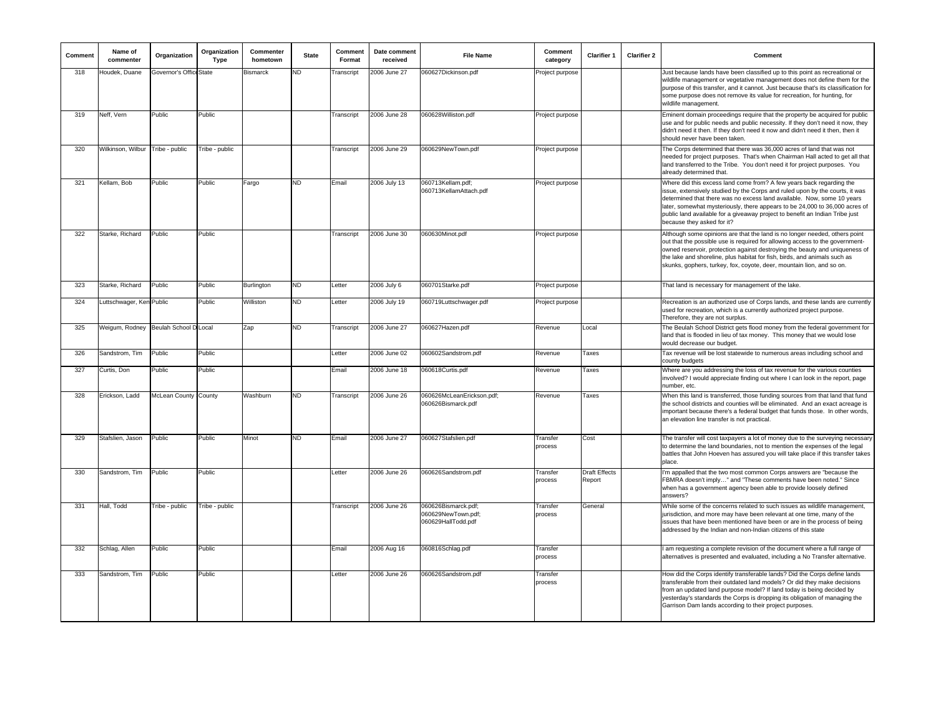| Comment | Name of<br>commenter                 | Organization            | Organization<br>Type | Commenter<br>hometown | <b>State</b> | Comment<br>Format | Date comment<br>received | <b>File Name</b>                                                | Comment<br>category | Clarifier 1                    | <b>Clarifier 2</b> | Comment                                                                                                                                                                                                                                                                                                                                                                                                                     |
|---------|--------------------------------------|-------------------------|----------------------|-----------------------|--------------|-------------------|--------------------------|-----------------------------------------------------------------|---------------------|--------------------------------|--------------------|-----------------------------------------------------------------------------------------------------------------------------------------------------------------------------------------------------------------------------------------------------------------------------------------------------------------------------------------------------------------------------------------------------------------------------|
| 318     | Houdek, Duane                        | Governor's Office State |                      | <b>Bismarck</b>       | ND           | Transcript        | 2006 June 27             | 060627Dickinson.pdf                                             | Project purpose     |                                |                    | Just because lands have been classified up to this point as recreational or<br>wildlife management or vegetative management does not define them for the<br>purpose of this transfer, and it cannot. Just because that's its classification for<br>some purpose does not remove its value for recreation, for hunting, for<br>wildlife management.                                                                          |
| 319     | Neff. Vern                           | Public                  | Public               |                       |              | Transcript        | 2006 June 28             | 060628Williston.pdf                                             | Project purpose     |                                |                    | Eminent domain proceedings require that the property be acquired for public<br>use and for public needs and public necessity. If they don't need it now, they<br>didn't need it then. If they don't need it now and didn't need it then, then it<br>should never have been taken.                                                                                                                                           |
| 320     | Wilkinson, Wilbur                    | Tribe - public          | Tribe - public       |                       |              | Transcript        | 2006 June 29             | 060629NewTown.pdf                                               | Project purpose     |                                |                    | The Corps determined that there was 36,000 acres of land that was not<br>needed for project purposes. That's when Chairman Hall acted to get all that<br>land transferred to the Tribe. You don't need it for project purposes. You<br>already determined that.                                                                                                                                                             |
| 321     | Kellam, Bob                          | Public                  | Public               | Fargo                 | <b>ND</b>    | Email             | 2006 July 13             | 060713Kellam.pdf;<br>060713KellamAttach.pdf                     | Project purpose     |                                |                    | Where did this excess land come from? A few years back regarding the<br>issue, extensively studied by the Corps and ruled upon by the courts, it was<br>determined that there was no excess land available. Now, some 10 years<br>later, somewhat mysteriously, there appears to be 24,000 to 36,000 acres of<br>public land available for a giveaway project to benefit an Indian Tribe just<br>because they asked for it? |
| 322     | Starke, Richard                      | Public                  | Public               |                       |              | Transcript        | 2006 June 30             | 060630Minot.pdf                                                 | Project purpose     |                                |                    | Although some opinions are that the land is no longer needed, others point<br>out that the possible use is required for allowing access to the government-<br>owned reservoir, protection against destroying the beauty and uniqueness of<br>the lake and shoreline, plus habitat for fish, birds, and animals such as<br>skunks, gophers, turkey, fox, coyote, deer, mountain lion, and so on.                             |
| 323     | Starke, Richard                      | Public                  | Public               | Burlington            | <b>ND</b>    | Letter            | $2006$ July $6$          | 060701Starke.pdf                                                | Project purpose     |                                |                    | That land is necessary for management of the lake.                                                                                                                                                                                                                                                                                                                                                                          |
| 324     | Luttschwager, Ken Public             |                         | Public               | Williston             | ND.          | Letter            | 2006 July 19             | 060719Luttschwager.pdf                                          | Project purpose     |                                |                    | Recreation is an authorized use of Corps lands, and these lands are currently<br>used for recreation, which is a currently authorized project purpose.<br>Therefore, they are not surplus.                                                                                                                                                                                                                                  |
| 325     | Weigum, Rodney Beulah School D Local |                         |                      | Zap                   | <b>ND</b>    | Transcript        | 2006 June 27             | 060627Hazen.pdf                                                 | Revenue             | Local                          |                    | The Beulah School District gets flood money from the federal government for<br>land that is flooded in lieu of tax money. This money that we would lose<br>would decrease our budget.                                                                                                                                                                                                                                       |
| 326     | Sandstrom, Tim                       | Public                  | Public               |                       |              | Letter            | 2006 June 02             | 060602Sandstrom.pdf                                             | Revenue             | Taxes                          |                    | Tax revenue will be lost statewide to numerous areas including school and<br>county budgets                                                                                                                                                                                                                                                                                                                                 |
| 327     | Curtis, Don                          | Public                  | Public               |                       |              | Email             | 2006 June 18             | 060618Curtis.pdf                                                | Revenue             | Taxes                          |                    | Where are you addressing the loss of tax revenue for the various counties<br>involved? I would appreciate finding out where I can look in the report, page<br>number, etc                                                                                                                                                                                                                                                   |
| 328     | Erickson, Ladd                       | McLean County County    |                      | Washburn              | <b>ND</b>    | Transcript        | 2006 June 26             | 060626McLeanErickson.pdf:<br>060626Bismarck.pdf                 | Revenue             | Taxes                          |                    | When this land is transferred, those funding sources from that land that fund<br>the school districts and counties will be eliminated. And an exact acreage is<br>important because there's a federal budget that funds those. In other words,<br>an elevation line transfer is not practical.                                                                                                                              |
| 329     | Stafslien, Jason                     | Public                  | Public               | Minot                 | <b>ND</b>    | Email             | 2006 June 27             | 060627Stafslien.pdf                                             | Transfer<br>process | Cost                           |                    | The transfer will cost taxpayers a lot of money due to the surveying necessary<br>to determine the land boundaries, not to mention the expenses of the legal<br>battles that John Hoeven has assured you will take place if this transfer takes<br>place.                                                                                                                                                                   |
| 330     | Sandstrom, Tim                       | Public                  | Public               |                       |              | Letter            | 2006 June 26             | 060626Sandstrom.pdf                                             | Transfer<br>process | <b>Draft Effects</b><br>Report |                    | I'm appalled that the two most common Corps answers are "because the<br>FBMRA doesn't imply" and "These comments have been noted." Since<br>when has a government agency been able to provide loosely defined<br>answers?                                                                                                                                                                                                   |
| 331     | Hall, Todd                           | Tribe - public          | Tribe - public       |                       |              | Transcript        | 2006 June 26             | 060626Bismarck.pdf;<br>060629NewTown.pdf;<br>060629HallTodd.pdf | Transfer<br>process | General                        |                    | While some of the concerns related to such issues as wildlife management,<br>jurisdiction, and more may have been relevant at one time, many of the<br>issues that have been mentioned have been or are in the process of being<br>addressed by the Indian and non-Indian citizens of this state                                                                                                                            |
| 332     | Schlag, Allen                        | Public                  | Public               |                       |              | Email             | 2006 Aug 16              | 060816Schlag.pdf                                                | Transfer<br>process |                                |                    | I am requesting a complete revision of the document where a full range of<br>alternatives is presented and evaluated, including a No Transfer alternative.                                                                                                                                                                                                                                                                  |
| 333     | Sandstrom, Tim                       | Public                  | Public               |                       |              | Letter            | 2006 June 26             | 060626Sandstrom.pdf                                             | Transfer<br>process |                                |                    | How did the Corps identify transferable lands? Did the Corps define lands<br>transferable from their outdated land models? Or did they make decisions<br>from an updated land purpose model? If land today is being decided by<br>yesterday's standards the Corps is dropping its obligation of managing the<br>Garrison Dam lands according to their project purposes.                                                     |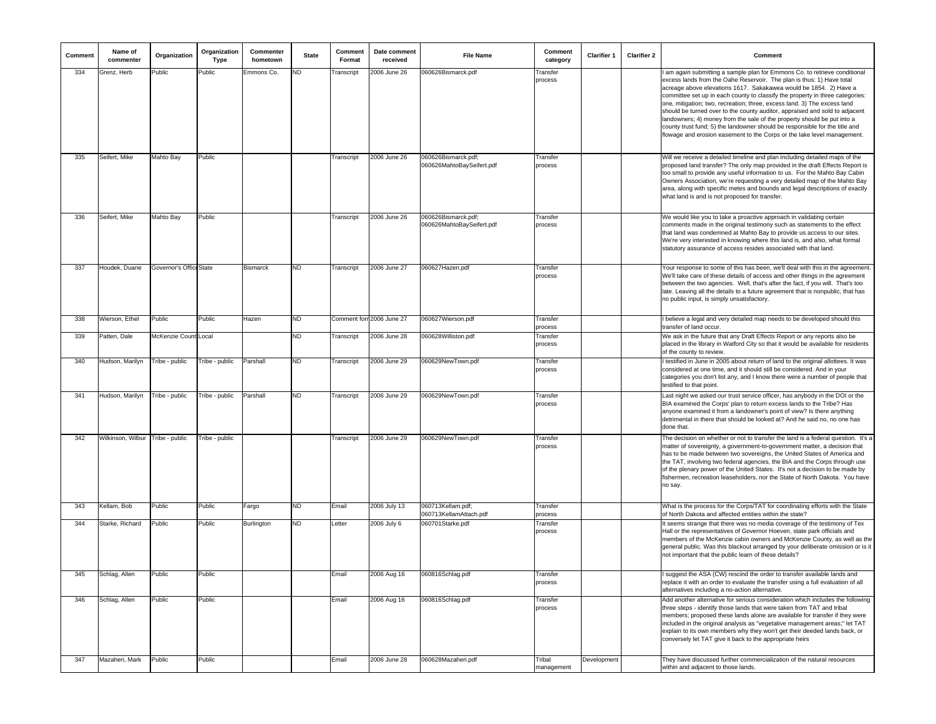| Comment | Name of<br>commenter             | Organization            | Organization<br>Type | Commenter<br>hometown | <b>State</b> | Comment<br>Format | Date comment<br>received  | <b>File Name</b>                                 | Comment<br>category  | Clarifier 1 | <b>Clarifier 2</b> | Comment                                                                                                                                                                                                                                                                                                                                                                                                                                                                                                                                                                                                                                                                                                 |
|---------|----------------------------------|-------------------------|----------------------|-----------------------|--------------|-------------------|---------------------------|--------------------------------------------------|----------------------|-------------|--------------------|---------------------------------------------------------------------------------------------------------------------------------------------------------------------------------------------------------------------------------------------------------------------------------------------------------------------------------------------------------------------------------------------------------------------------------------------------------------------------------------------------------------------------------------------------------------------------------------------------------------------------------------------------------------------------------------------------------|
| 334     | Grenz, Herb                      | Public                  | Public               | Emmons Co.            | ND           | Transcript        | 2006 June 26              | 060626Bismarck.pdf                               | Transfer<br>process  |             |                    | am again submitting a sample plan for Emmons Co. to retrieve conditional<br>excess lands from the Oahe Reservoir. The plan is thus: 1) Have total<br>acreage above elevations 1617. Sakakawea would be 1854. 2) Have a<br>committee set up in each county to classify the property in three categories:<br>one, mitigation; two, recreation; three, excess land. 3) The excess land<br>should be turned over to the county auditor, appraised and sold to adjacent<br>landowners; 4) money from the sale of the property should be put into a<br>county trust fund; 5) the landowner should be responsible for the title and<br>flowage and erosion easement to the Corps or the lake level management. |
| 335     | Seifert, Mike                    | Mahto Bay               | Public               |                       |              | Transcript        | 2006 June 26              | 060626Bismarck.pdf;<br>060626MahtoBaySeifert.pdf | Transfer<br>process  |             |                    | Will we receive a detailed timeline and plan including detailed maps of the<br>proposed land transfer? The only map provided in the draft Effects Report is<br>too small to provide any useful information to us. For the Mahto Bay Cabin<br>Owners Association, we're requesting a very detailed map of the Mahto Bay<br>area, along with specific metes and bounds and legal descriptions of exactly<br>what land is and is not proposed for transfer.                                                                                                                                                                                                                                                |
| 336     | Seifert, Mike                    | Mahto Bay               | Public               |                       |              | Transcript        | 2006 June 26              | 060626Bismarck.pdf;<br>060626MahtoBaySeifert.pdf | Transfer<br>process  |             |                    | We would like you to take a proactive approach in validating certain<br>comments made in the original testimony such as statements to the effect<br>that land was condemned at Mahto Bay to provide us access to our sites.<br>We're very interested in knowing where this land is, and also, what formal<br>statutory assurance of access resides associated with that land.                                                                                                                                                                                                                                                                                                                           |
| 337     | Houdek, Duane                    | Governor's Office State |                      | <b>Bismarck</b>       | <b>ND</b>    | Transcript        | 2006 June 27              | 060627Hazen.pdf                                  | Transfer<br>process  |             |                    | Your response to some of this has been, we'll deal with this in the agreement<br>We'll take care of these details of access and other things in the agreement<br>between the two agencies. Well, that's after the fact, if you will. That's too<br>late. Leaving all the details to a future agreement that is nonpublic, that has<br>no public input, is simply unsatisfactory.                                                                                                                                                                                                                                                                                                                        |
| 338     | Wierson, Ethel                   | Public                  | Public               | Hazen                 | ND           |                   | Comment forn 2006 June 27 | 060627Wierson.pdf                                | Transfer<br>process  |             |                    | believe a legal and very detailed map needs to be developed should this<br>transfer of land occur.                                                                                                                                                                                                                                                                                                                                                                                                                                                                                                                                                                                                      |
| 339     | Patten, Dale                     | McKenzie Count Local    |                      |                       | ND           | Transcript        | 2006 June 28              | 060628Williston.pdf                              | Transfer<br>process  |             |                    | We ask in the future that any Draft Effects Report or any reports also be<br>placed in the library in Watford City so that it would be available for residents<br>of the county to review.                                                                                                                                                                                                                                                                                                                                                                                                                                                                                                              |
| 340     | Hudson, Marilyn                  | Tribe - public          | Tribe - public       | Parshall              | ND           | Transcript        | 2006 June 29              | 060629NewTown.pdf                                | Transfer<br>process  |             |                    | I testified in June in 2005 about return of land to the original allottees. It was<br>considered at one time, and it should still be considered. And in your<br>categories you don't list any, and I know there were a number of people that<br>testified to that point.                                                                                                                                                                                                                                                                                                                                                                                                                                |
| 341     | Hudson, Marilyn                  | Tribe - public          | Tribe - public       | Parshall              | <b>ND</b>    | Transcript        | 2006 June 29              | 060629NewTown.pdf                                | Transfer<br>process  |             |                    | Last night we asked our trust service officer, has anybody in the DOI or the<br>BIA examined the Corps' plan to return excess lands to the Tribe? Has<br>anyone examined it from a landowner's point of view? Is there anything<br>detrimental in there that should be looked at? And he said no, no one has<br>done that.                                                                                                                                                                                                                                                                                                                                                                              |
| 342     | Wilkinson, Wilbur Tribe - public |                         | Tribe - public       |                       |              | Transcript        | 2006 June 29              | 060629NewTown.pdf                                | Transfer<br>process  |             |                    | The decision on whether or not to transfer the land is a federal question. It's a<br>matter of sovereignty, a government-to-government matter, a decision that<br>has to be made between two sovereigns, the United States of America and<br>the TAT, involving two federal agencies, the BIA and the Corps through use<br>of the plenary power of the United States. It's not a decision to be made by<br>fishermen, recreation leaseholders, nor the State of North Dakota. You have<br>no say.                                                                                                                                                                                                       |
| 343     | Kellam, Bob                      | Public                  | Public               | Fargo                 | ND           | Email             | 2006 July 13              | 060713Kellam.pdf;<br>060713KellamAttach.pdf      | Transfer<br>process  |             |                    | What is the process for the Corps/TAT for coordinating efforts with the State<br>of North Dakota and affected entities within the state?                                                                                                                                                                                                                                                                                                                                                                                                                                                                                                                                                                |
| 344     | Starke, Richard                  | Public                  | Public               | Burlington            | <b>ND</b>    | Letter            | 2006 July 6               | 060701Starke.pdf                                 | Transfer<br>process  |             |                    | It seems strange that there was no media coverage of the testimony of Tex<br>Hall or the representatives of Governor Hoeven, state park officials and<br>members of the McKenzie cabin owners and McKenzie County, as well as the<br>general public. Was this blackout arranged by your deliberate omission or is it<br>not important that the public learn of these details?                                                                                                                                                                                                                                                                                                                           |
| 345     | Schlag, Allen                    | Public                  | Public               |                       |              | Email             | 2006 Aug 16               | 060816Schlag.pdf                                 | Transfer<br>process  |             |                    | suggest the ASA (CW) rescind the order to transfer available lands and<br>replace it with an order to evaluate the transfer using a full evaluation of all<br>alternatives including a no-action alternative.                                                                                                                                                                                                                                                                                                                                                                                                                                                                                           |
| 346     | Schlag, Allen                    | Public                  | Public               |                       |              | Email             | 2006 Aug 16               | 060816Schlag.pdf                                 | Transfer<br>process  |             |                    | Add another alternative for serious consideration which includes the following<br>three steps - identify those lands that were taken from TAT and tribal<br>members; proposed these lands alone are available for transfer if they were<br>included in the original analysis as "vegetative management areas;" let TAT<br>explain to its own members why they won't get their deeded lands back, or<br>conversely let TAT give it back to the appropriate heirs                                                                                                                                                                                                                                         |
| 347     | Mazaheri, Mark                   | Public                  | Public               |                       |              | Email             | 2006 June 28              | 060628Mazaheri.pdf                               | Tribal<br>management | Development |                    | They have discussed further commercialization of the natural resources<br>within and adjacent to those lands.                                                                                                                                                                                                                                                                                                                                                                                                                                                                                                                                                                                           |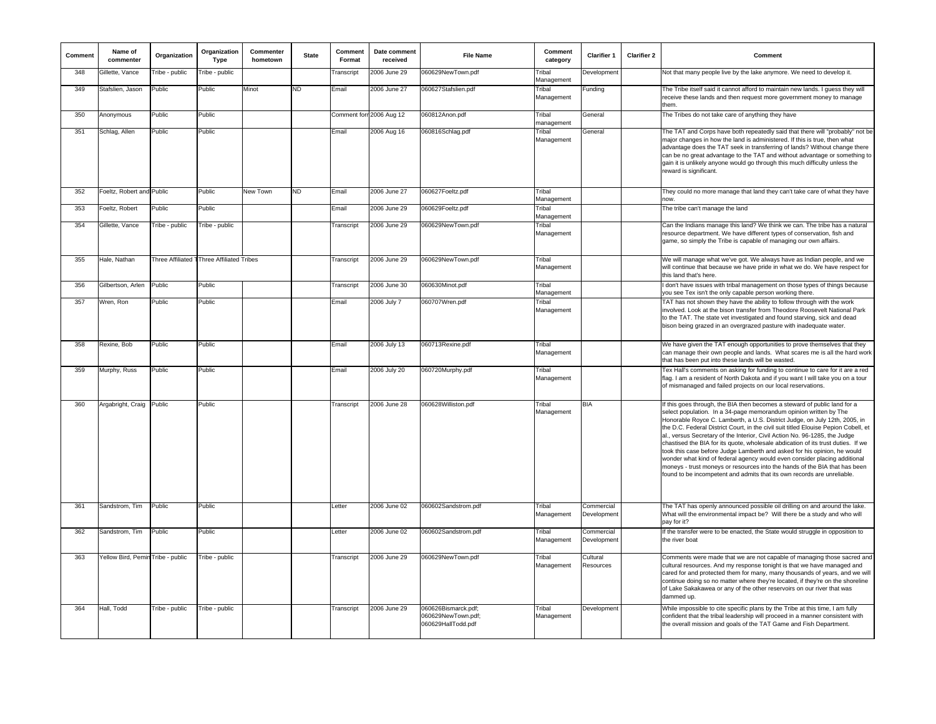| Comment | Name of<br>commenter              | Organization   | Organization<br>Type                      | Commenter<br>hometown | <b>State</b> | Comment<br>Format | Date comment<br>received | <b>File Name</b>                                                | Comment<br>category  | <b>Clarifier 1</b>        | <b>Clarifier 2</b> | Comment                                                                                                                                                                                                                                                                                                                                                                                                                                                                                                                                                                                                                                                                                                                                                                                                 |
|---------|-----------------------------------|----------------|-------------------------------------------|-----------------------|--------------|-------------------|--------------------------|-----------------------------------------------------------------|----------------------|---------------------------|--------------------|---------------------------------------------------------------------------------------------------------------------------------------------------------------------------------------------------------------------------------------------------------------------------------------------------------------------------------------------------------------------------------------------------------------------------------------------------------------------------------------------------------------------------------------------------------------------------------------------------------------------------------------------------------------------------------------------------------------------------------------------------------------------------------------------------------|
| 348     | Gillette, Vance                   | Tribe - public | Tribe - public                            |                       |              | Transcript        | 2006 June 29             | 060629NewTown.pdf                                               | Tribal<br>Management | Development               |                    | Not that many people live by the lake anymore. We need to develop it.                                                                                                                                                                                                                                                                                                                                                                                                                                                                                                                                                                                                                                                                                                                                   |
| 349     | Stafslien, Jason                  | Public         | Public                                    | Minot                 | <b>ND</b>    | Email             | 2006 June 27             | 060627Stafslien.pdf                                             | Tribal<br>Management | Funding                   |                    | The Tribe itself said it cannot afford to maintain new lands. I guess they will<br>receive these lands and then request more government money to manage<br>them.                                                                                                                                                                                                                                                                                                                                                                                                                                                                                                                                                                                                                                        |
| 350     | Anonymous                         | Public         | Public                                    |                       |              |                   | Comment forr 2006 Aug 12 | 060812Anon.pdf                                                  | Tribal<br>management | <b>General</b>            |                    | The Tribes do not take care of anything they have                                                                                                                                                                                                                                                                                                                                                                                                                                                                                                                                                                                                                                                                                                                                                       |
| 351     | Schlag, Allen                     | Public         | Public                                    |                       |              | Email             | 2006 Aug 16              | 060816Schlag.pdf                                                | Tribal<br>Management | General                   |                    | The TAT and Corps have both repeatedly said that there will "probably" not be<br>major changes in how the land is administered. If this is true, then what<br>advantage does the TAT seek in transferring of lands? Without change there<br>can be no great advantage to the TAT and without advantage or something to<br>gain it is unlikely anyone would go through this much difficulty unless the<br>reward is significant.                                                                                                                                                                                                                                                                                                                                                                         |
| 352     | Foeltz, Robert and Public         |                | Public                                    | New Town              | <b>ND</b>    | Email             | 2006 June 27             | 060627Foeltz.pdf                                                | Tribal<br>Management |                           |                    | They could no more manage that land they can't take care of what they have<br>now                                                                                                                                                                                                                                                                                                                                                                                                                                                                                                                                                                                                                                                                                                                       |
| 353     | Foeltz, Robert                    | Public         | Public                                    |                       |              | Email             | 2006 June 29             | 060629Foeltz.pdf                                                | Tribal<br>Management |                           |                    | The tribe can't manage the land                                                                                                                                                                                                                                                                                                                                                                                                                                                                                                                                                                                                                                                                                                                                                                         |
| 354     | Gillette, Vance                   | Tribe - public | Tribe - public                            |                       |              | Transcript        | 2006 June 29             | 060629NewTown.pdf                                               | Tribal<br>Management |                           |                    | Can the Indians manage this land? We think we can. The tribe has a natural<br>resource department. We have different types of conservation, fish and<br>game, so simply the Tribe is capable of managing our own affairs.                                                                                                                                                                                                                                                                                                                                                                                                                                                                                                                                                                               |
| 355     | Hale, Nathan                      |                | Three Affiliated TThree Affiliated Tribes |                       |              | Transcript        | 2006 June 29             | 060629NewTown.pdf                                               | Tribal<br>Management |                           |                    | We will manage what we've got. We always have as Indian people, and we<br>will continue that because we have pride in what we do. We have respect for<br>this land that's here.                                                                                                                                                                                                                                                                                                                                                                                                                                                                                                                                                                                                                         |
| 356     | Gilbertson, Arlen                 | Public         | Public                                    |                       |              | Transcript        | 2006 June 30             | 060630Minot.pdf                                                 | Tribal<br>Management |                           |                    | I don't have issues with tribal management on those types of things because<br>you see Tex isn't the only capable person working there.                                                                                                                                                                                                                                                                                                                                                                                                                                                                                                                                                                                                                                                                 |
| 357     | Wren, Ron                         | Public         | Public                                    |                       |              | Email             | 2006 July 7              | 060707Wren.pdf                                                  | Tribal<br>Management |                           |                    | TAT has not shown they have the ability to follow through with the work<br>involved. Look at the bison transfer from Theodore Roosevelt National Park<br>to the TAT. The state vet investigated and found starving, sick and dead<br>bison being grazed in an overgrazed pasture with inadequate water.                                                                                                                                                                                                                                                                                                                                                                                                                                                                                                 |
| 358     | Rexine, Bob                       | Public         | Public                                    |                       |              | Email             | 2006 July 13             | 060713Rexine.pdf                                                | Tribal<br>Management |                           |                    | We have given the TAT enough opportunities to prove themselves that they<br>can manage their own people and lands. What scares me is all the hard work<br>that has been put into these lands will be wasted.                                                                                                                                                                                                                                                                                                                                                                                                                                                                                                                                                                                            |
| 359     | Murphy, Russ                      | Public         | Public                                    |                       |              | Email             | 2006 July 20             | 060720Murphy.pdf                                                | Tribal<br>Management |                           |                    | Tex Hall's comments on asking for funding to continue to care for it are a red<br>lag. I am a resident of North Dakota and if you want I will take you on a tour<br>of mismanaged and failed projects on our local reservations.                                                                                                                                                                                                                                                                                                                                                                                                                                                                                                                                                                        |
| 360     | Argabright, Craig                 | Public         | Public                                    |                       |              | Transcript        | 2006 June 28             | 060628Williston.pdf                                             | Tribal<br>Management | <b>BIA</b>                |                    | If this goes through, the BIA then becomes a steward of public land for a<br>select population. In a 34-page memorandum opinion written by The<br>Honorable Royce C. Lamberth, a U.S. District Judge, on July 12th, 2005, in<br>the D.C. Federal District Court, in the civil suit titled Elouise Pepion Cobell, et<br>al., versus Secretary of the Interior, Civil Action No. 96-1285, the Judge<br>chastised the BIA for its quote, wholesale abdication of its trust duties. If we<br>took this case before Judge Lamberth and asked for his opinion, he would<br>wonder what kind of federal agency would even consider placing additional<br>moneys - trust moneys or resources into the hands of the BIA that has been<br>found to be incompetent and admits that its own records are unreliable. |
| 361     | Sandstrom, Tim                    | Public         | Public                                    |                       |              | Letter            | 2006 June 02             | 060602Sandstrom.pdf                                             | Tribal<br>Management | Commercial<br>Development |                    | The TAT has openly announced possible oil drilling on and around the lake.<br>What will the environmental impact be? Will there be a study and who will<br>pay for it?                                                                                                                                                                                                                                                                                                                                                                                                                                                                                                                                                                                                                                  |
| 362     | Sandstrom, Tim                    | Public         | Public                                    |                       |              | Letter            | 2006 June 02             | 060602Sandstrom.pdf                                             | Tribal<br>Management | Commercial<br>Development |                    | If the transfer were to be enacted, the State would struggle in opposition to<br>the river boat                                                                                                                                                                                                                                                                                                                                                                                                                                                                                                                                                                                                                                                                                                         |
| 363     | Yellow Bird, Pemin Tribe - public |                | Tribe - public                            |                       |              | Transcript        | 2006 June 29             | 060629NewTown.pdf                                               | Tribal<br>Management | Cultural<br>Resources     |                    | Comments were made that we are not capable of managing those sacred and<br>cultural resources. And my response tonight is that we have managed and<br>cared for and protected them for many, many thousands of years, and we will<br>continue doing so no matter where they're located, if they're on the shoreline<br>of Lake Sakakawea or any of the other reservoirs on our river that was<br>dammed up.                                                                                                                                                                                                                                                                                                                                                                                             |
| 364     | Hall, Todd                        | Tribe - public | Tribe - public                            |                       |              | Transcript        | 2006 June 29             | 060626Bismarck.pdf;<br>060629NewTown.pdf;<br>060629HallTodd.pdf | Tribal<br>Management | Development               |                    | While impossible to cite specific plans by the Tribe at this time, I am fully<br>confident that the tribal leadership will proceed in a manner consistent with<br>the overall mission and goals of the TAT Game and Fish Department.                                                                                                                                                                                                                                                                                                                                                                                                                                                                                                                                                                    |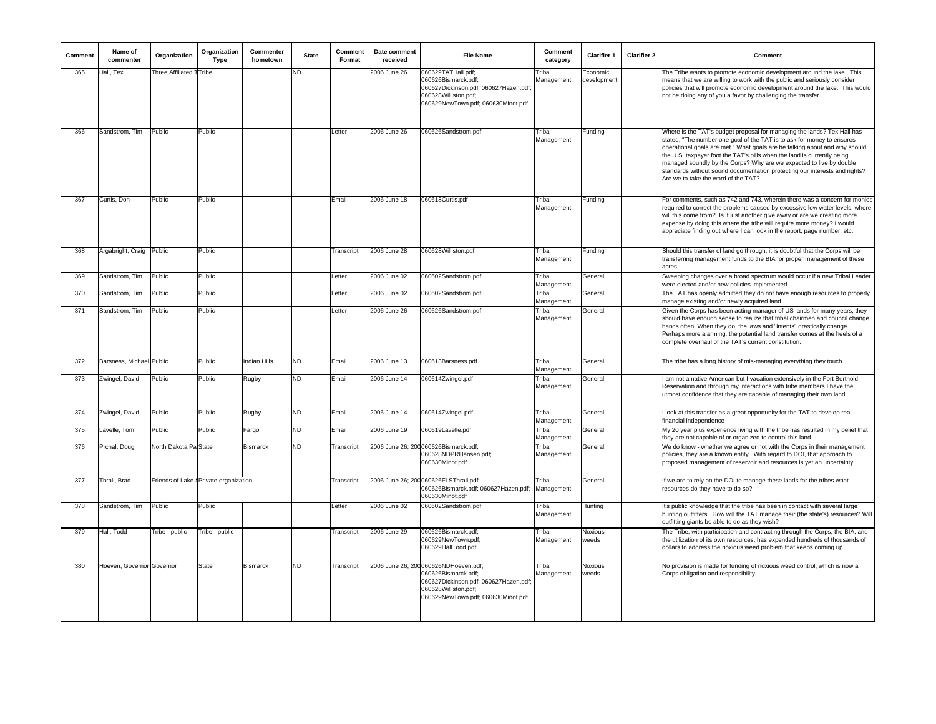| Comment | Name of<br>commenter      | Organization            | Organization<br>Type                   | Commenter<br>hometown | <b>State</b> | Comment<br>Format | Date comment<br>received | <b>File Name</b>                                                                                                                                                    | Comment<br>category  | <b>Clarifier 1</b>      | <b>Clarifier 2</b> | Comment                                                                                                                                                                                                                                                                                                                                                                                                                                                                                                |
|---------|---------------------------|-------------------------|----------------------------------------|-----------------------|--------------|-------------------|--------------------------|---------------------------------------------------------------------------------------------------------------------------------------------------------------------|----------------------|-------------------------|--------------------|--------------------------------------------------------------------------------------------------------------------------------------------------------------------------------------------------------------------------------------------------------------------------------------------------------------------------------------------------------------------------------------------------------------------------------------------------------------------------------------------------------|
| 365     | Hall, Tex                 | Three Affiliated TTribe |                                        |                       | ND.          |                   | 2006 June 26             | 060629TATHall.pdf;<br>060626Bismarck.pdf;<br>060627Dickinson.pdf; 060627Hazen.pdf;<br>060628Williston.pdf;<br>060629NewTown.pdf; 060630Minot.pdf                    | Tribal<br>Management | Economic<br>development |                    | The Tribe wants to promote economic development around the lake. This<br>means that we are willing to work with the public and seriously consider<br>policies that will promote economic development around the lake. This would<br>not be doing any of you a favor by challenging the transfer.                                                                                                                                                                                                       |
| 366     | Sandstrom, Tim            | Public                  | Public                                 |                       |              | Letter            | 2006 June 26             | 060626Sandstrom.pdf                                                                                                                                                 | Tribal<br>Management | unding                  |                    | Where is the TAT's budget proposal for managing the lands? Tex Hall has<br>stated, "The number one goal of the TAT is to ask for money to ensures<br>operational goals are met." What goals are he talking about and why should<br>the U.S. taxpayer foot the TAT's bills when the land is currently being<br>managed soundly by the Corps? Why are we expected to live by double<br>standards without sound documentation protecting our interests and rights?<br>Are we to take the word of the TAT? |
| 367     | Curtis, Don               | Public                  | Public                                 |                       |              | Email             | 2006 June 18             | 060618Curtis.pdf                                                                                                                                                    | Tribal<br>Management | Funding                 |                    | For comments, such as 742 and 743, wherein there was a concern for monies<br>required to correct the problems caused by excessive low water levels, where<br>will this come from? Is it just another give away or are we creating more<br>expense by doing this where the tribe will require more money? I would<br>appreciate finding out where I can look in the report, page number, etc.                                                                                                           |
| 368     | Argabright, Craig Public  |                         | Public                                 |                       |              | Transcript        | 2006 June 28             | 060628Williston.pdf                                                                                                                                                 | Tribal<br>Management | Funding                 |                    | Should this transfer of land go through, it is doubtful that the Corps will be<br>transferring management funds to the BIA for proper management of these<br>acres                                                                                                                                                                                                                                                                                                                                     |
| 369     | Sandstrom, Tim            | Public                  | Public                                 |                       |              | Letter            | 2006 June 02             | 060602Sandstrom.pdf                                                                                                                                                 | Tribal<br>Management | General                 |                    | Sweeping changes over a broad spectrum would occur if a new Tribal Leader<br>were elected and/or new policies implemented                                                                                                                                                                                                                                                                                                                                                                              |
| 370     | Sandstrom, Tim            | Public                  | Public                                 |                       |              | Letter            | 2006 June 02             | 060602Sandstrom.pdf                                                                                                                                                 | Tribal<br>Management | General                 |                    | The TAT has openly admitted they do not have enough resources to properly<br>manage existing and/or newly acquired land                                                                                                                                                                                                                                                                                                                                                                                |
| 371     | Sandstrom, Tim            | Public                  | Public                                 |                       |              | Letter            | 2006 June 26             | 060626Sandstrom.pdf                                                                                                                                                 | Tribal<br>Management | General                 |                    | Given the Corps has been acting manager of US lands for many years, they<br>should have enough sense to realize that tribal chairmen and council change<br>hands often. When they do, the laws and "intents" drastically change.<br>Perhaps more alarming, the potential land transfer comes at the heels of a<br>complete overhaul of the TAT's current constitution.                                                                                                                                 |
| 372     | Barsness, Michael Public  |                         | Public                                 | Indian Hills          | ND           | Email             | 2006 June 13             | 060613Barsness.pdf                                                                                                                                                  | Tribal<br>Management | General                 |                    | The tribe has a long history of mis-managing everything they touch                                                                                                                                                                                                                                                                                                                                                                                                                                     |
| 373     | Zwingel, David            | Public                  | Public                                 | Rugby                 | ND.          | Email             | 2006 June 14             | 060614Zwingel.pdf                                                                                                                                                   | Tribal<br>Management | General                 |                    | am not a native American but I vacation extensively in the Fort Berthold<br>Reservation and through my interactions with tribe members I have the<br>utmost confidence that they are capable of managing their own land                                                                                                                                                                                                                                                                                |
| 374     | Zwingel, David            | Public                  | Public                                 | <b>Rugby</b>          | <b>ND</b>    | Email             | 2006 June 14             | 060614Zwingel.pdf                                                                                                                                                   | Tribal<br>Management | General                 |                    | I look at this transfer as a great opportunity for the TAT to develop real<br>financial independence                                                                                                                                                                                                                                                                                                                                                                                                   |
| 375     | Lavelle, Tom              | Public                  | Public                                 | Fargo                 | ND.          | Email             | 2006 June 19             | 060619Lavelle.pdf                                                                                                                                                   | Tribal<br>Management | General                 |                    | My 20 year plus experience living with the tribe has resulted in my belief that<br>they are not capable of or organized to control this land                                                                                                                                                                                                                                                                                                                                                           |
| 376     | Prchal, Doug              | North Dakota Pa State   |                                        | <b>Bismarck</b>       | ND.          | Transcript        |                          | 2006 June 26; 200 060626Bismarck.pdf;<br>060628NDPRHansen.pdf;<br>060630Minot.pdf                                                                                   | Tribal<br>Management | General                 |                    | We do know - whether we agree or not with the Corps in their management<br>policies, they are a known entity. With regard to DOI, that approach to<br>proposed management of reservoir and resources is yet an uncertainty.                                                                                                                                                                                                                                                                            |
| 377     | Thrall, Brad              |                         | Friends of Lake § Private organization |                       |              | Transcript        |                          | 2006 June 26; 200 060626FLSThrall.pdf;<br>060626Bismarck.pdf; 060627Hazen.pdf;<br>060630Minot.pdf                                                                   | Tribal<br>Management | General                 |                    | If we are to rely on the DOI to manage these lands for the tribes what<br>resources do they have to do so?                                                                                                                                                                                                                                                                                                                                                                                             |
| 378     | Sandstrom, Tim            | Public                  | Public                                 |                       |              | Letter            | 2006 June 02             | 060602Sandstrom.pdf                                                                                                                                                 | Tribal<br>Management | Hunting                 |                    | It's public knowledge that the tribe has been in contact with several large<br>hunting outfitters. How will the TAT manage their (the state's) resources? Will<br>outfitting giants be able to do as they wish?                                                                                                                                                                                                                                                                                        |
| 379     | Hall, Todd                | Tribe - public          | Tribe - public                         |                       |              | Transcript        | 2006 June 29             | 060626Bismarck.pdf;<br>060629NewTown.pdf;<br>060629HallTodd.pdf                                                                                                     | Tribal<br>Management | Noxious<br>weeds        |                    | The Tribe, with participation and contracting through the Corps, the BIA, and<br>the utilization of its own resources, has expended hundreds of thousands of<br>dollars to address the noxious weed problem that keeps coming up.                                                                                                                                                                                                                                                                      |
| 380     | Hoeven, Governor Governor |                         | <b>State</b>                           | <b>Bismarck</b>       | <b>ND</b>    | Transcript        |                          | 2006 June 26; 200 060626NDHoeven.pdf;<br>060626Bismarck.pdf:<br>060627Dickinson.pdf; 060627Hazen.pdf;<br>060628Williston.pdf;<br>060629NewTown.pdf; 060630Minot.pdf | Tribal<br>Management | <b>Noxious</b><br>weeds |                    | No provision is made for funding of noxious weed control, which is now a<br>Corps obligation and responsibility                                                                                                                                                                                                                                                                                                                                                                                        |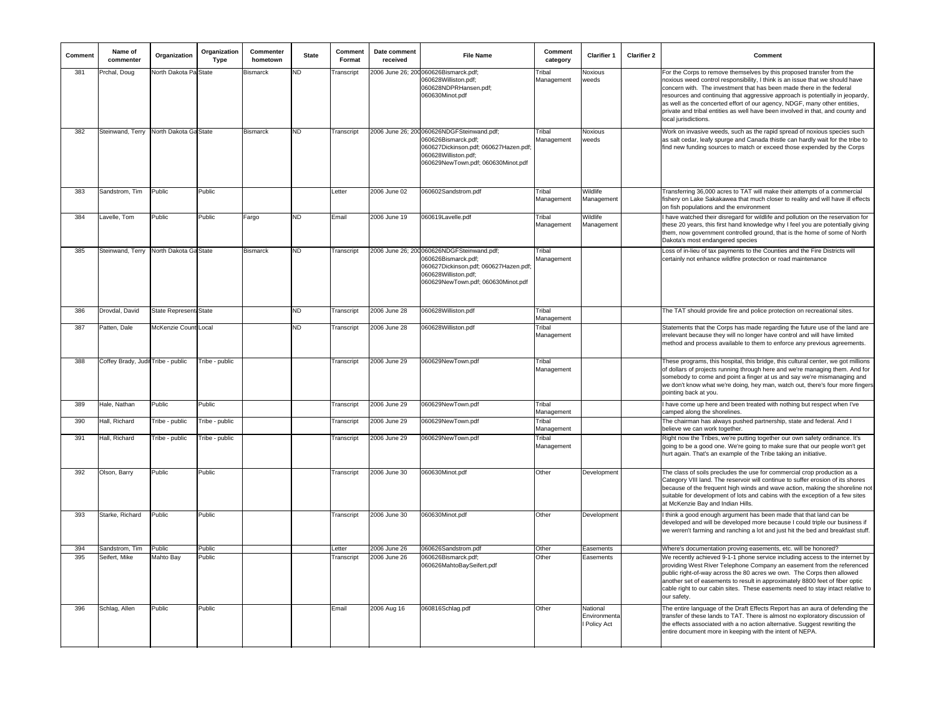| Comment | Name of<br>commenter                   | Organization           | Organization<br>Type | Commenter<br>hometown | <b>State</b> | Comment<br>Format | Date comment<br>received | <b>File Name</b>                                                                                                                                                         | Comment<br>category  | <b>Clarifier 1</b>                     | <b>Clarifier 2</b> | Comment                                                                                                                                                                                                                                                                                                                                                                                                                                                                                               |
|---------|----------------------------------------|------------------------|----------------------|-----------------------|--------------|-------------------|--------------------------|--------------------------------------------------------------------------------------------------------------------------------------------------------------------------|----------------------|----------------------------------------|--------------------|-------------------------------------------------------------------------------------------------------------------------------------------------------------------------------------------------------------------------------------------------------------------------------------------------------------------------------------------------------------------------------------------------------------------------------------------------------------------------------------------------------|
| 381     | Prchal, Doug                           | North Dakota Pa State  |                      | <b>Bismarck</b>       | ND.          | Transcript        |                          | 2006 June 26; 200 060626Bismarck.pdf;<br>060628Williston.pdf;<br>060628NDPRHansen.pdf;<br>060630Minot.pdf                                                                | Tribal<br>Management | Noxious<br>weeds                       |                    | For the Corps to remove themselves by this proposed transfer from the<br>noxious weed control responsibility, I think is an issue that we should have<br>concern with. The investment that has been made there in the federal<br>resources and continuing that aggressive approach is potentially in jeopardy,<br>as well as the concerted effort of our agency, NDGF, many other entities,<br>private and tribal entities as well have been involved in that, and county and<br>local jurisdictions. |
| 382     | Steinwand, Terry North Dakota Ga State |                        |                      | Bismarck              | ND.          | Transcript        |                          | 2006 June 26; 200060626NDGFSteinwand.pdf;<br>060626Bismarck.pdf:<br>060627Dickinson.pdf; 060627Hazen.pdf;<br>060628Williston.pdf;<br>060629NewTown.pdf; 060630Minot.pdf  | Trihal<br>Management | Noxious<br>weeds                       |                    | Work on invasive weeds, such as the rapid spread of noxious species such<br>as salt cedar, leafy spurge and Canada thistle can hardly wait for the tribe to<br>find new funding sources to match or exceed those expended by the Corps                                                                                                                                                                                                                                                                |
| 383     | Sandstrom, Tim                         | Public                 | Public               |                       |              | Letter            | 2006 June 02             | 060602Sandstrom.pdf                                                                                                                                                      | Tribal<br>Management | Wildlife<br>Management                 |                    | Transferring 36,000 acres to TAT will make their attempts of a commercial<br>fishery on Lake Sakakawea that much closer to reality and will have ill effects<br>on fish populations and the environment                                                                                                                                                                                                                                                                                               |
| 384     | Lavelle, Tom                           | Public                 | Public               | Fargo                 | ND.          | Email             | 2006 June 19             | 060619Lavelle.pdf                                                                                                                                                        | Tribal<br>Management | Wildlife<br>Management                 |                    | I have watched their disregard for wildlife and pollution on the reservation for<br>these 20 years, this first hand knowledge why I feel you are potentially giving<br>them, now government controlled ground, that is the home of some of North<br>Dakota's most endangered species                                                                                                                                                                                                                  |
| 385     | Steinwand, Terry North Dakota Ga State |                        |                      | <b>Bismarck</b>       | <b>ND</b>    | Transcript        |                          | 2006 June 26; 200 060626NDGFSteinwand.pdf;<br>060626Bismarck.pdf;<br>060627Dickinson.pdf; 060627Hazen.pdf;<br>060628Williston.pdf:<br>060629NewTown.pdf; 060630Minot.pdf | Tribal<br>Management |                                        |                    | Loss of in-lieu of tax payments to the Counties and the Fire Districts will<br>certainly not enhance wildfire protection or road maintenance                                                                                                                                                                                                                                                                                                                                                          |
| 386     | Drovdal, David                         | State Represent: State |                      |                       | <b>ND</b>    | Transcript        | 2006 June 28             | 060628Williston.pdf                                                                                                                                                      | Tribal<br>Management |                                        |                    | The TAT should provide fire and police protection on recreational sites.                                                                                                                                                                                                                                                                                                                                                                                                                              |
| 387     | Patten, Dale                           | McKenzie Count Local   |                      |                       | <b>ND</b>    | Transcript        | 2006 June 28             | 060628Williston.pdf                                                                                                                                                      | Tribal<br>Management |                                        |                    | Statements that the Corps has made regarding the future use of the land are<br>irrelevant because they will no longer have control and will have limited<br>method and process available to them to enforce any previous agreements.                                                                                                                                                                                                                                                                  |
| 388     | Coffey Brady, Judit Tribe - public     |                        | Tribe - public       |                       |              | Transcript        | 2006 June 29             | 060629NewTown.pdf                                                                                                                                                        | Tribal<br>Management |                                        |                    | These programs, this hospital, this bridge, this cultural center, we got millions<br>of dollars of projects running through here and we're managing them. And for<br>somebody to come and point a finger at us and say we're mismanaging and<br>we don't know what we're doing, hey man, watch out, there's four more fingers<br>pointing back at you.                                                                                                                                                |
| 389     | Hale, Nathan                           | Public                 | Public               |                       |              | Transcript        | 2006 June 29             | 060629NewTown.pdf                                                                                                                                                        | Tribal<br>Management |                                        |                    | I have come up here and been treated with nothing but respect when I've<br>camped along the shorelines.                                                                                                                                                                                                                                                                                                                                                                                               |
| 390     | Hall, Richard                          | Tribe - public         | Tribe - public       |                       |              | <b>Transcript</b> | 2006 June 29             | 060629NewTown.pdf                                                                                                                                                        | Tribal<br>Management |                                        |                    | The chairman has always pushed partnership, state and federal. And I<br>believe we can work together.                                                                                                                                                                                                                                                                                                                                                                                                 |
| 391     | Hall, Richard                          | Tribe - public         | Tribe - public       |                       |              | Transcript        | 2006 June 29             | 060629NewTown.pdf                                                                                                                                                        | Trihal<br>Management |                                        |                    | Right now the Tribes, we're putting together our own safety ordinance. It's<br>going to be a good one. We're going to make sure that our people won't get<br>hurt again. That's an example of the Tribe taking an initiative.                                                                                                                                                                                                                                                                         |
| 392     | Olson, Barry                           | Public                 | Public               |                       |              | <b>Transcript</b> | 2006 June 30             | 060630Minot.pdf                                                                                                                                                          | Other                | Development                            |                    | The class of soils precludes the use for commercial crop production as a<br>Category VIII land. The reservoir will continue to suffer erosion of its shores<br>because of the frequent high winds and wave action, making the shoreline not<br>suitable for development of lots and cabins with the exception of a few sites<br>at McKenzie Bay and Indian Hills.                                                                                                                                     |
| 393     | Starke, Richard                        | Public                 | Public               |                       |              | <b>Transcript</b> | 2006 June 30             | 060630Minot.pdf                                                                                                                                                          | Other                | Development                            |                    | think a good enough argument has been made that that land can be<br>developed and will be developed more because I could triple our business if<br>we weren't farming and ranching a lot and just hit the bed and breakfast stuff.                                                                                                                                                                                                                                                                    |
| 394     | Sandstrom, Tim                         | Public                 | Public               |                       |              | _etter            | 2006 June 26             | 060626Sandstrom.pdf                                                                                                                                                      | Other                | Easements                              |                    | Where's documentation proving easements, etc. will be honored?                                                                                                                                                                                                                                                                                                                                                                                                                                        |
| 395     | Seifert, Mike                          | Mahto Bay              | Public               |                       |              | Transcript        | 2006 June 26             | 060626Bismarck.pdf:<br>060626MahtoBaySeifert.pdf                                                                                                                         | Other                | Easements                              |                    | We recently achieved 9-1-1 phone service including access to the internet by<br>providing West River Telephone Company an easement from the referenced<br>public right-of-way across the 80 acres we own. The Corps then allowed<br>another set of easements to result in approximately 8800 feet of fiber optic<br>cable right to our cabin sites. These easements need to stay intact relative to<br>our safety.                                                                                    |
| 396     | Schlag, Allen                          | Public                 | Public               |                       |              | Email             | 2006 Aug 16              | 060816Schlag.pdf                                                                                                                                                         | Other                | National<br>Environmenta<br>Policy Act |                    | The entire language of the Draft Effects Report has an aura of defending the<br>transfer of these lands to TAT. There is almost no exploratory discussion of<br>the effects associated with a no action alternative. Suggest rewriting the<br>entire document more in keeping with the intent of NEPA.                                                                                                                                                                                                |